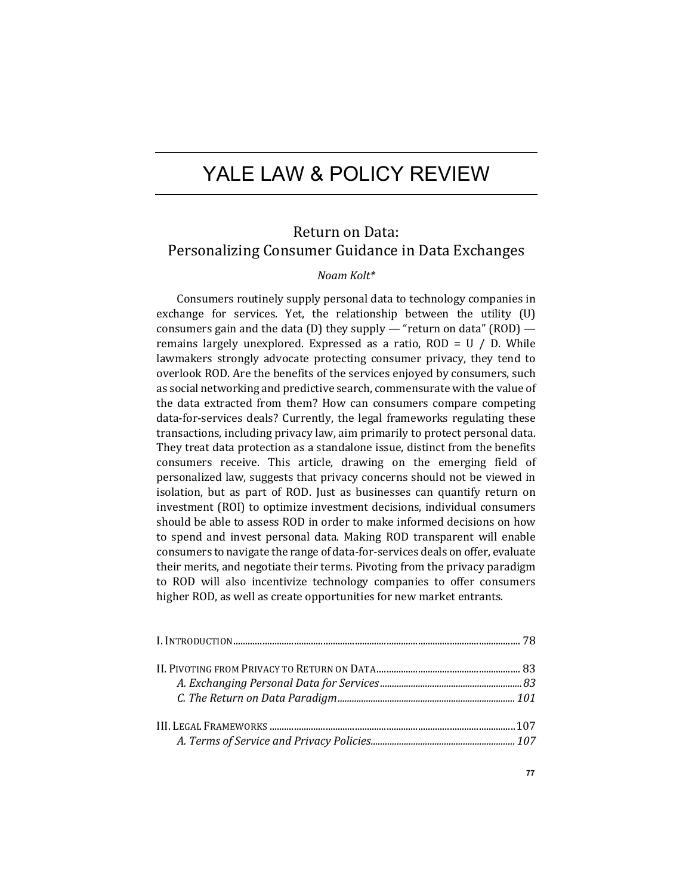# YALE LAW & POLICY REVIEW

# Return on Data: Personalizing Consumer Guidance in Data Exchanges

# *Noam Kolt\**

Consumers routinely supply personal data to technology companies in exchange for services. Yet, the relationship between the utility  $(U)$ consumers gain and the data  $(D)$  they supply — "return on data"  $(ROD)$  remains largely unexplored. Expressed as a ratio,  $ROD = U / D$ . While lawmakers strongly advocate protecting consumer privacy, they tend to overlook ROD. Are the benefits of the services enjoyed by consumers, such as social networking and predictive search, commensurate with the value of the data extracted from them? How can consumers compare competing data-for-services deals? Currently, the legal frameworks regulating these transactions, including privacy law, aim primarily to protect personal data. They treat data protection as a standalone issue, distinct from the benefits consumers receive. This article, drawing on the emerging field of personalized law, suggests that privacy concerns should not be viewed in isolation, but as part of ROD. Just as businesses can quantify return on investment (ROI) to optimize investment decisions, individual consumers should be able to assess ROD in order to make informed decisions on how to spend and invest personal data. Making ROD transparent will enable consumers to navigate the range of data-for-services deals on offer, evaluate their merits, and negotiate their terms. Pivoting from the privacy paradigm to ROD will also incentivize technology companies to offer consumers higher ROD, as well as create opportunities for new market entrants.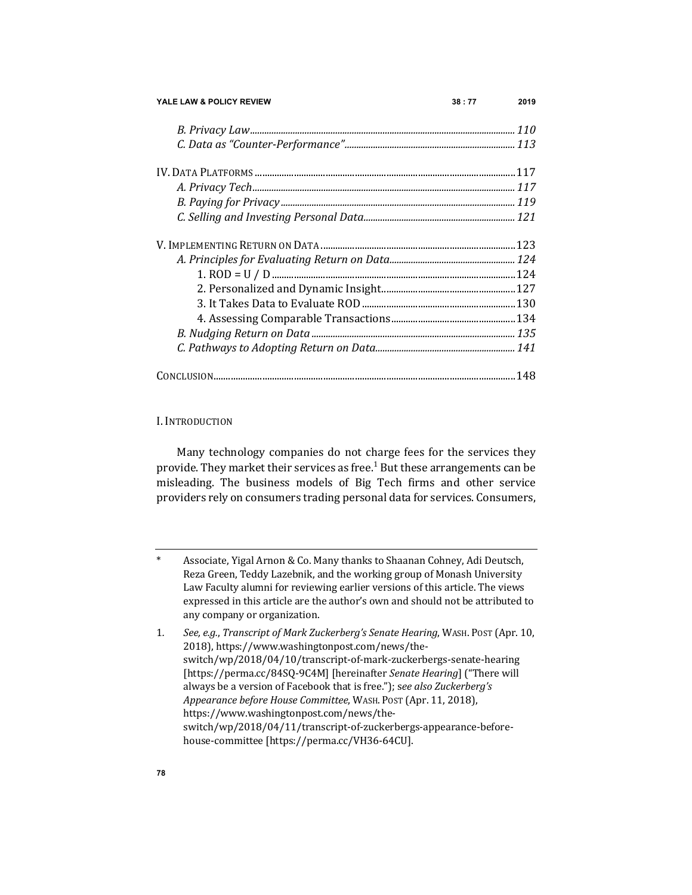| YALE LAW & POLICY REVIEW | 38:77 | 2019 |
|--------------------------|-------|------|
|                          |       |      |
|                          |       |      |
|                          |       |      |
|                          |       |      |
|                          |       |      |
|                          |       |      |
|                          |       |      |
|                          |       |      |
|                          |       |      |
|                          |       |      |
|                          |       |      |
|                          |       |      |
|                          |       |      |
|                          |       |      |
|                          |       |      |

# I. INTRODUCTION

Many technology companies do not charge fees for the services they provide. They market their services as free.<sup>1</sup> But these arrangements can be misleading. The business models of Big Tech firms and other service providers rely on consumers trading personal data for services. Consumers,

<sup>\*</sup>  Associate, Yigal Arnon & Co. Many thanks to Shaanan Cohney, Adi Deutsch, Reza Green, Teddy Lazebnik, and the working group of Monash University Law Faculty alumni for reviewing earlier versions of this article. The views expressed in this article are the author's own and should not be attributed to any company or organization.

<sup>1.</sup> See, e.g., Transcript of Mark Zuckerberg's Senate Hearing, WASH. POST (Apr. 10, 2018), https://www.washingtonpost.com/news/theswitch/wp/2018/04/10/transcript-of-mark-zuckerbergs-senate-hearing [https://perma.cc/84SQ-9C4M] [hereinafter *Senate Hearing*] ("There will always be a version of Facebook that is free."); see also Zuckerberg's *Appearance before House Committee*, WASH. POST (Apr. 11, 2018), https://www.washingtonpost.com/news/theswitch/wp/2018/04/11/transcript-of-zuckerbergs-appearance-beforehouse-committee [https://perma.cc/VH36-64CU].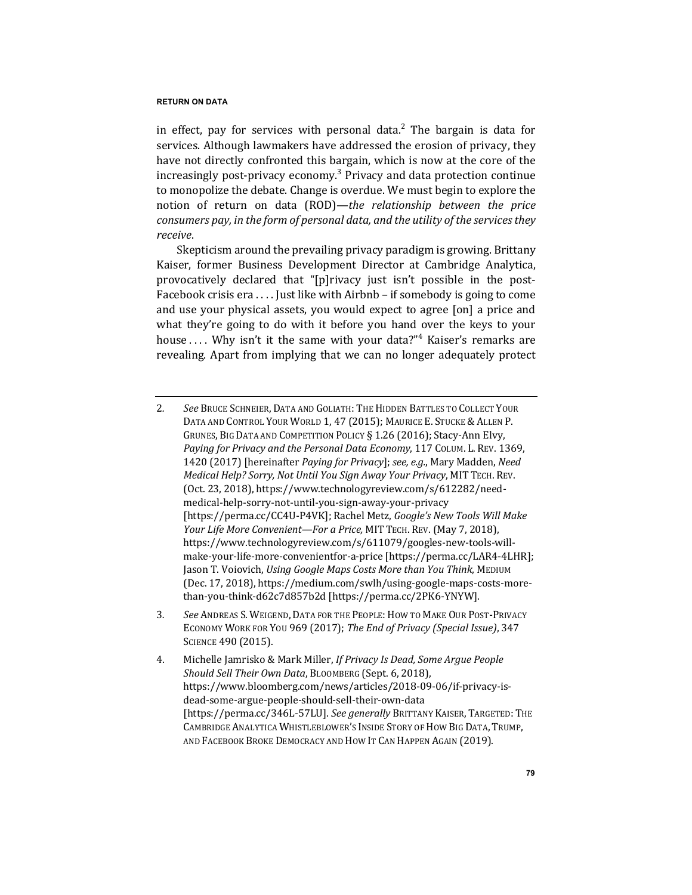in effect, pay for services with personal data.<sup>2</sup> The bargain is data for services. Although lawmakers have addressed the erosion of privacy, they have not directly confronted this bargain, which is now at the core of the  $increasing$ ly post-privacy economy.<sup>3</sup> Privacy and data protection continue to monopolize the debate. Change is overdue. We must begin to explore the notion of return on data (ROD)—*the relationship between the price consumers pay, in the form of personal data, and the utility of the services they receive*.

Skepticism around the prevailing privacy paradigm is growing. Brittany Kaiser, former Business Development Director at Cambridge Analytica, provocatively declared that "[p]rivacy just isn't possible in the post-Facebook crisis  $era \dots$  [ust like with Airbnb – if somebody is going to come and use your physical assets, you would expect to agree [on] a price and what they're going to do with it before you hand over the keys to your house .... Why isn't it the same with your data?" $4$  Kaiser's remarks are revealing. Apart from implying that we can no longer adequately protect

- 3*. See* ANDREAS S. WEIGEND, DATA FOR THE PEOPLE:HOW TO MAKE OUR POST-PRIVACY ECONOMY WORK FOR YOU 969 (2017); *The End of Privacy (Special Issue)*, 347 SCIENCE 490 (2015).
- 4. Michelle Jamrisko & Mark Miller, *If Privacy Is Dead, Some Argue People Should Sell Their Own Data*, BLOOMBERG (Sept. 6, 2018), https://www.bloomberg.com/news/articles/2018-09-06/if-privacy-isdead-some-argue-people-should-sell-their-own-data [https://perma.cc/346L-57LU]. See generally BRITTANY KAISER, TARGETED: THE CAMBRIDGE ANALYTICA WHISTLEBLOWER'S INSIDE STORY OF HOW BIG DATA, TRUMP, AND FACEBOOK BROKE DEMOCRACY AND HOW IT CAN HAPPEN AGAIN (2019).

<sup>2.</sup> See Bruce Schneier, Data and Goliath: The Hidden Battles to Collect Your DATA AND CONTROL YOUR WORLD 1, 47 (2015); MAURICE E. STUCKE & ALLEN P. GRUNES, BIG DATA AND COMPETITION POLICY § 1.26 (2016); Stacy-Ann Elvy, Paying for Privacy and the Personal Data Economy, 117 CoLUM. L. REV. 1369, 1420 (2017) [hereinafter *Paying for Privacy*]; see, e.g., Mary Madden, *Need Medical Help? Sorry, Not Until You Sign Away Your Privacy, MIT TECH. REV.* (Oct. 23, 2018), https://www.technologyreview.com/s/612282/needmedical-help-sorry-not-until-you-sign-away-your-privacy [https://perma.cc/CC4U-P4VK]; Rachel Metz, *Google's New Tools Will Make Your Life More Convenient—For a Price, MIT TECH. REV.* (May 7, 2018), https://www.technologyreview.com/s/611079/googles-new-tools-willmake-your-life-more-convenientfor-a-price [https://perma.cc/LAR4-4LHR]; Jason T. Voiovich, *Using Google Maps Costs More than You Think*, MEDIUM (Dec. 17, 2018), https://medium.com/swlh/using-google-maps-costs-morethan-you-think-d62c7d857b2d [https://perma.cc/2PK6-YNYW].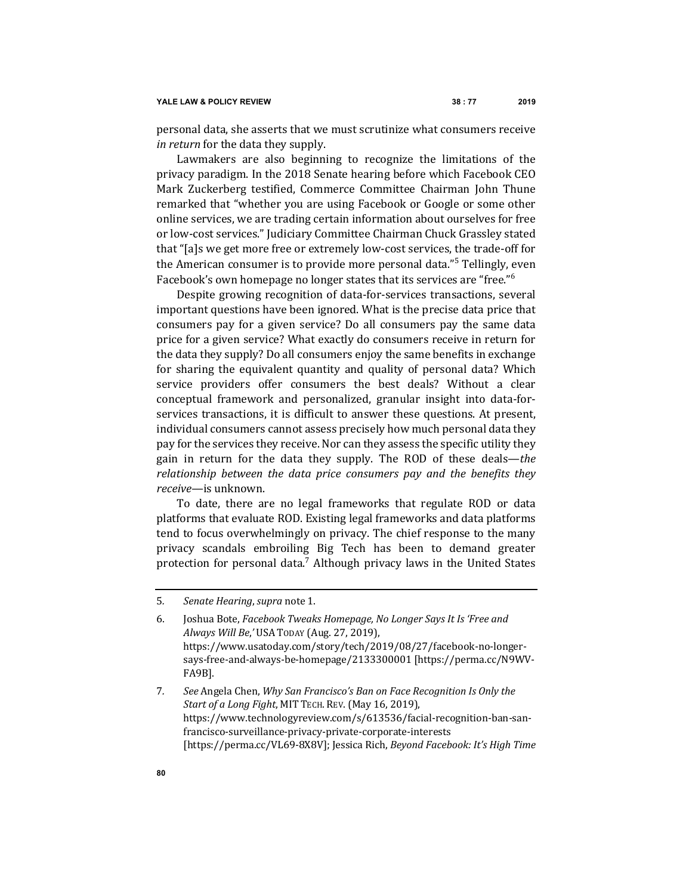personal data, she asserts that we must scrutinize what consumers receive *in return* for the data they supply.

Lawmakers are also beginning to recognize the limitations of the privacy paradigm. In the 2018 Senate hearing before which Facebook CEO Mark Zuckerberg testified, Commerce Committee Chairman John Thune remarked that "whether you are using Facebook or Google or some other online services, we are trading certain information about ourselves for free or low-cost services." Judiciary Committee Chairman Chuck Grassley stated that "[a]s we get more free or extremely low-cost services, the trade-off for the American consumer is to provide more personal data."<sup>5</sup> Tellingly, even Facebook's own homepage no longer states that its services are "free."<sup>6</sup>

Despite growing recognition of data-for-services transactions, several important questions have been ignored. What is the precise data price that consumers pay for a given service? Do all consumers pay the same data price for a given service? What exactly do consumers receive in return for the data they supply? Do all consumers enjoy the same benefits in exchange for sharing the equivalent quantity and quality of personal data? Which service providers offer consumers the best deals? Without a clear conceptual framework and personalized, granular insight into data-forservices transactions, it is difficult to answer these questions. At present, individual consumers cannot assess precisely how much personal data they pay for the services they receive. Nor can they assess the specific utility they gain in return for the data they supply. The ROD of these deals—*the* relationship between the data price consumers pay and the benefits they receive—is unknown.

To date, there are no legal frameworks that regulate ROD or data platforms that evaluate ROD. Existing legal frameworks and data platforms tend to focus overwhelmingly on privacy. The chief response to the many privacy scandals embroiling Big Tech has been to demand greater protection for personal data.<sup>7</sup> Although privacy laws in the United States

6. Joshua Bote, *Facebook Tweaks Homepage, No Longer Says It Is 'Free and Always Will Be*,*'* USA TODAY (Aug. 27, 2019), https://www.usatoday.com/story/tech/2019/08/27/facebook-no-longersays-free-and-always-be-homepage/2133300001 [https://perma.cc/N9WV-FA9B].

7. See Angela Chen, *Why San Francisco's Ban on Face Recognition Is Only the Start of a Long Fight, MIT TECH. REV. (May 16, 2019),* https://www.technologyreview.com/s/613536/facial-recognition-ban-sanfrancisco-surveillance-privacy-private-corporate-interests [https://perma.cc/VL69-8X8V]; Jessica Rich, *Beyond Facebook: It's High Time* 

<sup>5.</sup> Senate Hearing, supra note 1.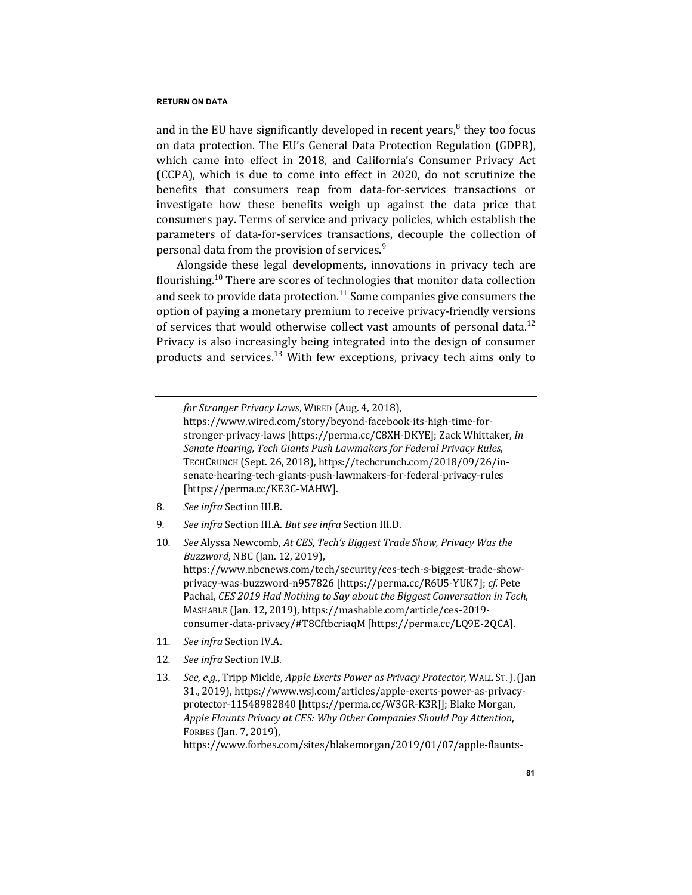and in the EU have significantly developed in recent years, $<sup>8</sup>$  they too focus</sup> on data protection. The EU's General Data Protection Regulation (GDPR), which came into effect in 2018, and California's Consumer Privacy Act (CCPA), which is due to come into effect in 2020, do not scrutinize the benefits that consumers reap from data-for-services transactions or investigate how these benefits weigh up against the data price that consumers pay. Terms of service and privacy policies, which establish the parameters of data-for-services transactions, decouple the collection of personal data from the provision of services. $9$ 

Alongside these legal developments, innovations in privacy tech are flourishing.<sup>10</sup> There are scores of technologies that monitor data collection and seek to provide data protection.<sup>11</sup> Some companies give consumers the option of paying a monetary premium to receive privacy-friendly versions of services that would otherwise collect vast amounts of personal data.<sup>12</sup> Privacy is also increasingly being integrated into the design of consumer products and services.<sup>13</sup> With few exceptions, privacy tech aims only to

- 8. See infra Section III.B.
- 9. See infra Section III.A. But see infra Section III.D.

10. See Alyssa Newcomb, At CES, Tech's Biggest Trade Show, Privacy Was the *Buzzword*, *NBC* (Jan. 12, 2019), https://www.nbcnews.com/tech/security/ces-tech-s-biggest-trade-showprivacy-was-buzzword-n957826 [https://perma.cc/R6U5-YUK7]; *cf.* Pete Pachal, *CES* 2019 Had Nothing to Say about the Biggest Conversation in Tech, MASHABLE (Jan. 12, 2019), https://mashable.com/article/ces-2019consumer-data-privacy/#T8CftbcriaqM [https://perma.cc/LQ9E-2QCA].

- 11. See infra Section IV.A.
- 12. See infra Section IV.B.
- 13. *See, e.g.*, Tripp Mickle, *Apple Exerts Power as Privacy Protector*, WALL ST. J. (Jan 31., 2019), https://www.wsj.com/articles/apple-exerts-power-as-privacyprotector-11548982840 [https://perma.cc/W3GR-K3RJ]; Blake Morgan, *Apple Flaunts Privacy at CES: Why Other Companies Should Pay Attention*, FORBES (Jan. 7, 2019), https://www.forbes.com/sites/blakemorgan/2019/01/07/apple-flaunts-

*for Stronger Privacy Laws*, WIRED (Aug. 4, 2018),

https://www.wired.com/story/beyond-facebook-its-high-time-forstronger-privacy-laws [https://perma.cc/C8XH-DKYE]; Zack Whittaker, *In Senate Hearing, Tech Giants Push Lawmakers for Federal Privacy Rules*, TECHCRUNCH (Sept. 26, 2018), https://techcrunch.com/2018/09/26/insenate-hearing-tech-giants-push-lawmakers-for-federal-privacy-rules [https://perma.cc/KE3C-MAHW].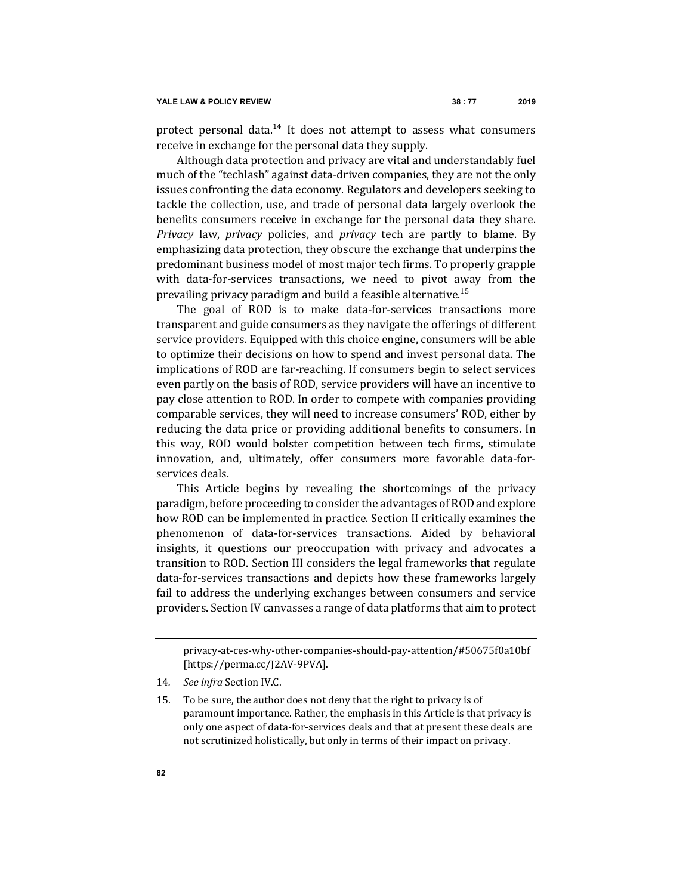protect personal data.<sup>14</sup> It does not attempt to assess what consumers receive in exchange for the personal data they supply.

Although data protection and privacy are vital and understandably fuel much of the "techlash" against data-driven companies, they are not the only issues confronting the data economy. Regulators and developers seeking to tackle the collection, use, and trade of personal data largely overlook the benefits consumers receive in exchange for the personal data they share. *Privacy* law, *privacy* policies, and *privacy* tech are partly to blame. By emphasizing data protection, they obscure the exchange that underpins the predominant business model of most major tech firms. To properly grapple with data-for-services transactions, we need to pivot away from the prevailing privacy paradigm and build a feasible alternative.<sup>15</sup>

The goal of ROD is to make data-for-services transactions more transparent and guide consumers as they navigate the offerings of different service providers. Equipped with this choice engine, consumers will be able to optimize their decisions on how to spend and invest personal data. The implications of ROD are far-reaching. If consumers begin to select services even partly on the basis of ROD, service providers will have an incentive to pay close attention to ROD. In order to compete with companies providing comparable services, they will need to increase consumers' ROD, either by reducing the data price or providing additional benefits to consumers. In this way, ROD would bolster competition between tech firms, stimulate innovation, and, ultimately, offer consumers more favorable data-forservices deals.

This Article begins by revealing the shortcomings of the privacy paradigm, before proceeding to consider the advantages of ROD and explore how ROD can be implemented in practice. Section II critically examines the phenomenon of data-for-services transactions. Aided by behavioral insights, it questions our preoccupation with privacy and advocates a transition to ROD. Section III considers the legal frameworks that regulate data-for-services transactions and depicts how these frameworks largely fail to address the underlying exchanges between consumers and service providers. Section IV canvasses a range of data platforms that aim to protect

privacy-at-ces-why-other-companies-should-pay-attention/#50675f0a10bf [https://perma.cc/J2AV-9PVA].

<sup>14.</sup> See infra Section IV.C.

<sup>15.</sup> To be sure, the author does not deny that the right to privacy is of paramount importance. Rather, the emphasis in this Article is that privacy is only one aspect of data-for-services deals and that at present these deals are not scrutinized holistically, but only in terms of their impact on privacy.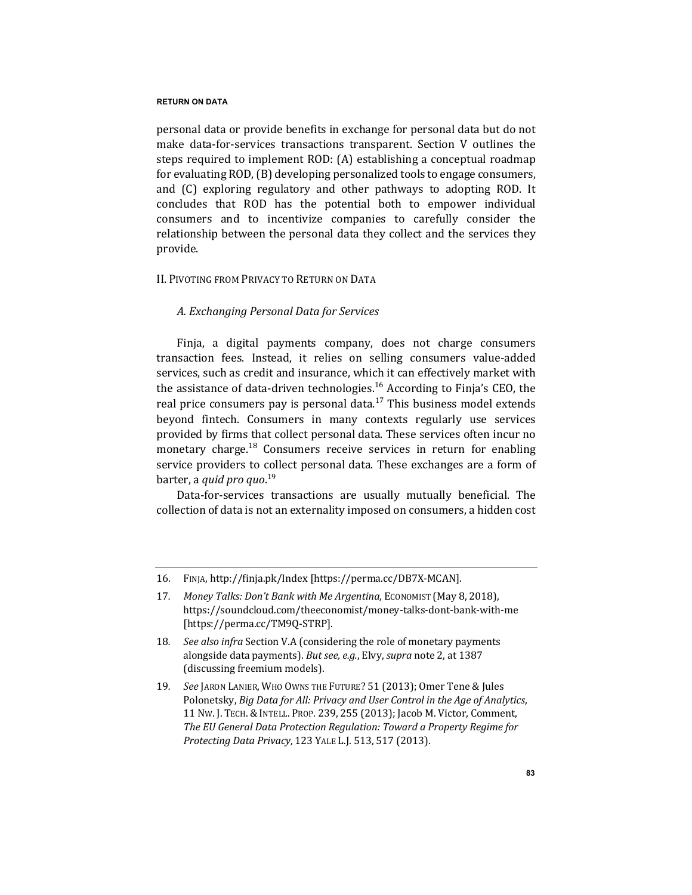personal data or provide benefits in exchange for personal data but do not make data-for-services transactions transparent. Section V outlines the steps required to implement ROD: (A) establishing a conceptual roadmap for evaluating ROD, (B) developing personalized tools to engage consumers, and (C) exploring regulatory and other pathways to adopting ROD. It concludes that ROD has the potential both to empower individual consumers and to incentivize companies to carefully consider the relationship between the personal data they collect and the services they provide.

# II. PIVOTING FROM PRIVACY TO RETURN ON DATA

# *A. Exchanging Personal Data for Services*

Finja, a digital payments company, does not charge consumers transaction fees. Instead, it relies on selling consumers value-added services, such as credit and insurance, which it can effectively market with the assistance of data-driven technologies.<sup>16</sup> According to Finja's CEO, the real price consumers pay is personal data.<sup>17</sup> This business model extends beyond fintech. Consumers in many contexts regularly use services provided by firms that collect personal data. These services often incur no monetary charge.<sup>18</sup> Consumers receive services in return for enabling service providers to collect personal data. These exchanges are a form of barter, a *quid pro quo*.<sup>19</sup>

Data-for-services transactions are usually mutually beneficial. The collection of data is not an externality imposed on consumers, a hidden cost

<sup>16.</sup> FINJA, http://finja.pk/Index [https://perma.cc/DB7X-MCAN].

<sup>17.</sup> Money Talks: Don't Bank with Me Argentina, ECONOMIST (May 8, 2018), https://soundcloud.com/theeconomist/money-talks-dont-bank-with-me [https://perma.cc/TM9Q-STRP].

<sup>18.</sup> *See also infra* Section V.A (considering the role of monetary payments alongside data payments). But see, e.g., Elvy, *supra* note 2, at 1387 (discussing freemium models).

<sup>19.</sup> *See* JARON LANIER, WHO OWNS THE FUTURE? 51 (2013); Omer Tene & Jules Polonetsky, *Big Data for All: Privacy and User Control in the Age of Analytics*, 11 Nw. J. TECH. & INTELL. PROP. 239, 255 (2013); Jacob M. Victor, Comment, The EU General Data Protection Regulation: Toward a Property Regime for *Protecting Data Privacy*, 123 YALE L.J. 513, 517 (2013).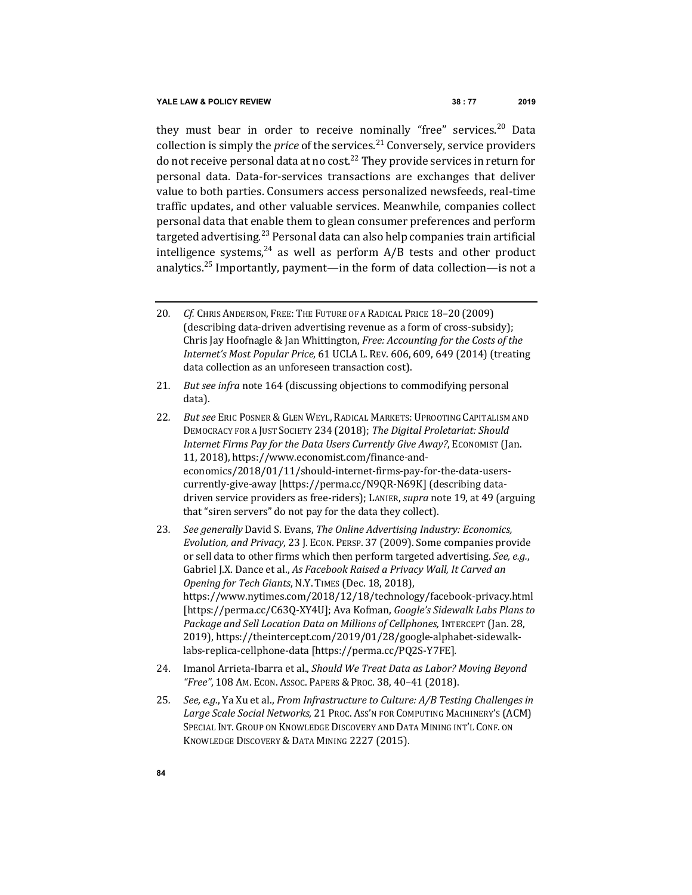they must bear in order to receive nominally "free" services.<sup>20</sup> Data collection is simply the *price* of the services.<sup>21</sup> Conversely, service providers do not receive personal data at no cost.<sup>22</sup> They provide services in return for personal data. Data-for-services transactions are exchanges that deliver value to both parties. Consumers access personalized newsfeeds, real-time traffic updates, and other valuable services. Meanwhile, companies collect personal data that enable them to glean consumer preferences and perform targeted advertising.<sup>23</sup> Personal data can also help companies train artificial intelligence systems,  $24$  as well as perform  $A/B$  tests and other product analytics.<sup>25</sup> Importantly, payment—in the form of data collection—is not a

- 21. *But see infra* note 164 (discussing objections to commodifying personal data).
- 22. But see ERIC POSNER & GLEN WEYL, RADICAL MARKETS: UPROOTING CAPITALISM AND DEMOCRACY FOR A JUST SOCIETY 234 (2018); *The Digital Proletariat: Should Internet Firms Pay for the Data Users Currently Give Away?*, ECONOMIST (Jan. 11, 2018), https://www.economist.com/finance-andeconomics/2018/01/11/should-internet-firms-pay-for-the-data-userscurrently-give-away [https://perma.cc/N9QR-N69K] (describing datadriven service providers as free-riders); LANIER, *supra* note 19, at 49 (arguing that "siren servers" do not pay for the data they collect).
- 23. *See generally* David S. Evans, *The Online Advertising Industry: Economics, Evolution, and Privacy, 23 J. ECON. PERSP. 37 (2009). Some companies provide* or sell data to other firms which then perform targeted advertising. See, e.g., Gabriel J.X. Dance et al., As Facebook Raised a Privacy Wall, It Carved an *Opening for Tech Giants, N.Y. TIMES (Dec. 18, 2018),* https://www.nytimes.com/2018/12/18/technology/facebook-privacy.html [https://perma.cc/C63Q-XY4U]; Ava Kofman, *Google's Sidewalk Labs Plans to Package and Sell Location Data on Millions of Cellphones, INTERCEPT (Jan. 28,* 2019), https://theintercept.com/2019/01/28/google-alphabet-sidewalklabs-replica-cellphone-data [https://perma.cc/PQ2S-Y7FE]*.*
- 24. Imanol Arrieta-Ibarra et al., *Should We Treat Data as Labor? Moving Beyond* "Free", 108 Am. Econ. Assoc. Papers & Proc. 38, 40-41 (2018).
- 25. *See, e.g.*, Ya Xu et al., *From Infrastructure to Culture: A/B Testing Challenges in* Large Scale Social Networks, 21 Proc. Ass'n FOR COMPUTING MACHINERY'S (ACM) SPECIAL INT. GROUP ON KNOWLEDGE DISCOVERY AND DATA MINING INT'L CONF. ON KNOWLEDGE DISCOVERY & DATA MINING 2227 (2015).

<sup>20.</sup> Cf. Chris Anderson, Free: The Future of a Radical Price 18-20 (2009) (describing data-driven advertising revenue as a form of cross-subsidy); Chris Jay Hoofnagle & Jan Whittington, *Free: Accounting for the Costs of the Internet's Most Popular Price,* 61 UCLA L. REV. 606, 609, 649 (2014) (treating data collection as an unforeseen transaction cost).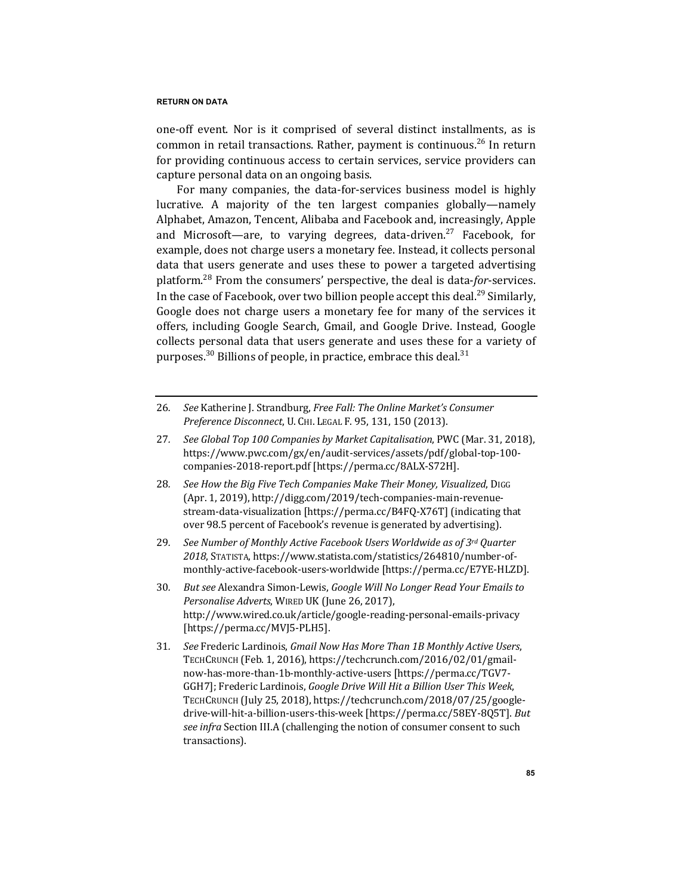one-off event. Nor is it comprised of several distinct installments, as is common in retail transactions. Rather, payment is continuous.<sup>26</sup> In return for providing continuous access to certain services, service providers can capture personal data on an ongoing basis.

For many companies, the data-for-services business model is highly lucrative. A majority of the ten largest companies globally—namely Alphabet, Amazon, Tencent, Alibaba and Facebook and, increasingly, Apple and Microsoft—are, to varying degrees, data-driven.<sup>27</sup> Facebook, for example, does not charge users a monetary fee. Instead, it collects personal data that users generate and uses these to power a targeted advertising platform.<sup>28</sup> From the consumers' perspective, the deal is data-*for*-services. In the case of Facebook, over two billion people accept this deal.<sup>29</sup> Similarly, Google does not charge users a monetary fee for many of the services it offers, including Google Search, Gmail, and Google Drive. Instead, Google collects personal data that users generate and uses these for a variety of purposes.<sup>30</sup> Billions of people, in practice, embrace this deal.<sup>31</sup>

- 26. *See* Katherine J. Strandburg, *Free Fall: The Online Market's Consumer Preference Disconnect*, U. CHI. LEGAL F. 95, 131, 150 (2013).
- 27. See Global Top 100 Companies by Market Capitalisation, PWC (Mar. 31, 2018), https://www.pwc.com/gx/en/audit-services/assets/pdf/global-top-100 companies-2018-report.pdf [https://perma.cc/8ALX-S72H].
- 28. See How the Big Five Tech Companies Make Their Money, Visualized, DIGG (Apr. 1, 2019), http://digg.com/2019/tech-companies-main-revenuestream-data-visualization [https://perma.cc/B4FQ-X76T] (indicating that over 98.5 percent of Facebook's revenue is generated by advertising).
- 29. *See Number of Monthly Active Facebook Users Worldwide as of 3<sup>rd</sup> Ouarter 2018*, STATISTA, https://www.statista.com/statistics/264810/number-ofmonthly-active-facebook-users-worldwide [https://perma.cc/E7YE-HLZD].
- 30. *But see* Alexandra Simon-Lewis, *Google Will No Longer Read Your Emails to Personalise Adverts*, WIRED UK (June 26, 2017), http://www.wired.co.uk/article/google-reading-personal-emails-privacy [https://perma.cc/MVJ5-PLH5].
- 31. See Frederic Lardinois, *Gmail Now Has More Than 1B Monthly Active Users*, TECHCRUNCH (Feb. 1, 2016), https://techcrunch.com/2016/02/01/gmailnow-has-more-than-1b-monthly-active-users [https://perma.cc/TGV7- GGH7]; Frederic Lardinois, *Google Drive Will Hit a Billion User This Week*, TECHCRUNCH (July 25, 2018), https://techcrunch.com/2018/07/25/googledrive-will-hit-a-billion-users-this-week [https://perma.cc/58EY-8Q5T]. But *see infra* Section III.A (challenging the notion of consumer consent to such transactions).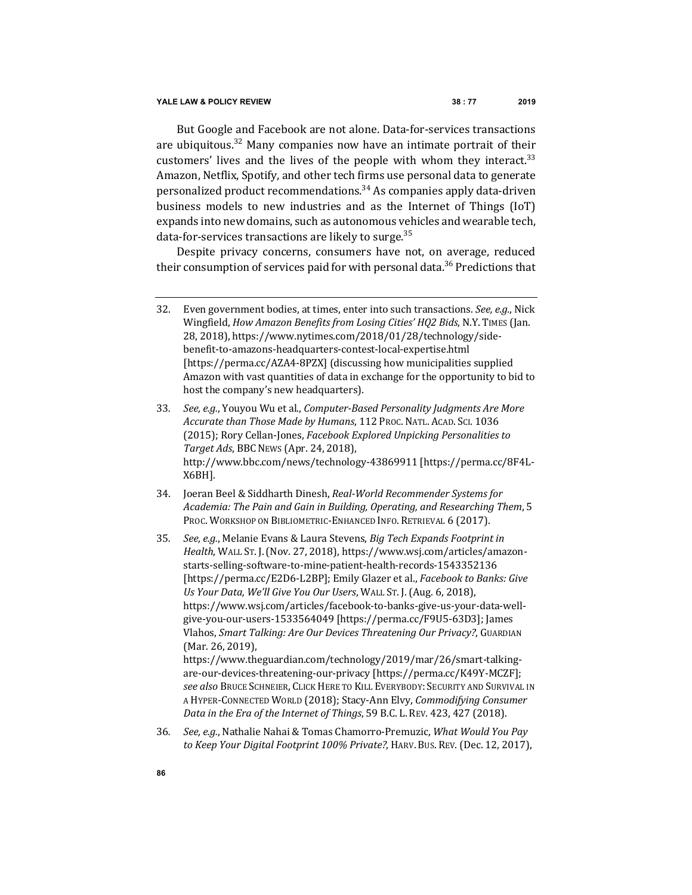But Google and Facebook are not alone. Data-for-services transactions are ubiquitous.<sup>32</sup> Many companies now have an intimate portrait of their customers' lives and the lives of the people with whom they interact. $33$ Amazon, Netflix, Spotify, and other tech firms use personal data to generate personalized product recommendations.<sup>34</sup> As companies apply data-driven business models to new industries and as the Internet of Things (IoT) expands into new domains, such as autonomous vehicles and wearable tech, data-for-services transactions are likely to surge.<sup>35</sup>

Despite privacy concerns, consumers have not, on average, reduced their consumption of services paid for with personal data.<sup>36</sup> Predictions that

- 33. *See, e.g.*, Youyou Wu et al., *Computer-Based Personality Judgments Are More* Accurate than Those Made by Humans, 112 PROC. NATL. ACAD. SCI. 1036 (2015); Rory Cellan-Jones, *Facebook Explored Unpicking Personalities to Target Ads*, BBC NEWS (Apr. 24, 2018), http://www.bbc.com/news/technology-43869911 [https://perma.cc/8F4L-X6BH].
- 34. Joeran Beel & Siddharth Dinesh, Real-World Recommender Systems for *Academia: The Pain and Gain in Building, Operating, and Researching Them*, 5 PROC. WORKSHOP ON BIBLIOMETRIC-ENHANCED INFO. RETRIEVAL 6 (2017).
- 35. *See, e.g.*, Melanie Evans & Laura Stevens, *Big Tech Expands Footprint in Health*, WALL ST. J. (Nov. 27, 2018), https://www.wsj.com/articles/amazonstarts-selling-software-to-mine-patient-health-records-1543352136 [https://perma.cc/E2D6-L2BP]; Emily Glazer et al., *Facebook to Banks: Give Us Your Data, We'll Give You Our Users*, WALL ST. J. (Aug. 6, 2018), https://www.wsj.com/articles/facebook-to-banks-give-us-your-data-wellgive-you-our-users-1533564049 [https://perma.cc/F9U5-63D3]; James Vlahos, Smart Talking: Are Our Devices Threatening Our Privacy?, GUARDIAN (Mar. 26, 2019), https://www.theguardian.com/technology/2019/mar/26/smart-talkingare-our-devices-threatening-our-privacy [https://perma.cc/K49Y-MCZF]; see also Bruce Schneier, Click Here to Kill Everybody: Security and Survival in A HYPER-CONNECTED WORLD (2018); Stacy-Ann Elvy, *Commodifying Consumer* 
	- *Data in the Era of the Internet of Things*, 59 B.C. L. REV. 423, 427 (2018).
- 36. *See, e.g.*, Nathalie Nahai & Tomas Chamorro-Premuzic, *What Would You Pay to Keep Your Digital Footprint 100% Private?*, HARV. BUS. REV. (Dec. 12, 2017),

<sup>32.</sup> Even government bodies, at times, enter into such transactions. *See, e.g.*, Nick Wingfield, *How Amazon Benefits from Losing Cities' HQ2 Bids*, N.Y. TIMES (Jan. 28, 2018), https://www.nytimes.com/2018/01/28/technology/sidebenefit-to-amazons-headquarters-contest-local-expertise.html [https://perma.cc/AZA4-8PZX] (discussing how municipalities supplied Amazon with vast quantities of data in exchange for the opportunity to bid to host the company's new headquarters).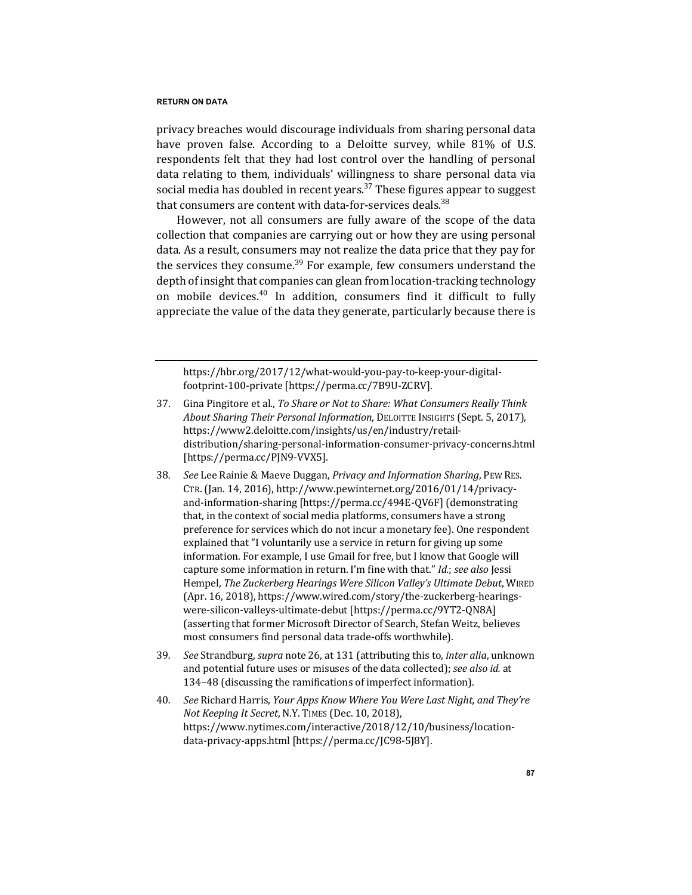privacy breaches would discourage individuals from sharing personal data have proven false. According to a Deloitte survey, while 81% of U.S. respondents felt that they had lost control over the handling of personal data relating to them, individuals' willingness to share personal data via social media has doubled in recent years.<sup>37</sup> These figures appear to suggest that consumers are content with data-for-services deals.<sup>38</sup>

However, not all consumers are fully aware of the scope of the data collection that companies are carrying out or how they are using personal data. As a result, consumers may not realize the data price that they pay for the services they consume.<sup>39</sup> For example, few consumers understand the depth of insight that companies can glean from location-tracking technology on mobile devices.<sup>40</sup> In addition, consumers find it difficult to fully appreciate the value of the data they generate, particularly because there is

https://hbr.org/2017/12/what-would-you-pay-to-keep-your-digitalfootprint-100-private [https://perma.cc/7B9U-ZCRV].

- 37. Gina Pingitore et al., *To Share or Not to Share: What Consumers Really Think About Sharing Their Personal Information*, DELOITTE INSIGHTS (Sept. 5, 2017), https://www2.deloitte.com/insights/us/en/industry/retaildistribution/sharing-personal-information-consumer-privacy-concerns.html [https://perma.cc/PJN9-VVX5].
- 38. See Lee Rainie & Maeve Duggan, Privacy and Information Sharing, PEW RES. CTR. (Jan. 14, 2016), http://www.pewinternet.org/2016/01/14/privacyand-information-sharing [https://perma.cc/494E-QV6F] (demonstrating that, in the context of social media platforms, consumers have a strong preference for services which do not incur a monetary fee). One respondent explained that "I voluntarily use a service in return for giving up some information. For example, I use Gmail for free, but I know that Google will capture some information in return. I'm fine with that." *Id.*; *see also* Jessi Hempel, *The Zuckerberg Hearings Were Silicon Valley's Ultimate Debut*, WIRED (Apr. 16, 2018), https://www.wired.com/story/the-zuckerberg-hearingswere-silicon-valleys-ultimate-debut [https://perma.cc/9YT2-QN8A] (asserting that former Microsoft Director of Search, Stefan Weitz, believes most consumers find personal data trade-offs worthwhile).
- 39*. See* Strandburg, *supra* note 26, at 131 (attributing this to, *inter alia*, unknown and potential future uses or misuses of the data collected); *see also id.* at 134-48 (discussing the ramifications of imperfect information).
- 40. *See* Richard Harris, *Your Apps Know Where You Were Last Night, and They're Not Keeping It Secret, N.Y. TIMES (Dec. 10, 2018),* https://www.nytimes.com/interactive/2018/12/10/business/locationdata-privacy-apps.html [https://perma.cc/JC98-5J8Y].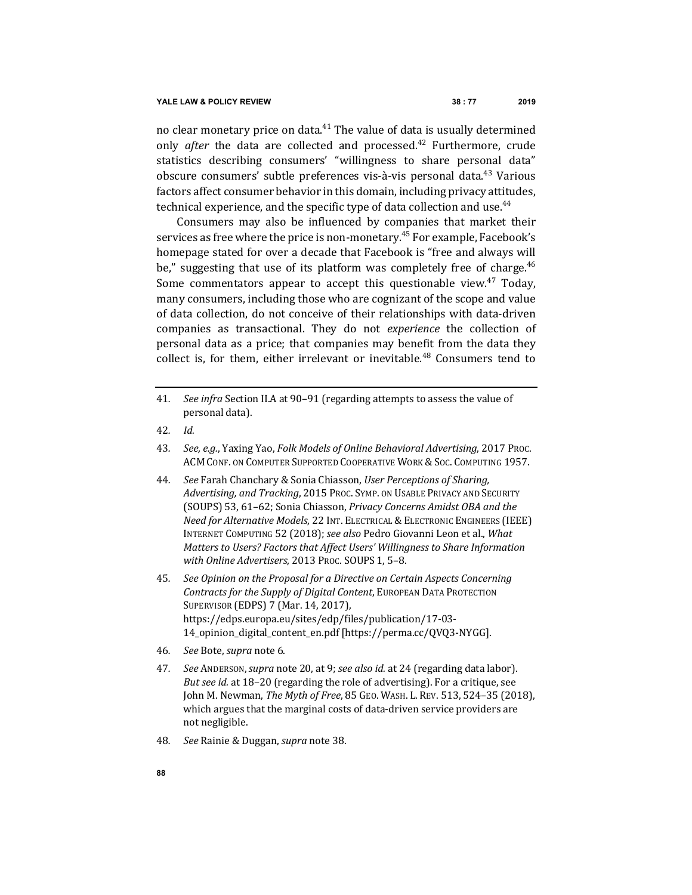no clear monetary price on data.<sup>41</sup> The value of data is usually determined only *after* the data are collected and processed.<sup>42</sup> Furthermore, crude statistics describing consumers' "willingness to share personal data" obscure consumers' subtle preferences vis-à-vis personal data.<sup>43</sup> Various factors affect consumer behavior in this domain, including privacy attitudes, technical experience, and the specific type of data collection and use.<sup>44</sup>

Consumers may also be influenced by companies that market their services as free where the price is non-monetary.<sup>45</sup> For example, Facebook's homepage stated for over a decade that Facebook is "free and always will be," suggesting that use of its platform was completely free of charge. $46$ Some commentators appear to accept this questionable view.<sup>47</sup> Today, many consumers, including those who are cognizant of the scope and value of data collection, do not conceive of their relationships with data-driven companies as transactional. They do not *experience* the collection of personal data as a price; that companies may benefit from the data they collect is, for them, either irrelevant or inevitable. $48$  Consumers tend to

- 42*. Id.*
- 43. *See, e.g.*, Yaxing Yao, Folk Models of Online Behavioral Advertising, 2017 Proc. ACM CONF. ON COMPUTER SUPPORTED COOPERATIVE WORK & SOC. COMPUTING 1957.
- 44. *See* Farah Chanchary & Sonia Chiasson, User Perceptions of Sharing, Advertising, and Tracking, 2015 PROC. SYMP. ON USABLE PRIVACY AND SECURITY (SOUPS) 53, 61–62; Sonia Chiasson, *Privacy Concerns Amidst OBA and the Need for Alternative Models,* 22 INT. ELECTRICAL & ELECTRONIC ENGINEERS (IEEE) INTERNET COMPUTING 52 (2018); see also Pedro Giovanni Leon et al., What *Matters to Users? Factors that Affect Users' Willingness to Share Information* with Online Advertisers, 2013 Proc. SOUPS 1, 5-8.
- 45. See Opinion on the Proposal for a Directive on Certain Aspects Concerning *Contracts for the Supply of Digital Content*, EUROPEAN DATA PROTECTION SUPERVISOR (EDPS) 7 (Mar. 14, 2017), https://edps.europa.eu/sites/edp/files/publication/17-03- 14\_opinion\_digital\_content\_en.pdf [https://perma.cc/QVQ3-NYGG].
- 46*. See* Bote, *supra* note 6.
- 47*. See* ANDERSON,*supra* note 20, at 9; *see also id.* at 24 (regarding data labor). *But see id.* at 18-20 (regarding the role of advertising). For a critique, see John M. Newman, *The Myth of Free*, 85 GEO. WASH. L. REV. 513, 524-35 (2018), which argues that the marginal costs of data-driven service providers are not negligible.
- 48*. See* Rainie & Duggan, *supra* note 38.

<sup>41.</sup> *See infra* Section II.A at 90-91 (regarding attempts to assess the value of personal data).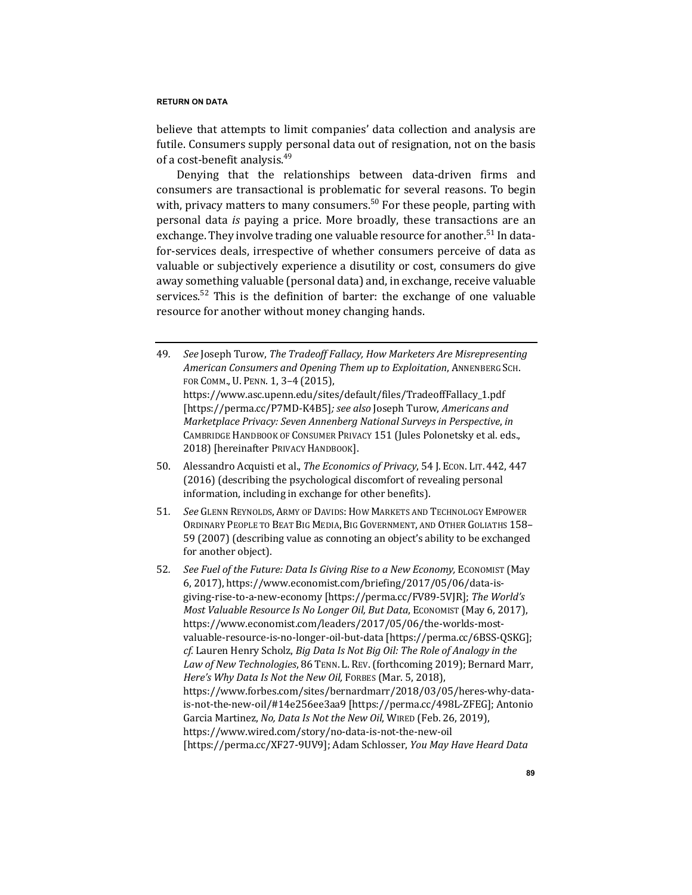believe that attempts to limit companies' data collection and analysis are futile. Consumers supply personal data out of resignation, not on the basis of a cost-benefit analysis. $49$ 

Denying that the relationships between data-driven firms and consumers are transactional is problematic for several reasons. To begin with, privacy matters to many consumers.<sup>50</sup> For these people, parting with personal data *is* paying a price. More broadly, these transactions are an exchange. They involve trading one valuable resource for another.<sup>51</sup> In datafor-services deals, irrespective of whether consumers perceive of data as valuable or subjectively experience a disutility or cost, consumers do give away something valuable (personal data) and, in exchange, receive valuable services.<sup>52</sup> This is the definition of barter: the exchange of one valuable resource for another without money changing hands.

- 49. See Joseph Turow, The Tradeoff Fallacy, How Marketers Are Misrepresenting *American Consumers and Opening Them up to Exploitation*, ANNENBERG SCH. FOR COMM., U. PENN. 1, 3-4 (2015), https://www.asc.upenn.edu/sites/default/files/TradeoffFallacy\_1.pdf [https://perma.cc/P7MD-K4B5]; see also Joseph Turow, *Americans and Marketplace Privacy: Seven Annenberg National Surveys in Perspective, in* CAMBRIDGE HANDBOOK OF CONSUMER PRIVACY 151 (Jules Polonetsky et al. eds., 2018) [hereinafter PRIVACY HANDBOOK].
- 50. Alessandro Acquisti et al., *The Economics of Privacy*, 54 J. Econ. LIT. 442, 447 (2016) (describing the psychological discomfort of revealing personal information, including in exchange for other benefits).
- 51. *See* GLENN REYNOLDS, ARMY OF DAVIDS: HOW MARKETS AND TECHNOLOGY EMPOWER ORDINARY PEOPLE TO BEAT BIG MEDIA, BIG GOVERNMENT, AND OTHER GOLIATHS 158-59 (2007) (describing value as connoting an object's ability to be exchanged for another object).
- 52. *See Fuel of the Future: Data Is Giving Rise to a New Economy, Economist (May* 6, 2017), https://www.economist.com/briefing/2017/05/06/data-isgiving-rise-to-a-new-economy [https://perma.cc/FV89-5VJR]; The World's *Most Valuable Resource Is No Longer Oil, But Data*, ECONOMIST (May 6, 2017), https://www.economist.com/leaders/2017/05/06/the-worlds-mostvaluable-resource-is-no-longer-oil-but-data [https://perma.cc/6BSS-QSKG]; *cf.* Lauren Henry Scholz, *Big Data Is Not Big Oil: The Role of Analogy in the* Law of New Technologies, 86 TENN. L. REV. (forthcoming 2019); Bernard Marr, *Here's Why Data Is Not the New Oil, FORBES (Mar. 5, 2018),* https://www.forbes.com/sites/bernardmarr/2018/03/05/heres-why-datais-not-the-new-oil/#14e256ee3aa9 [https://perma.cc/498L-ZFEG]; Antonio Garcia Martinez, *No, Data Is Not the New Oil*, WIRED (Feb. 26, 2019), https://www.wired.com/story/no-data-is-not-the-new-oil [https://perma.cc/XF27-9UV9]; Adam Schlosser, *You May Have Heard Data*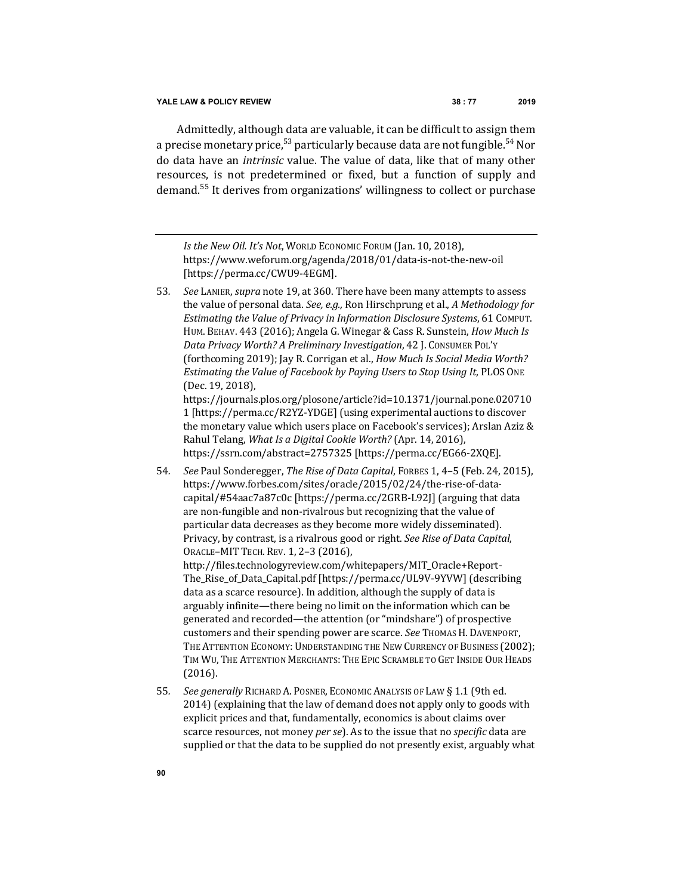Admittedly, although data are valuable, it can be difficult to assign them a precise monetary price,  $53$  particularly because data are not fungible.  $54$  Nor do data have an *intrinsic* value. The value of data, like that of many other resources, is not predetermined or fixed, but a function of supply and demand.<sup>55</sup> It derives from organizations' willingness to collect or purchase

*Is the New Oil. It's Not, WORLD ECONOMIC FORUM (Jan. 10, 2018),* https://www.weforum.org/agenda/2018/01/data-is-not-the-new-oil [https://perma.cc/CWU9-4EGM].

53. See LANIER, *supra* note 19, at 360. There have been many attempts to assess the value of personal data. See, e.g., Ron Hirschprung et al., *A Methodology for Estimating the Value of Privacy in Information Disclosure Systems,* 61 COMPUT. HUM. BEHAV. 443 (2016); Angela G. Winegar & Cass R. Sunstein, *How Much Is Data Privacy Worth? A Preliminary Investigation*, 42 J. CONSUMER POL'Y (forthcoming 2019); Jay R. Corrigan et al., *How Much Is Social Media Worth? Estimating the Value of Facebook by Paying Users to Stop Using It, PLOS ONE* (Dec. 19, 2018),

https://journals.plos.org/plosone/article?id=10.1371/journal.pone.020710 1 [https://perma.cc/R2YZ-YDGE] (using experimental auctions to discover the monetary value which users place on Facebook's services); Arslan Aziz & Rahul Telang, What Is a Digital Cookie Worth? (Apr. 14, 2016), https://ssrn.com/abstract=2757325 [https://perma.cc/EG66-2XQE].

- 54. *See Paul Sonderegger, The Rise of Data Capital, FORBES 1, 4–5 (Feb. 24, 2015),* https://www.forbes.com/sites/oracle/2015/02/24/the-rise-of-datacapital/#54aac7a87c0c [https://perma.cc/2GRB-L92J] (arguing that data are non-fungible and non-rivalrous but recognizing that the value of particular data decreases as they become more widely disseminated). Privacy, by contrast, is a rivalrous good or right. See Rise of Data Capital, ORACLE-MIT TECH. REV. 1, 2-3 (2016), http://files.technologyreview.com/whitepapers/MIT\_Oracle+Report-The\_Rise\_of\_Data\_Capital.pdf [https://perma.cc/UL9V-9YVW] (describing data as a scarce resource). In addition, although the supply of data is arguably infinite—there being no limit on the information which can be generated and recorded—the attention (or "mindshare") of prospective customers and their spending power are scarce. See THOMAS H. DAVENPORT, THE ATTENTION ECONOMY: UNDERSTANDING THE NEW CURRENCY OF BUSINESS (2002); TIM WU, THE ATTENTION MERCHANTS: THE EPIC SCRAMBLE TO GET INSIDE OUR HEADS (2016).
- 55. *See generally* RICHARD A. POSNER, ECONOMIC ANALYSIS OF LAW § 1.1 (9th ed. 2014) (explaining that the law of demand does not apply only to goods with explicit prices and that, fundamentally, economics is about claims over scarce resources, not money *per se*). As to the issue that no *specific* data are supplied or that the data to be supplied do not presently exist, arguably what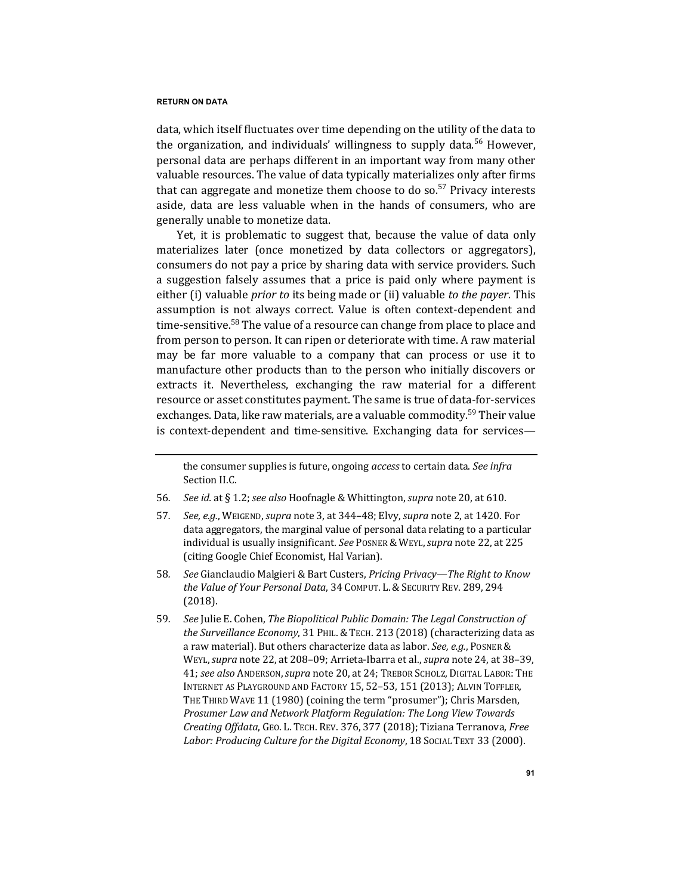data, which itself fluctuates over time depending on the utility of the data to the organization, and individuals' willingness to supply data.<sup>56</sup> However, personal data are perhaps different in an important way from many other valuable resources. The value of data typically materializes only after firms that can aggregate and monetize them choose to do so.<sup>57</sup> Privacy interests aside, data are less valuable when in the hands of consumers, who are generally unable to monetize data.

Yet, it is problematic to suggest that, because the value of data only materializes later (once monetized by data collectors or aggregators), consumers do not pay a price by sharing data with service providers. Such a suggestion falsely assumes that a price is paid only where payment is either (i) valuable *prior* to its being made or (ii) valuable to the payer. This assumption is not always correct. Value is often context-dependent and time-sensitive.<sup>58</sup> The value of a resource can change from place to place and from person to person. It can ripen or deteriorate with time. A raw material may be far more valuable to a company that can process or use it to manufacture other products than to the person who initially discovers or extracts it. Nevertheless, exchanging the raw material for a different resource or asset constitutes payment. The same is true of data-for-services exchanges. Data, like raw materials, are a valuable commodity.<sup>59</sup> Their value is context-dependent and time-sensitive. Exchanging data for services—

the consumer supplies is future, ongoing *access* to certain data. See infra Section II.C.

<sup>56.</sup> *See id.* at § 1.2; *see also* Hoofnagle & Whittington, *supra* note 20, at 610.

<sup>57</sup>*. See, e.g.*, WEIGEND, *supra* note 3, at 344–48; Elvy, *supra* note 2, at 1420. For data aggregators, the marginal value of personal data relating to a particular individual is usually insignificant. See POSNER & WEYL, *supra* note 22, at 225 (citing Google Chief Economist, Hal Varian).

<sup>58.</sup> *See* Gianclaudio Malgieri & Bart Custers, *Pricing Privacy—The Right to Know the Value of Your Personal Data,* 34 COMPUT. L. & SECURITY REV. 289, 294 (2018).

<sup>59.</sup> *See* Julie E. Cohen, *The Biopolitical Public Domain: The Legal Construction of* the Surveillance Economy, 31 PHIL. & TECH. 213 (2018) (characterizing data as a raw material). But others characterize data as labor. *See, e.g.*, POSNER & WEYL, *supra* note 22, at 208-09; Arrieta-Ibarra et al., *supra* note 24, at 38-39, 41; see also ANDERSON, supra note 20, at 24; TREBOR SCHOLZ, DIGITAL LABOR: THE INTERNET AS PLAYGROUND AND FACTORY 15, 52-53, 151 (2013); ALVIN TOFFLER, THE THIRD WAVE 11 (1980) (coining the term "prosumer"); Chris Marsden, *Prosumer Law and Network Platform Regulation: The Long View Towards Creating Offdata*, GEO. L. TECH. REV. 376, 377 (2018); Tiziana Terranova, *Free*  Labor: Producing Culture for the Digital Economy, 18 Social TEXT 33 (2000).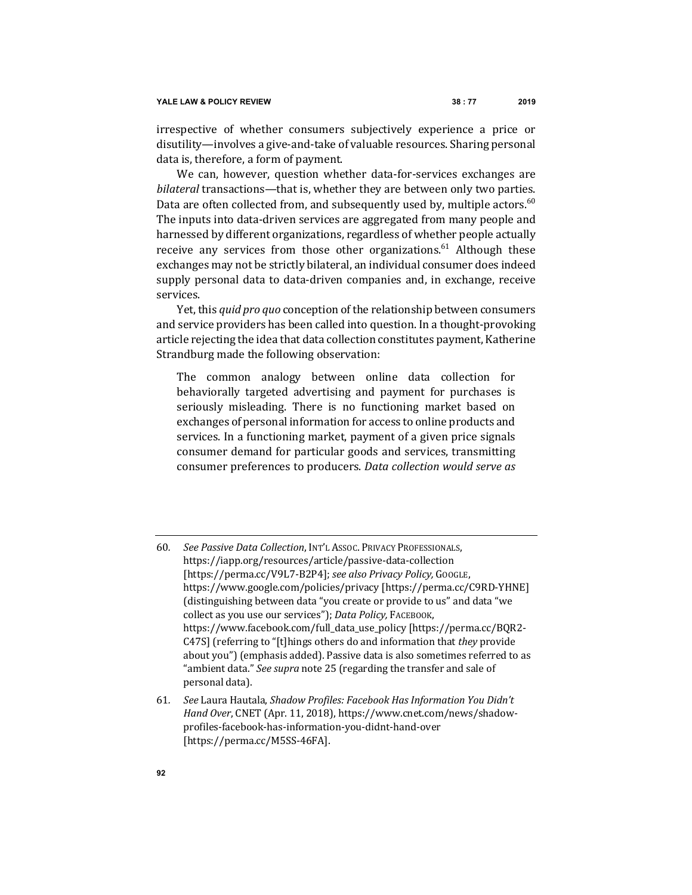irrespective of whether consumers subjectively experience a price or disutility—involves a give-and-take of valuable resources. Sharing personal data is, therefore, a form of payment.

We can, however, question whether data-for-services exchanges are *bilateral* transactions—that is, whether they are between only two parties. Data are often collected from, and subsequently used by, multiple actors.<sup>60</sup> The inputs into data-driven services are aggregated from many people and harnessed by different organizations, regardless of whether people actually receive any services from those other organizations.<sup>61</sup> Although these exchanges may not be strictly bilateral, an individual consumer does indeed supply personal data to data-driven companies and, in exchange, receive services.

Yet, this *quid pro quo* conception of the relationship between consumers and service providers has been called into question. In a thought-provoking article rejecting the idea that data collection constitutes payment, Katherine Strandburg made the following observation:

The common analogy between online data collection for behaviorally targeted advertising and payment for purchases is seriously misleading. There is no functioning market based on exchanges of personal information for access to online products and services. In a functioning market, payment of a given price signals consumer demand for particular goods and services, transmitting consumer preferences to producers. *Data collection would serve as* 

- 60*. See Passive Data Collection*, INT'L ASSOC. PRIVACY PROFESSIONALS, https://iapp.org/resources/article/passive-data-collection [https://perma.cc/V9L7-B2P4]; see also Privacy Policy, GoogLE, https://www.google.com/policies/privacy [https://perma.cc/C9RD-YHNE] (distinguishing between data "you create or provide to us" and data "we collect as you use our services"); Data Policy, FАСЕВООК, https://www.facebook.com/full\_data\_use\_policy [https://perma.cc/BQR2- C47S] (referring to "[t]hings others do and information that *they* provide about you") (emphasis added). Passive data is also sometimes referred to as "ambient data." *See supra* note 25 (regarding the transfer and sale of personal data).
- 61. See Laura Hautala, *Shadow Profiles: Facebook Has Information You Didn't Hand Over*, CNET (Apr. 11, 2018), https://www.cnet.com/news/shadowprofiles-facebook-has-information-you-didnt-hand-over [https://perma.cc/M5SS-46FA].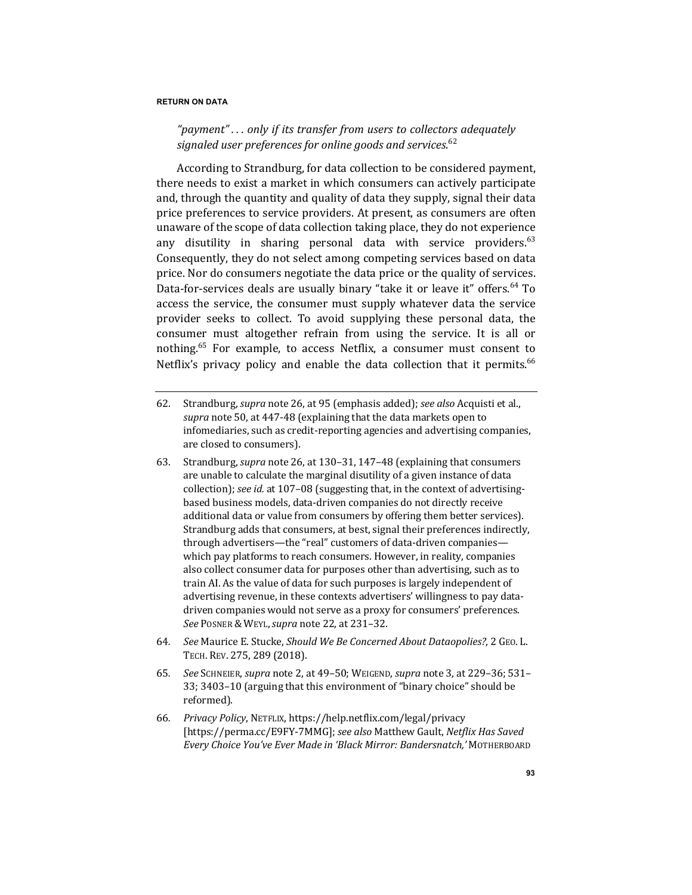# "payment"... only if its transfer from users to collectors adequately signaled user preferences for online goods and services.<sup>62</sup>

According to Strandburg, for data collection to be considered payment, there needs to exist a market in which consumers can actively participate and, through the quantity and quality of data they supply, signal their data price preferences to service providers. At present, as consumers are often unaware of the scope of data collection taking place, they do not experience any disutility in sharing personal data with service providers. $63$ Consequently, they do not select among competing services based on data price. Nor do consumers negotiate the data price or the quality of services. Data-for-services deals are usually binary "take it or leave it" offers.<sup>64</sup> To access the service, the consumer must supply whatever data the service provider seeks to collect. To avoid supplying these personal data, the consumer must altogether refrain from using the service. It is all or nothing.<sup>65</sup> For example, to access Netflix, a consumer must consent to Netflix's privacy policy and enable the data collection that it permits.<sup>66</sup>

- 62. Strandburg, *supra* note 26, at 95 (emphasis added); *see also* Acquisti et al., supra note 50, at 447-48 (explaining that the data markets open to infomediaries, such as credit-reporting agencies and advertising companies, are closed to consumers).
- 63. Strandburg, *supra* note 26, at 130–31, 147–48 (explaining that consumers are unable to calculate the marginal disutility of a given instance of data collection); *see id.* at 107-08 (suggesting that, in the context of advertisingbased business models, data-driven companies do not directly receive additional data or value from consumers by offering them better services). Strandburg adds that consumers, at best, signal their preferences indirectly, through advertisers—the "real" customers of data-driven companies which pay platforms to reach consumers. However, in reality, companies also collect consumer data for purposes other than advertising, such as to train AI. As the value of data for such purposes is largely independent of advertising revenue, in these contexts advertisers' willingness to pay datadriven companies would not serve as a proxy for consumers' preferences. *See* POSNER & WEYL,*supra* note 22, at 231–32.
- 64*. See* Maurice E. Stucke, *Should We Be Concerned About Dataopolies?*, 2 GEO. L. TECH. REV. 275, 289 (2018).
- 65*. See* SCHNEIER, *supra* note 2, at 49–50; WEIGEND, *supra* note 3, at 229–36; 531– 33; 3403–10 (arguing that this environment of "binary choice" should be reformed).
- 66*. Privacy Policy*, NETFLIX, https://help.netflix.com/legal/privacy [https://perma.cc/E9FY-7MMG]; see also Matthew Gault, Netflix Has Saved *Every Choice You've Ever Made in 'Black Mirror: Bandersnatch,'* MOTHERBOARD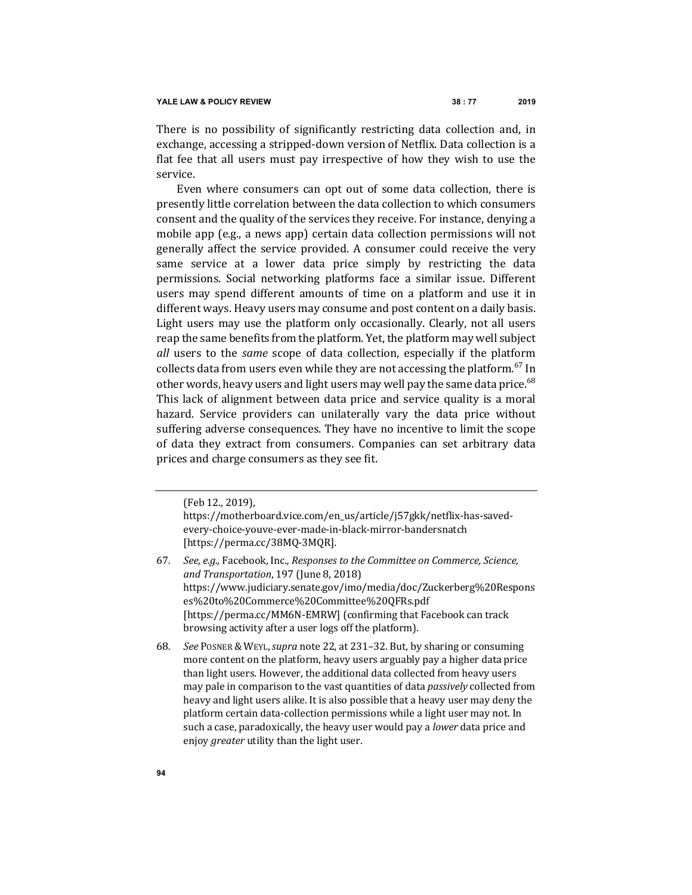There is no possibility of significantly restricting data collection and, in exchange, accessing a stripped-down version of Netflix. Data collection is a flat fee that all users must pay irrespective of how they wish to use the service.

Even where consumers can opt out of some data collection, there is presently little correlation between the data collection to which consumers consent and the quality of the services they receive. For instance, denying a mobile app (e.g., a news app) certain data collection permissions will not generally affect the service provided. A consumer could receive the very same service at a lower data price simply by restricting the data permissions. Social networking platforms face a similar issue. Different users may spend different amounts of time on a platform and use it in different ways. Heavy users may consume and post content on a daily basis. Light users may use the platform only occasionally. Clearly, not all users reap the same benefits from the platform. Yet, the platform may well subject *all* users to the *same* scope of data collection, especially if the platform collects data from users even while they are not accessing the platform.<sup>67</sup> In other words, heavy users and light users may well pay the same data price.<sup>68</sup> This lack of alignment between data price and service quality is a moral hazard. Service providers can unilaterally vary the data price without suffering adverse consequences. They have no incentive to limit the scope of data they extract from consumers. Companies can set arbitrary data prices and charge consumers as they see fit.

(Feb 12., 2019),

https://motherboard.vice.com/en\_us/article/j57gkk/netflix-has-savedevery-choice-youve-ever-made-in-black-mirror-bandersnatch [https://perma.cc/38MQ-3MQR].

- 67. *See, e.g.,* Facebook, Inc., Responses to the Committee on Commerce, Science, *and Transportation*, 197 (June 8, 2018) https://www.judiciary.senate.gov/imo/media/doc/Zuckerberg%20Respons es%20to%20Commerce%20Committee%20QFRs.pdf [https://perma.cc/MM6N-EMRW] (confirming that Facebook can track browsing activity after a user logs off the platform).
- 68*. See* POSNER & WEYL,*supra* note 22, at 231–32. But, by sharing or consuming more content on the platform, heavy users arguably pay a higher data price than light users. However, the additional data collected from heavy users may pale in comparison to the vast quantities of data *passively* collected from heavy and light users alike. It is also possible that a heavy user may deny the platform certain data-collection permissions while a light user may not. In such a case, paradoxically, the heavy user would pay a *lower* data price and enjoy *greater* utility than the light user.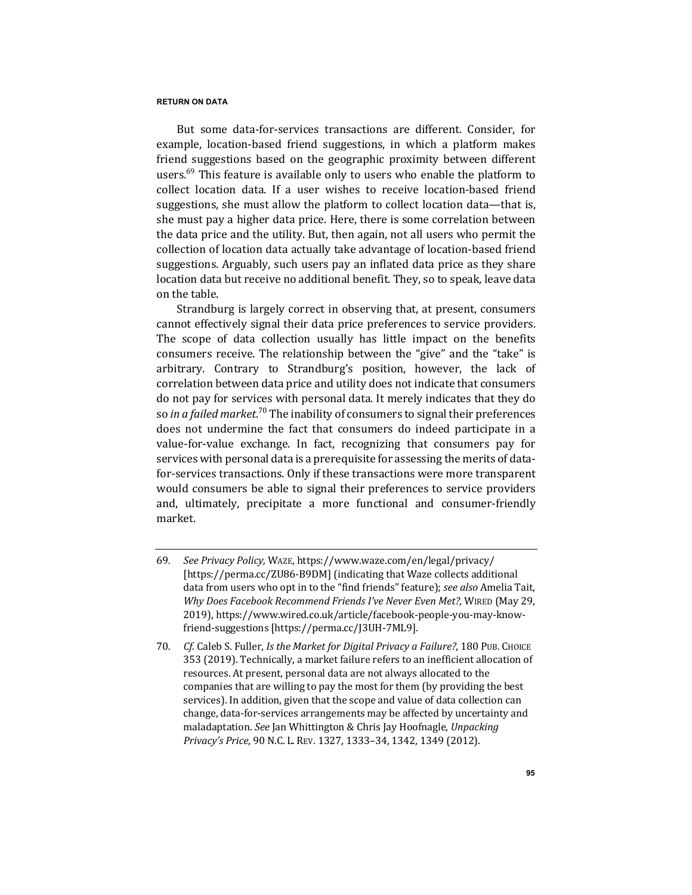But some data-for-services transactions are different. Consider, for example, location-based friend suggestions, in which a platform makes friend suggestions based on the geographic proximity between different users. $^{69}$  This feature is available only to users who enable the platform to collect location data. If a user wishes to receive location-based friend suggestions, she must allow the platform to collect location data—that is, she must pay a higher data price. Here, there is some correlation between the data price and the utility. But, then again, not all users who permit the collection of location data actually take advantage of location-based friend suggestions. Arguably, such users pay an inflated data price as they share location data but receive no additional benefit. They, so to speak, leave data on the table.

Strandburg is largely correct in observing that, at present, consumers cannot effectively signal their data price preferences to service providers. The scope of data collection usually has little impact on the benefits consumers receive. The relationship between the "give" and the "take" is arbitrary. Contrary to Strandburg's position, however, the lack of correlation between data price and utility does not indicate that consumers do not pay for services with personal data. It merely indicates that they do so *in a failed market.*<sup>70</sup> The inability of consumers to signal their preferences does not undermine the fact that consumers do indeed participate in a value-for-value exchange. In fact, recognizing that consumers pay for services with personal data is a prerequisite for assessing the merits of datafor-services transactions. Only if these transactions were more transparent would consumers be able to signal their preferences to service providers and, ultimately, precipitate a more functional and consumer-friendly market.

<sup>69</sup>*. See Privacy Policy,* WAZE, https://www.waze.com/en/legal/privacy/ [https://perma.cc/ZU86-B9DM] (indicating that Waze collects additional data from users who opt in to the "find friends" feature); *see also* Amelia Tait, Why Does Facebook Recommend Friends I've Never Even Met?, WIRED (May 29, 2019), https://www.wired.co.uk/article/facebook-people-you-may-knowfriend-suggestions [https://perma.cc/J3UH-7ML9].

<sup>70.</sup> *Cf.* Caleb S. Fuller, *Is the Market for Digital Privacy a Failure?*, 180 Pub. Choice 353 (2019). Technically, a market failure refers to an inefficient allocation of resources. At present, personal data are not always allocated to the companies that are willing to pay the most for them (by providing the best services). In addition, given that the scope and value of data collection can change, data-for-services arrangements may be affected by uncertainty and maladaptation. See Jan Whittington & Chris Jay Hoofnagle, *Unpacking* Privacy's Price, 90 N.C. L. REV. 1327, 1333-34, 1342, 1349 (2012).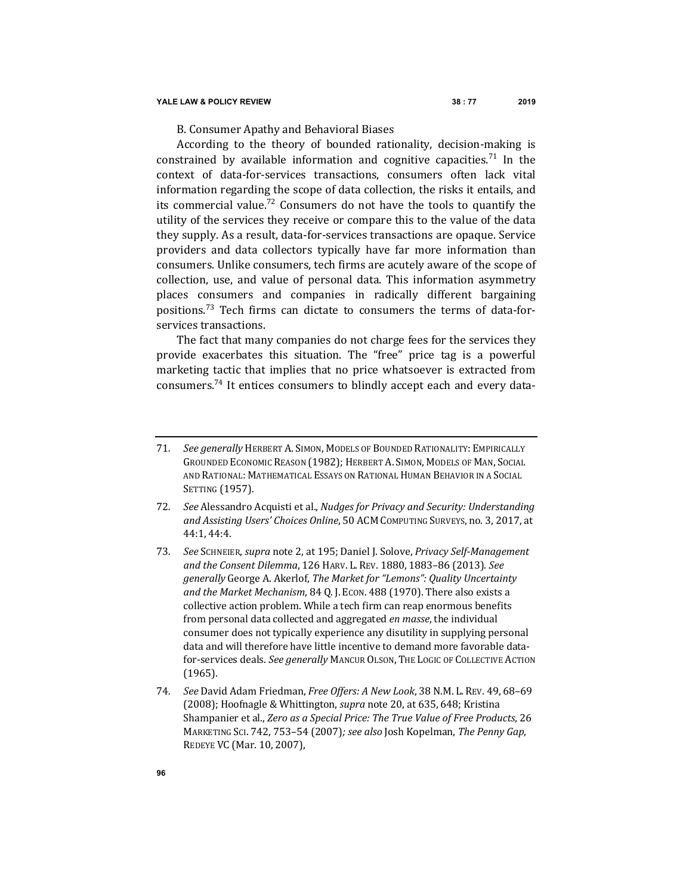B. Consumer Apathy and Behavioral Biases

According to the theory of bounded rationality, decision-making is constrained by available information and cognitive capacities.<sup>71</sup> In the context of data-for-services transactions, consumers often lack vital information regarding the scope of data collection, the risks it entails, and its commercial value.<sup>72</sup> Consumers do not have the tools to quantify the utility of the services they receive or compare this to the value of the data they supply. As a result, data-for-services transactions are opaque. Service providers and data collectors typically have far more information than consumers. Unlike consumers, tech firms are acutely aware of the scope of collection, use, and value of personal data. This information asymmetry places consumers and companies in radically different bargaining positions.<sup>73</sup> Tech firms can dictate to consumers the terms of data-forservices transactions.

The fact that many companies do not charge fees for the services they provide exacerbates this situation. The "free" price tag is a powerful marketing tactic that implies that no price whatsoever is extracted from consumers.<sup>74</sup> It entices consumers to blindly accept each and every data-

<sup>71.</sup> *See generally* HERBERT A. SIMON, MODELS OF BOUNDED RATIONALITY: EMPIRICALLY GROUNDED ECONOMIC REASON (1982); HERBERT A. SIMON, MODELS OF MAN, SOCIAL AND RATIONAL: MATHEMATICAL ESSAYS ON RATIONAL HUMAN BEHAVIOR IN A SOCIAL SETTING (1957).

<sup>72.</sup> *See* Alessandro Acquisti et al., *Nudges for Privacy and Security: Understanding* and Assisting Users' Choices Online, 50 ACM COMPUTING SURVEYS, no. 3, 2017, at 44:1, 44:4.

<sup>73</sup>*. See* SCHNEIER, *supra* note 2, at 195; Daniel J. Solove, *Privacy Self-Management*  and the Consent Dilemma, 126 HARV. L. REV. 1880, 1883-86 (2013). See *generally* George A. Akerlof, *The Market for "Lemons": Quality Uncertainty* and the Market Mechanism, 84 Q. J. Econ. 488 (1970). There also exists a collective action problem. While a tech firm can reap enormous benefits from personal data collected and aggregated *en masse*, the individual consumer does not typically experience any disutility in supplying personal data and will therefore have little incentive to demand more favorable datafor-services deals. See generally MANCUR OLSON, THE LOGIC OF COLLECTIVE ACTION (1965).

<sup>74</sup>*. See* David Adam Friedman, *Free Offers: A New Look*, 38 N.M. L. REV. 49, 68–69 (2008); Hoofnagle & Whittington, *supra* note 20, at 635, 648; Kristina Shampanier et al., *Zero as a Special Price: The True Value of Free Products*, 26 MARKETING SCI. 742, 753-54 (2007); see also Josh Kopelman, The Penny Gap, REDEYE VC (Mar. 10, 2007),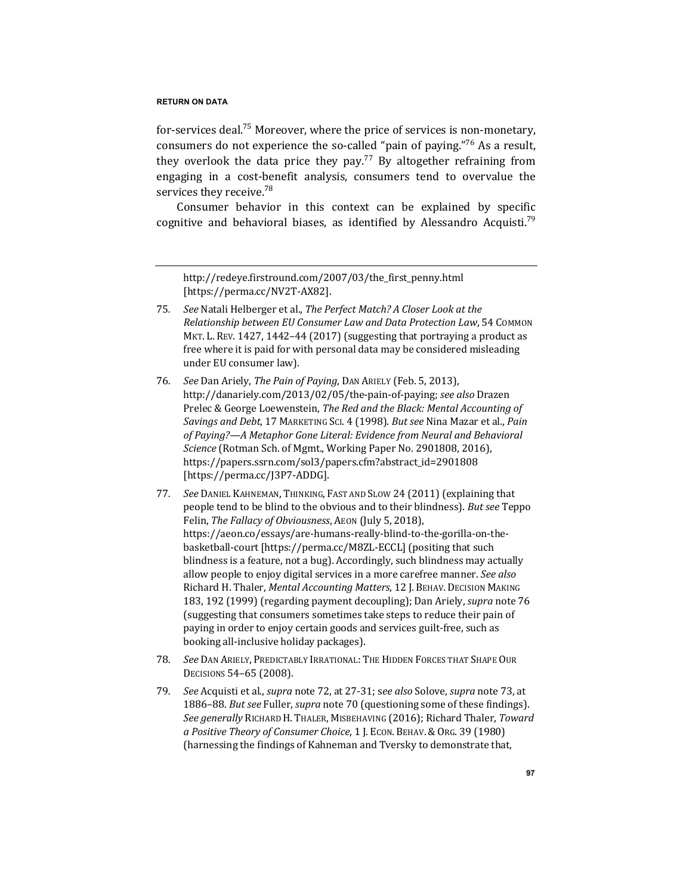for-services deal.<sup>75</sup> Moreover, where the price of services is non-monetary, consumers do not experience the so-called "pain of paying."<sup>76</sup> As a result, they overlook the data price they pay.<sup>77</sup> By altogether refraining from engaging in a cost-benefit analysis, consumers tend to overvalue the services they receive.<sup>78</sup>

Consumer behavior in this context can be explained by specific cognitive and behavioral biases, as identified by Alessandro Acquisti.<sup>79</sup>

http://redeye.firstround.com/2007/03/the\_first\_penny.html [https://perma.cc/NV2T-AX82].

- 75. See Natali Helberger et al., The Perfect Match? A Closer Look at the *Relationship between EU Consumer Law and Data Protection Law*, 54 COMMON MKT. L. REV. 1427, 1442-44 (2017) (suggesting that portraying a product as free where it is paid for with personal data may be considered misleading under EU consumer law).
- 76*. See* Dan Ariely, *The Pain of Paying*, DAN ARIELY (Feb. 5, 2013), http://danariely.com/2013/02/05/the-pain-of-paying; *see also* Drazen Prelec & George Loewenstein, *The Red and the Black: Mental Accounting of Savings and Debt, 17 MARKETING SCI. 4 (1998). But see Nina Mazar et al., Pain* of Paying?—A Metaphor Gone Literal: Evidence from Neural and Behavioral *Science* (Rotman Sch. of Mgmt., Working Paper No. 2901808, 2016), https://papers.ssrn.com/sol3/papers.cfm?abstract\_id=2901808 [https://perma.cc/J3P7-ADDG].
- 77. *See* DANIEL KAHNEMAN, THINKING, FAST AND SLOW 24 (2011) (explaining that people tend to be blind to the obvious and to their blindness). *But see* Teppo Felin, The Fallacy of Obviousness, AEON (July 5, 2018), https://aeon.co/essays/are-humans-really-blind-to-the-gorilla-on-thebasketball-court [https://perma.cc/M8ZL-ECCL] (positing that such blindness is a feature, not a bug). Accordingly, such blindness may actually allow people to enjoy digital services in a more carefree manner. *See also* Richard H. Thaler, *Mental Accounting Matters*, 12 J. BEHAV. DECISION MAKING 183, 192 (1999) (regarding payment decoupling); Dan Ariely, *supra* note 76 (suggesting that consumers sometimes take steps to reduce their pain of paying in order to enjoy certain goods and services guilt-free, such as booking all-inclusive holiday packages).
- 78. See Dan Ariely, Predictably Irrational: The Hidden Forces that Shape Our DECISIONS 54-65 (2008).
- 79. *See* Acquisti et al., *supra* note 72, at 27-31; see also Solove, *supra* note 73, at 1886–88. *But see* Fuller, *supra* note 70 (questioning some of these findings). See generally RICHARD H. THALER, MISBEHAVING (2016); Richard Thaler, Toward *a Positive Theory of Consumer Choice*, 1 J. ECON. BEHAV.&ORG. 39 (1980) (harnessing the findings of Kahneman and Tversky to demonstrate that,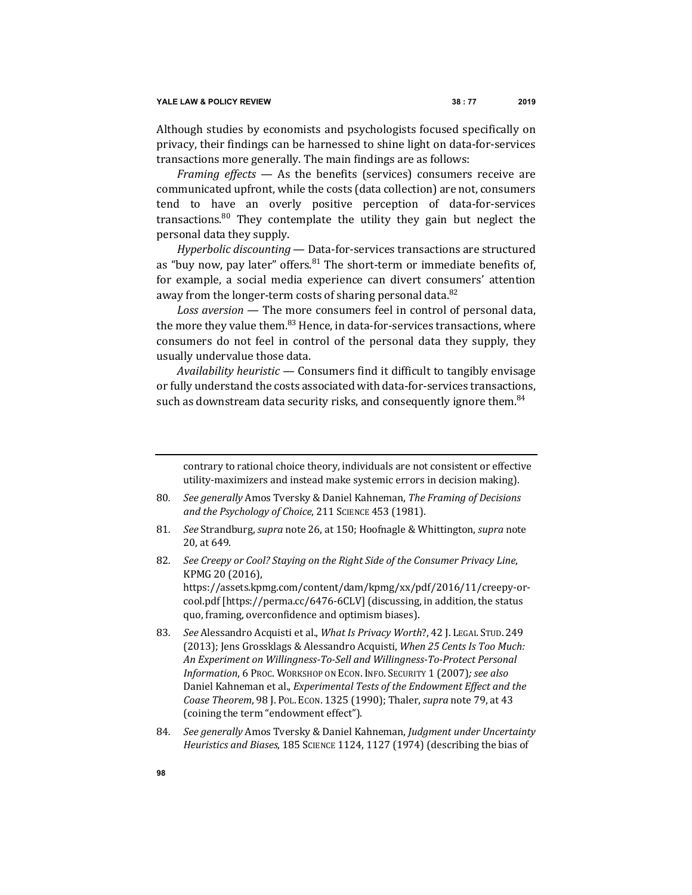Although studies by economists and psychologists focused specifically on privacy, their findings can be harnessed to shine light on data-for-services transactions more generally. The main findings are as follows:

*Framing effects* — As the benefits (services) consumers receive are communicated upfront, while the costs (data collection) are not, consumers tend to have an overly positive perception of data-for-services transactions.<sup>80</sup> They contemplate the utility they gain but neglect the personal data they supply.

*Hyperbolic discounting* — Data-for-services transactions are structured as "buy now, pay later" offers.  $81$  The short-term or immediate benefits of, for example, a social media experience can divert consumers' attention away from the longer-term costs of sharing personal data.<sup>82</sup>

Loss aversion - The more consumers feel in control of personal data, the more they value them.<sup>83</sup> Hence, in data-for-services transactions, where consumers do not feel in control of the personal data they supply, they usually undervalue those data.

Availability heuristic - Consumers find it difficult to tangibly envisage or fully understand the costs associated with data-for-services transactions, such as downstream data security risks, and consequently ignore them.<sup>84</sup>

contrary to rational choice theory, individuals are not consistent or effective utility-maximizers and instead make systemic errors in decision making).

- 80. *See generally* Amos Tversky & Daniel Kahneman, *The Framing of Decisions* and the Psychology of Choice, 211 SCIENCE 453 (1981).
- 81*. See* Strandburg, *supra* note 26, at 150; Hoofnagle & Whittington, *supra* note 20, at 649.
- 82. See Creepy or Cool? Staying on the Right Side of the Consumer Privacy Line, KPMG 20 (2016), https://assets.kpmg.com/content/dam/kpmg/xx/pdf/2016/11/creepy-or-

cool.pdf [https://perma.cc/6476-6CLV] (discussing, in addition, the status quo, framing, overconfidence and optimism biases).

- 83. See Alessandro Acquisti et al., *What Is Privacy Worth*?, 42 J. LEGAL STUD. 249 (2013); Jens Grossklags & Alessandro Acquisti, When 25 Cents Is Too Much: An Experiment on Willingness-To-Sell and Willingness-To-Protect Personal *Information*, 6 Proc. WORKSHOP ON ECON. INFO. SECURITY 1 (2007); see also Daniel Kahneman et al., *Experimental Tests of the Endowment Effect and the Coase Theorem,* 98 J. Pol. Econ. 1325 (1990); Thaler, *supra* note 79, at 43 (coining the term "endowment effect").
- 84. See generally Amos Tversky & Daniel Kahneman, Judgment under Uncertainty *Heuristics and Biases,* 185 SCIENCE 1124, 1127 (1974) (describing the bias of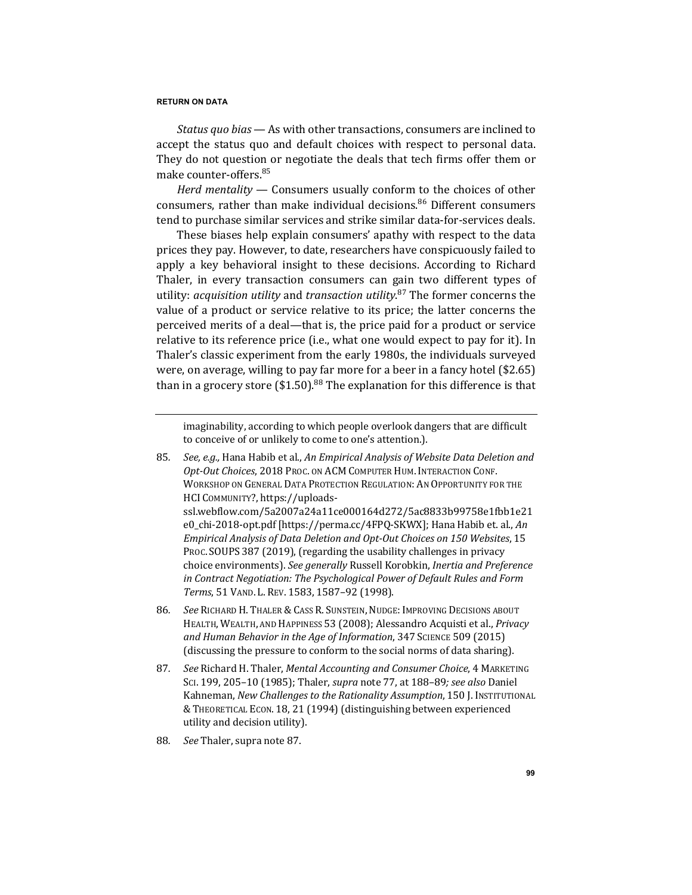*Status quo bias* — As with other transactions, consumers are inclined to accept the status quo and default choices with respect to personal data. They do not question or negotiate the deals that tech firms offer them or make counter-offers.<sup>85</sup>

*Herd* mentality — Consumers usually conform to the choices of other consumers, rather than make individual decisions.<sup>86</sup> Different consumers tend to purchase similar services and strike similar data-for-services deals.

These biases help explain consumers' apathy with respect to the data prices they pay. However, to date, researchers have conspicuously failed to apply a key behavioral insight to these decisions. According to Richard Thaler, in every transaction consumers can gain two different types of utility: *acquisition utility* and *transaction utility*.<sup>87</sup> The former concerns the value of a product or service relative to its price; the latter concerns the perceived merits of a deal—that is, the price paid for a product or service relative to its reference price (i.e., what one would expect to pay for it). In Thaler's classic experiment from the early 1980s, the individuals surveyed were, on average, willing to pay far more for a beer in a fancy hotel  $$2.65$ ) than in a grocery store  $(\$1.50)$ .<sup>88</sup> The explanation for this difference is that

imaginability, according to which people overlook dangers that are difficult to conceive of or unlikely to come to one's attention.).

- 85. *See, e.g.,* Hana Habib et al., An Empirical Analysis of Website Data Deletion and Opt-Out Choices, 2018 Proc. on ACM COMPUTER HUM. INTERACTION CONF. WORKSHOP ON GENERAL DATA PROTECTION REGULATION: AN OPPORTUNITY FOR THE HCI COMMUNITY?, https://uploadsssl.webflow.com/5a2007a24a11ce000164d272/5ac8833b99758e1fbb1e21 e0 chi-2018-opt.pdf [https://perma.cc/4FPQ-SKWX]; Hana Habib et. al., An *Empirical Analysis of Data Deletion and Opt-Out Choices on 150 Websites*, 15 PROC. SOUPS 387 (2019), (regarding the usability challenges in privacy choice environments). See generally Russell Korobkin, Inertia and Preference in Contract Negotiation: The Psychological Power of Default Rules and Form *Terms*, 51 VAND. L. REV. 1583, 1587–92 (1998).
- 86. See RICHARD H. THALER & CASS R. SUNSTEIN, NUDGE: IMPROVING DECISIONS ABOUT HEALTH, WEALTH, AND HAPPINESS 53 (2008); Alessandro Acquisti et al., *Privacy* and Human Behavior in the Age of Information, 347 SCIENCE 509 (2015) (discussing the pressure to conform to the social norms of data sharing).
- 87. *See Richard H. Thaler, Mental Accounting and Consumer Choice, 4 MARKETING* Sci. 199, 205-10 (1985); Thaler, *supra* note 77, at 188-89; see also Daniel Kahneman, *New Challenges to the Rationality Assumption*, 150 J. INSTITUTIONAL & THEORETICAL ECON. 18, 21 (1994) (distinguishing between experienced utility and decision utility).
- 88. See Thaler, supra note 87.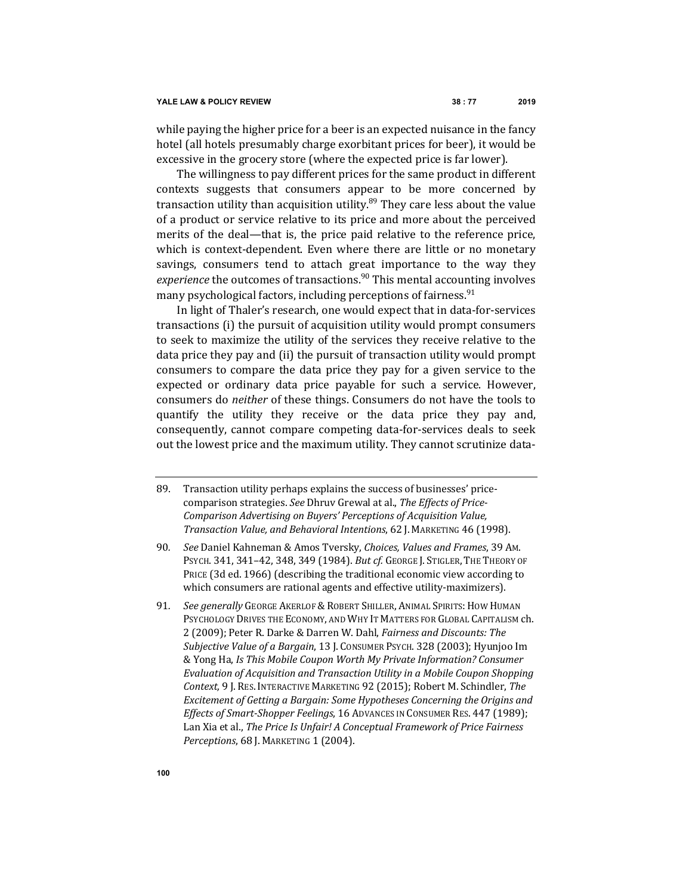while paying the higher price for a beer is an expected nuisance in the fancy hotel (all hotels presumably charge exorbitant prices for beer), it would be excessive in the grocery store (where the expected price is far lower).

The willingness to pay different prices for the same product in different contexts suggests that consumers appear to be more concerned by transaction utility than acquisition utility. $89$  They care less about the value of a product or service relative to its price and more about the perceived merits of the deal—that is, the price paid relative to the reference price, which is context-dependent. Even where there are little or no monetary savings, consumers tend to attach great importance to the way they *experience* the outcomes of transactions.<sup>90</sup> This mental accounting involves many psychological factors, including perceptions of fairness.  $91$ 

In light of Thaler's research, one would expect that in data-for-services transactions (i) the pursuit of acquisition utility would prompt consumers to seek to maximize the utility of the services they receive relative to the data price they pay and (ii) the pursuit of transaction utility would prompt consumers to compare the data price they pay for a given service to the expected or ordinary data price payable for such a service. However, consumers do *neither* of these things. Consumers do not have the tools to quantify the utility they receive or the data price they pay and, consequently, cannot compare competing data-for-services deals to seek out the lowest price and the maximum utility. They cannot scrutinize data-

- 89. Transaction utility perhaps explains the success of businesses' pricecomparison strategies. See Dhruv Grewal at al., The Effects of Price-*Comparison Advertising on Buyers' Perceptions of Acquisition Value, Transaction Value, and Behavioral Intentions*, 62 J. MARKETING 46 (1998).
- 90. *See Daniel Kahneman & Amos Tversky, Choices, Values and Frames, 39 Am.* PSYCH. 341, 341-42, 348, 349 (1984). *But cf.* GEORGE J. STIGLER, THE THEORY OF PRICE (3d ed. 1966) (describing the traditional economic view according to which consumers are rational agents and effective utility-maximizers).
- 91*. See generally* GEORGE AKERLOF &ROBERT SHILLER, ANIMAL SPIRITS:HOW HUMAN PSYCHOLOGY DRIVES THE ECONOMY, AND WHY IT MATTERS FOR GLOBAL CAPITALISM ch. 2 (2009); Peter R. Darke & Darren W. Dahl, *Fairness and Discounts: The* Subjective Value of a Bargain, 13 J. Consumer Psych. 328 (2003); Hyunjoo Im & Yong Ha, *Is This Mobile Coupon Worth My Private Information? Consumer Evaluation of Acquisition and Transaction Utility in a Mobile Coupon Shopping Context,* 9 J. RES. INTERACTIVE MARKETING 92 (2015); Robert M. Schindler, *The* Excitement of Getting a Bargain: Some Hypotheses Concerning the Origins and *Effects of Smart-Shopper Feelings*, 16 ADVANCES IN CONSUMER RES. 447 (1989); Lan Xia et al., *The Price Is Unfair! A Conceptual Framework of Price Fairness Perceptions*, 68 J. MARKETING 1 (2004).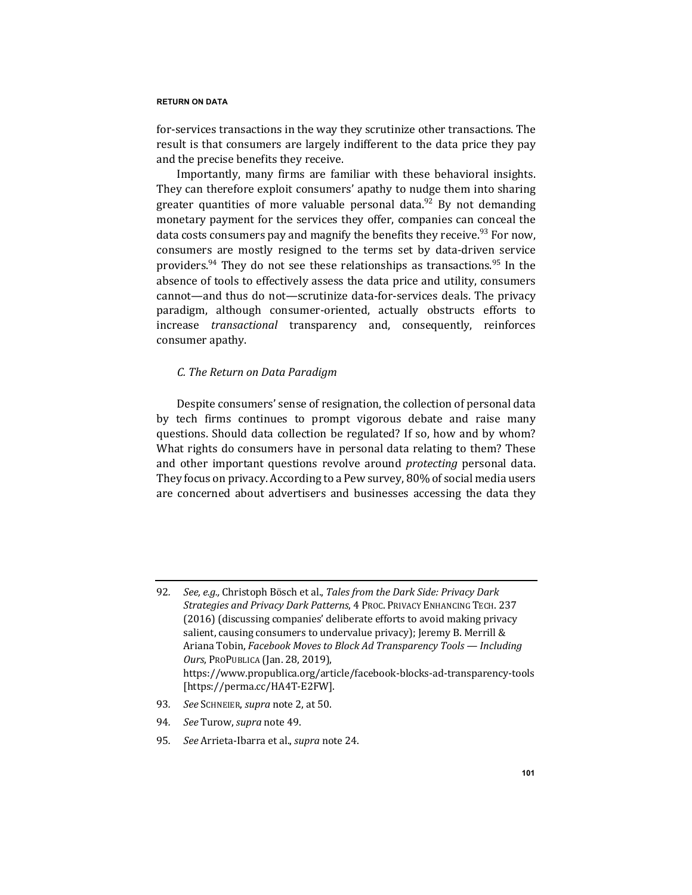for-services transactions in the way they scrutinize other transactions. The result is that consumers are largely indifferent to the data price they pay and the precise benefits they receive.

Importantly, many firms are familiar with these behavioral insights. They can therefore exploit consumers' apathy to nudge them into sharing greater quantities of more valuable personal data.<sup>92</sup> By not demanding monetary payment for the services they offer, companies can conceal the data costs consumers pay and magnify the benefits they receive.<sup>93</sup> For now, consumers are mostly resigned to the terms set by data-driven service providers.<sup>94</sup> They do not see these relationships as transactions.<sup>95</sup> In the absence of tools to effectively assess the data price and utility, consumers cannot—and thus do not—scrutinize data-for-services deals. The privacy paradigm, although consumer-oriented, actually obstructs efforts to increase *transactional* transparency and, consequently, reinforces consumer apathy.

# *C. The Return on Data Paradigm*

Despite consumers' sense of resignation, the collection of personal data by tech firms continues to prompt vigorous debate and raise many questions. Should data collection be regulated? If so, how and by whom? What rights do consumers have in personal data relating to them? These and other important questions revolve around *protecting* personal data. They focus on privacy. According to a Pew survey, 80% of social media users are concerned about advertisers and businesses accessing the data they

- 93. *See* SCHNEIER, *supra* note 2, at 50.
- 94. See Turow, supra note 49.
- 95. See Arrieta-Ibarra et al., *supra* note 24.

<sup>92.</sup> *See, e.g.,* Christoph Bösch et al., Tales from the Dark Side: Privacy Dark Strategies and Privacy Dark Patterns, 4 PROC. PRIVACY ENHANCING TECH. 237 (2016) (discussing companies' deliberate efforts to avoid making privacy salient, causing consumers to undervalue privacy); Jeremy B. Merrill & Ariana Tobin, *Facebook Moves to Block Ad Transparency Tools* — *Including Ours*, ProPUBLICA (Jan. 28, 2019), https://www.propublica.org/article/facebook-blocks-ad-transparency-tools [https://perma.cc/HA4T-E2FW].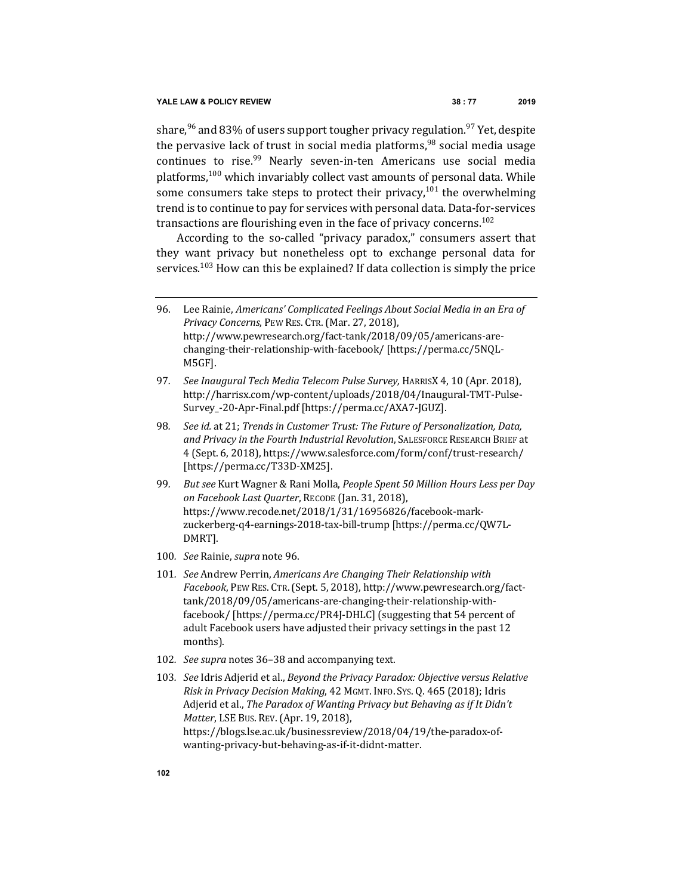share,<sup>96</sup> and 83% of users support tougher privacy regulation.<sup>97</sup> Yet, despite the pervasive lack of trust in social media platforms,  $98$  social media usage continues to rise.<sup>99</sup> Nearly seven-in-ten Americans use social media platforms,<sup>100</sup> which invariably collect vast amounts of personal data. While some consumers take steps to protect their privacy,<sup>101</sup> the overwhelming trend is to continue to pay for services with personal data. Data-for-services transactions are flourishing even in the face of privacy concerns.<sup>102</sup>

According to the so-called "privacy paradox," consumers assert that they want privacy but nonetheless opt to exchange personal data for services.<sup>103</sup> How can this be explained? If data collection is simply the price

- 96. Lee Rainie, *Americans' Complicated Feelings About Social Media in an Era of Privacy Concerns*, PEW RES. CTR. (Mar. 27, 2018), http://www.pewresearch.org/fact-tank/2018/09/05/americans-arechanging-their-relationship-with-facebook/ [https://perma.cc/5NQL-M5GF].
- 97*. See Inaugural Tech Media Telecom Pulse Survey,* HARRISX 4, 10 (Apr. 2018), http://harrisx.com/wp-content/uploads/2018/04/Inaugural-TMT-Pulse-Survey\_-20-Apr-Final.pdf [https://perma.cc/AXA7-JGUZ].
- 98. *See id.* at 21; *Trends in Customer Trust: The Future of Personalization, Data,* and Privacy in the Fourth Industrial Revolution, SALESFORCE RESEARCH BRIEF at 4 (Sept. 6, 2018), https://www.salesforce.com/form/conf/trust-research/ [https://perma.cc/T33D-XM25].
- 99. But see Kurt Wagner & Rani Molla, People Spent 50 Million Hours Less per Day *on Facebook Last Quarter*, RECODE (Jan. 31, 2018), https://www.recode.net/2018/1/31/16956826/facebook-markzuckerberg-q4-earnings-2018-tax-bill-trump [https://perma.cc/QW7L-DMRT].
- 100*. See* Rainie, *supra* note 96.
- 101. *See* Andrew Perrin, *Americans Are Changing Their Relationship with Facebook*, PEW RES. CTR.(Sept. 5, 2018), http://www.pewresearch.org/facttank/2018/09/05/americans-are-changing-their-relationship-withfacebook/ [https://perma.cc/PR4J-DHLC] (suggesting that 54 percent of adult Facebook users have adjusted their privacy settings in the past 12 months).
- 102. See supra notes 36-38 and accompanying text.
- 103. See Idris Adjerid et al., Beyond the Privacy Paradox: Objective versus Relative *Risk in Privacy Decision Making*, 42 MGMT. INFO. Sys. Q. 465 (2018); Idris Adjerid et al., *The Paradox of Wanting Privacy but Behaving as if It Didn't Matter*, LSE Bus. REV. (Apr. 19, 2018), https://blogs.lse.ac.uk/businessreview/2018/04/19/the-paradox-ofwanting-privacy-but-behaving-as-if-it-didnt-matter.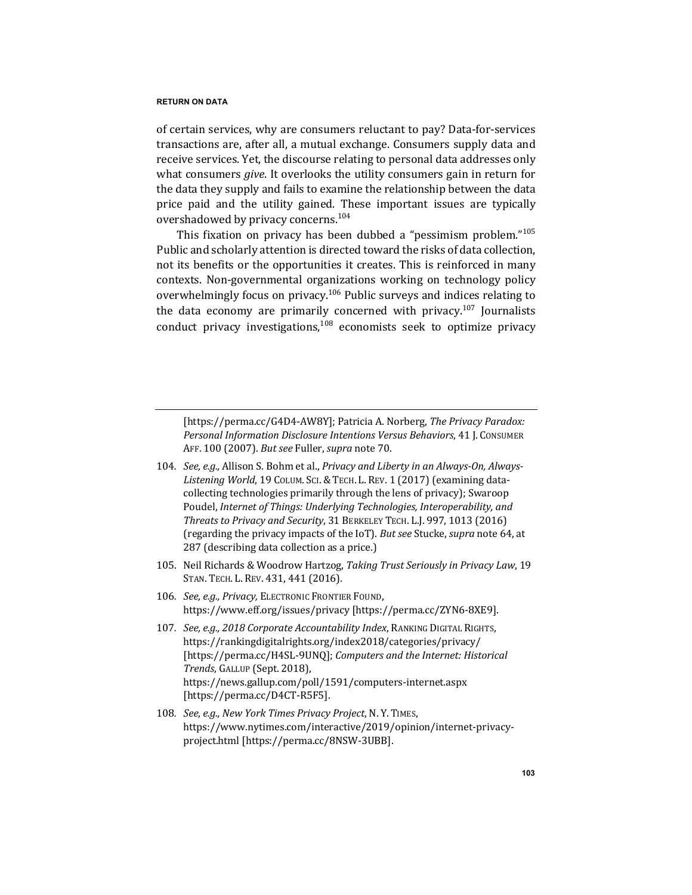of certain services, why are consumers reluctant to pay? Data-for-services transactions are, after all, a mutual exchange. Consumers supply data and receive services. Yet, the discourse relating to personal data addresses only what consumers *give*. It overlooks the utility consumers gain in return for the data they supply and fails to examine the relationship between the data price paid and the utility gained. These important issues are typically overshadowed by privacy concerns.<sup>104</sup>

This fixation on privacy has been dubbed a "pessimism problem."<sup>105</sup> Public and scholarly attention is directed toward the risks of data collection, not its benefits or the opportunities it creates. This is reinforced in many contexts. Non-governmental organizations working on technology policy overwhelmingly focus on privacy.<sup>106</sup> Public surveys and indices relating to the data economy are primarily concerned with privacy.<sup>107</sup> Journalists conduct privacy investigations,  $108$  economists seek to optimize privacy

[https://perma.cc/G4D4-AW8Y]; Patricia A. Norberg, *The Privacy Paradox: Personal Information Disclosure Intentions Versus Behaviors, 41 J. CONSUMER* AFF. 100 (2007). *But see* Fuller, *supra* note 70.

- 104. See, e.g., Allison S. Bohm et al., Privacy and Liberty in an Always-On, Always-Listening World, 19 COLUM. SCI. & TECH. L. REV. 1 (2017) (examining datacollecting technologies primarily through the lens of privacy); Swaroop Poudel, *Internet of Things: Underlying Technologies, Interoperability, and* Threats to Privacy and Security, 31 BERKELEY TECH. L.J. 997, 1013 (2016) (regarding the privacy impacts of the IoT). But see Stucke, supra note 64, at 287 (describing data collection as a price.)
- 105. Neil Richards & Woodrow Hartzog, *Taking Trust Seriously in Privacy Law*, 19 STAN. TECH. L. REV. 431, 441 (2016).
- 106. *See, e.g., Privacy, ELECTRONIC FRONTIER FOUND,* https://www.eff.org/issues/privacy [https://perma.cc/ZYN6-8XE9].
- 107. *See, e.g., 2018 Corporate Accountability Index*, RANKING DIGITAL RIGHTS, https://rankingdigitalrights.org/index2018/categories/privacy/ [https://perma.cc/H4SL-9UNO]; *Computers and the Internet: Historical Trends*, GALLUP (Sept. 2018), https://news.gallup.com/poll/1591/computers-internet.aspx [https://perma.cc/D4CT-R5F5].
- 108. *See, e.g., New York Times Privacy Project, N.Y. TIMES,* https://www.nytimes.com/interactive/2019/opinion/internet-privacyproject.html [https://perma.cc/8NSW-3UBB].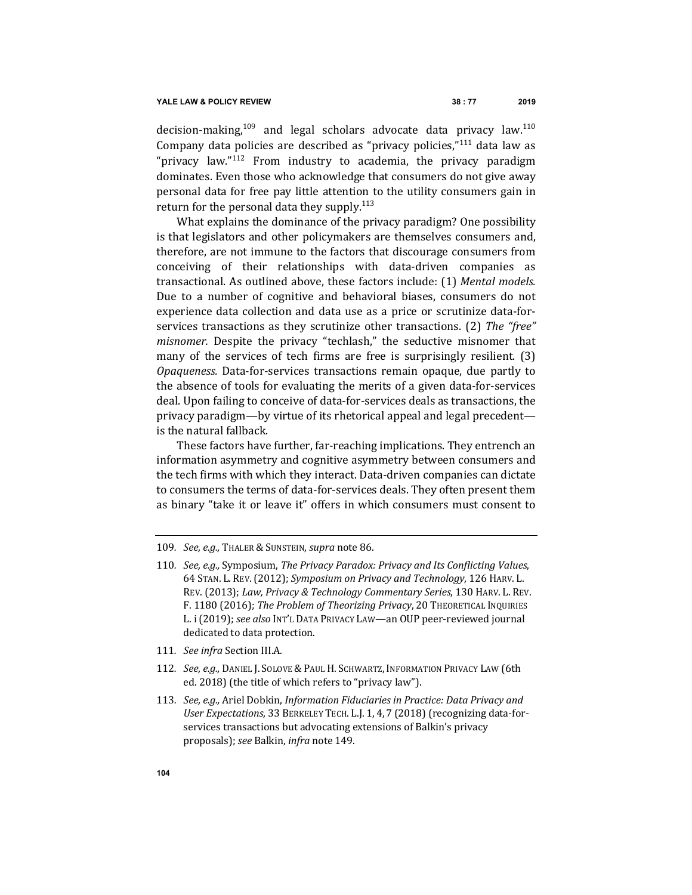decision-making,<sup>109</sup> and legal scholars advocate data privacy law.<sup>110</sup> Company data policies are described as "privacy policies," $111$  data law as "privacy law."<sup>112</sup> From industry to academia, the privacy paradigm dominates. Even those who acknowledge that consumers do not give away personal data for free pay little attention to the utility consumers gain in return for the personal data they supply.<sup>113</sup>

What explains the dominance of the privacy paradigm? One possibility is that legislators and other policymakers are themselves consumers and, therefore, are not immune to the factors that discourage consumers from conceiving of their relationships with data-driven companies as transactional. As outlined above, these factors include: (1) Mental models. Due to a number of cognitive and behavioral biases, consumers do not experience data collection and data use as a price or scrutinize data-forservices transactions as they scrutinize other transactions. (2) The "free" *misnomer.* Despite the privacy "techlash," the seductive misnomer that many of the services of tech firms are free is surprisingly resilient.  $(3)$ *Opaqueness.* Data-for-services transactions remain opaque, due partly to the absence of tools for evaluating the merits of a given data-for-services deal. Upon failing to conceive of data-for-services deals as transactions, the privacy paradigm—by virtue of its rhetorical appeal and legal precedent is the natural fallback.

These factors have further, far-reaching implications. They entrench an information asymmetry and cognitive asymmetry between consumers and the tech firms with which they interact. Data-driven companies can dictate to consumers the terms of data-for-services deals. They often present them as binary "take it or leave it" offers in which consumers must consent to

- 111. See infra Section III.A.
- 112. *See, e.g., DANIEL J. SOLOVE & PAUL H. SCHWARTZ, INFORMATION PRIVACY LAW (6th* ed. 2018) (the title of which refers to "privacy law").
- 113. *See, e.g.,* Ariel Dobkin, *Information Fiduciaries in Practice: Data Privacy and* User Expectations, 33 BERKELEY TECH. L.J. 1, 4, 7 (2018) (recognizing data-forservices transactions but advocating extensions of Balkin's privacy proposals); *see* Balkin, *infra* note 149.

<sup>109.</sup> See, e.g., THALER & SUNSTEIN, supra note 86.

<sup>110.</sup> *See, e.g.,* Symposium, *The Privacy Paradox: Privacy and Its Conflicting Values,* 64 STAN. L. REV.(2012); *Symposium on Privacy and Technology*, 126 HARV. L. REV. (2013); *Law, Privacy & Technology Commentary Series*, 130 HARV. L. REV. F. 1180 (2016); The Problem of Theorizing Privacy, 20 THEORETICAL INQUIRIES L. i (2019); see also INT'L DATA PRIVACY LAW-an OUP peer-reviewed journal dedicated to data protection.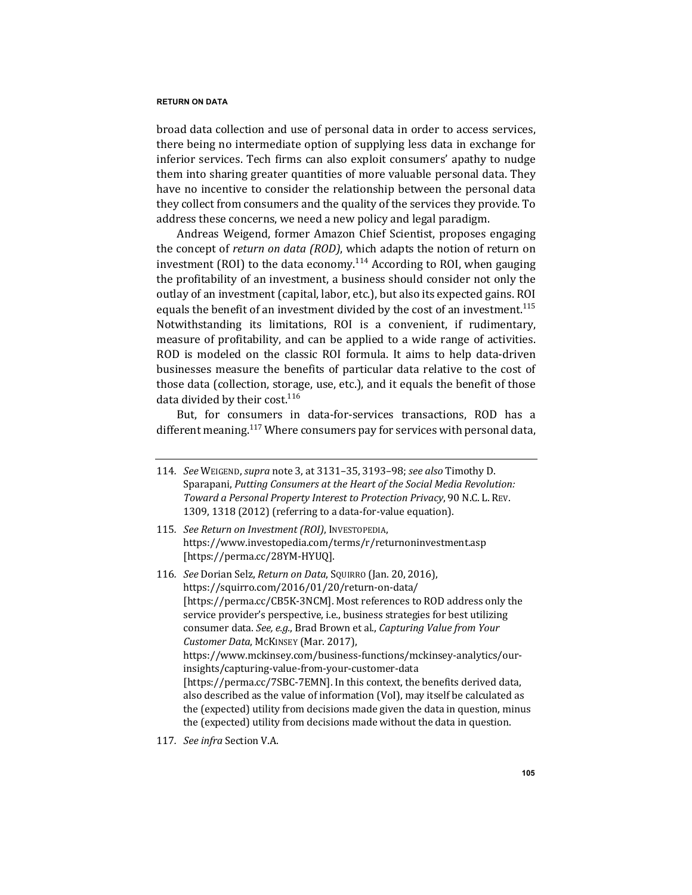broad data collection and use of personal data in order to access services, there being no intermediate option of supplying less data in exchange for inferior services. Tech firms can also exploit consumers' apathy to nudge them into sharing greater quantities of more valuable personal data. They have no incentive to consider the relationship between the personal data they collect from consumers and the quality of the services they provide. To address these concerns, we need a new policy and legal paradigm.

Andreas Weigend, former Amazon Chief Scientist, proposes engaging the concept of *return on data (ROD)*, which adapts the notion of return on investment (ROI) to the data economy.<sup>114</sup> According to ROI, when gauging the profitability of an investment, a business should consider not only the outlay of an investment (capital, labor, etc.), but also its expected gains. ROI equals the benefit of an investment divided by the cost of an investment.<sup>115</sup> Notwithstanding its limitations, ROI is a convenient, if rudimentary, measure of profitability, and can be applied to a wide range of activities. ROD is modeled on the classic ROI formula. It aims to help data-driven businesses measure the benefits of particular data relative to the cost of those data (collection, storage, use, etc.), and it equals the benefit of those data divided by their cost. $116$ 

But, for consumers in data-for-services transactions, ROD has a different meaning.<sup>117</sup> Where consumers pay for services with personal data,

117. See infra Section V.A.

<sup>114</sup>*. See* WEIGEND, *supra* note 3, at 3131–35, 3193–98; *see also* Timothy D. Sparapani, Putting Consumers at the Heart of the Social Media Revolution: *Toward a Personal Property Interest to Protection Privacy*, 90 N.C. L. REV. 1309, 1318 (2012) (referring to a data-for-value equation).

<sup>115.</sup> See Return on Investment (ROI), INVESTOPEDIA, https://www.investopedia.com/terms/r/returnoninvestment.asp [https://perma.cc/28YM-HYUQ].

<sup>116</sup>*. See* Dorian Selz, *Return on Data*, SQUIRRO (Jan. 20, 2016), https://squirro.com/2016/01/20/return-on-data/ [https://perma.cc/CB5K-3NCM]. Most references to ROD address only the service provider's perspective, i.e., business strategies for best utilizing consumer data. See, e.g., Brad Brown et al., *Capturing Value from Your Customer Data*, McKINSEY (Mar. 2017), https://www.mckinsey.com/business-functions/mckinsey-analytics/ourinsights/capturing-value-from-your-customer-data [https://perma.cc/7SBC-7EMN]. In this context, the benefits derived data, also described as the value of information (VoI), may itself be calculated as the (expected) utility from decisions made given the data in question, minus the (expected) utility from decisions made without the data in question.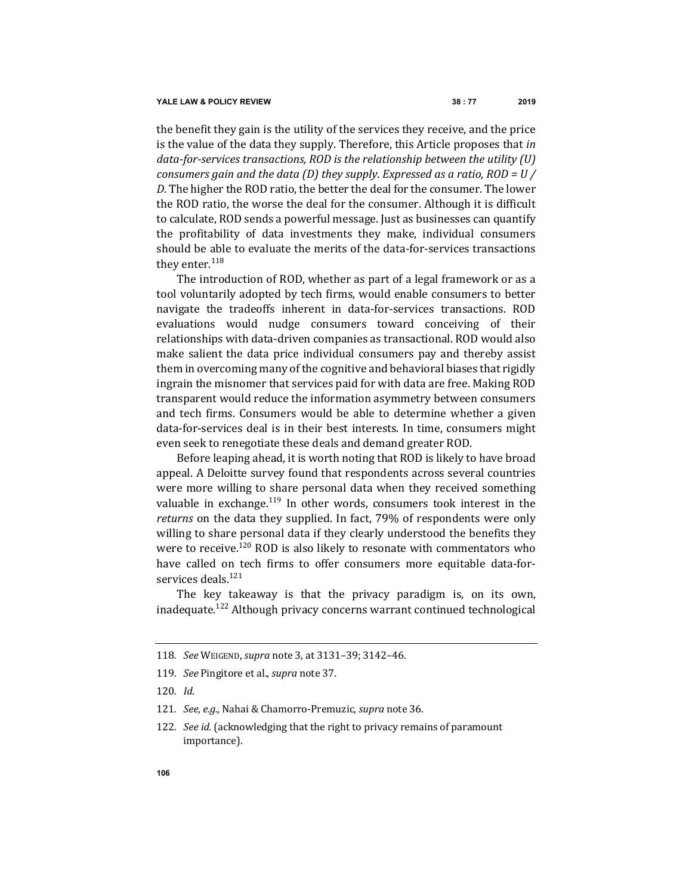the benefit they gain is the utility of the services they receive, and the price is the value of the data they supply. Therefore, this Article proposes that *in* data-for-services transactions, ROD is the relationship between the utility (U) *consumers gain and the data (D) they supply. Expressed as a ratio, ROD* = *U* / *D*. The higher the ROD ratio, the better the deal for the consumer. The lower the ROD ratio, the worse the deal for the consumer. Although it is difficult to calculate, ROD sends a powerful message. Just as businesses can quantify the profitability of data investments they make, individual consumers should be able to evaluate the merits of the data-for-services transactions they enter. $118$ 

The introduction of ROD, whether as part of a legal framework or as a tool voluntarily adopted by tech firms, would enable consumers to better navigate the tradeoffs inherent in data-for-services transactions. ROD evaluations would nudge consumers toward conceiving of their relationships with data-driven companies as transactional. ROD would also make salient the data price individual consumers pay and thereby assist them in overcoming many of the cognitive and behavioral biases that rigidly ingrain the misnomer that services paid for with data are free. Making ROD transparent would reduce the information asymmetry between consumers and tech firms. Consumers would be able to determine whether a given data-for-services deal is in their best interests. In time, consumers might even seek to renegotiate these deals and demand greater ROD.

Before leaping ahead, it is worth noting that ROD is likely to have broad appeal. A Deloitte survey found that respondents across several countries were more willing to share personal data when they received something valuable in exchange.<sup>119</sup> In other words, consumers took interest in the *returns* on the data they supplied. In fact, 79% of respondents were only willing to share personal data if they clearly understood the benefits they were to receive.<sup>120</sup> ROD is also likely to resonate with commentators who have called on tech firms to offer consumers more equitable data-forservices deals.<sup>121</sup>

The key takeaway is that the privacy paradigm is, on its own, inadequate.<sup>122</sup> Although privacy concerns warrant continued technological

<sup>118</sup>*. See* WEIGEND, *supra* note 3, at 3131–39; 3142–46.

<sup>119</sup>*. See* Pingitore et al., *supra* note 37.

<sup>120</sup>*. Id.*

<sup>121.</sup> *See, e.g.,* Nahai & Chamorro-Premuzic, *supra* note 36.

<sup>122.</sup> *See id.* (acknowledging that the right to privacy remains of paramount importance).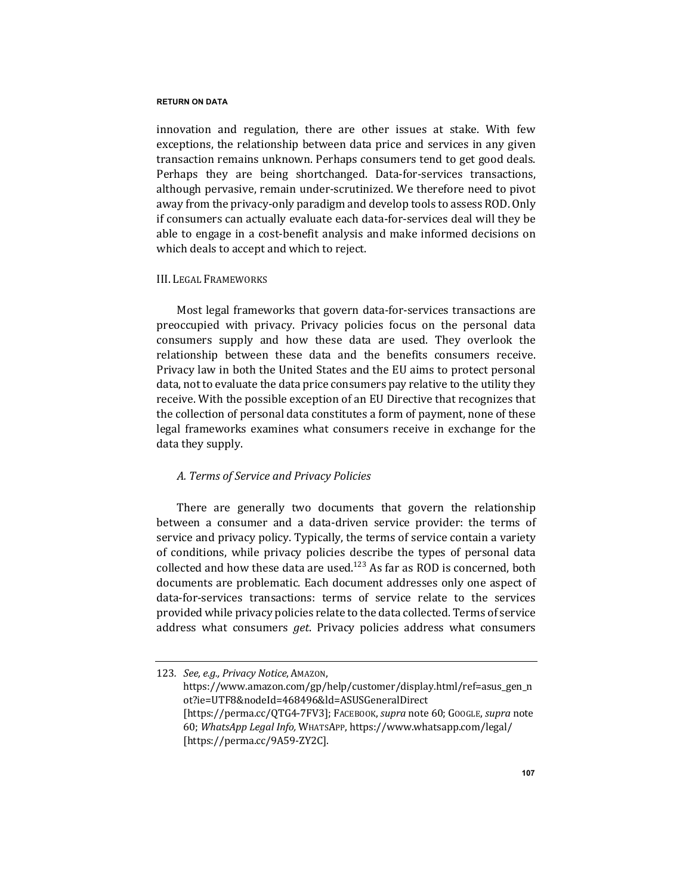innovation and regulation, there are other issues at stake. With few exceptions, the relationship between data price and services in any given transaction remains unknown. Perhaps consumers tend to get good deals. Perhaps they are being shortchanged. Data-for-services transactions, although pervasive, remain under-scrutinized. We therefore need to pivot away from the privacy-only paradigm and develop tools to assess ROD. Only if consumers can actually evaluate each data-for-services deal will they be able to engage in a cost-benefit analysis and make informed decisions on which deals to accept and which to reject.

## III. LEGAL FRAMEWORKS

Most legal frameworks that govern data-for-services transactions are preoccupied with privacy. Privacy policies focus on the personal data consumers supply and how these data are used. They overlook the relationship between these data and the benefits consumers receive. Privacy law in both the United States and the EU aims to protect personal data, not to evaluate the data price consumers pay relative to the utility they receive. With the possible exception of an EU Directive that recognizes that the collection of personal data constitutes a form of payment, none of these legal frameworks examines what consumers receive in exchange for the data they supply.

# *A. Terms of Service and Privacy Policies*

There are generally two documents that govern the relationship between a consumer and a data-driven service provider: the terms of service and privacy policy. Typically, the terms of service contain a variety of conditions, while privacy policies describe the types of personal data collected and how these data are used.<sup>123</sup> As far as ROD is concerned, both documents are problematic. Each document addresses only one aspect of data-for-services transactions: terms of service relate to the services provided while privacy policies relate to the data collected. Terms of service address what consumers *get*. Privacy policies address what consumers

<sup>123.</sup> *See, e.g., Privacy Notice, AMAZON,* https://www.amazon.com/gp/help/customer/display.html/ref=asus\_gen\_n ot?ie=UTF8&nodeId=468496&ld=ASUSGeneralDirect [https://perma.cc/QTG4-7FV3]; FACEBOOK, *supra* note 60; GOOGLE, *supra* note 60; WhatsApp Legal Info, WHATSAPP, https://www.whatsapp.com/legal/ [https://perma.cc/9A59-ZY2C].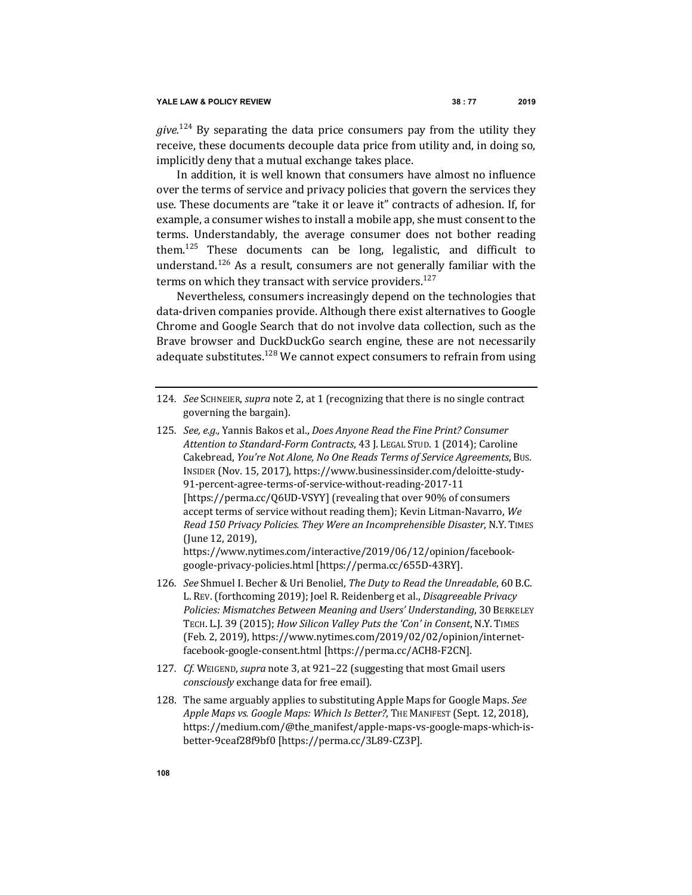*give.*<sup>124</sup> By separating the data price consumers pay from the utility they receive, these documents decouple data price from utility and, in doing so, implicitly deny that a mutual exchange takes place.

In addition, it is well known that consumers have almost no influence over the terms of service and privacy policies that govern the services they use. These documents are "take it or leave it" contracts of adhesion. If, for example, a consumer wishes to install a mobile app, she must consent to the terms. Understandably, the average consumer does not bother reading them.<sup>125</sup> These documents can be long, legalistic, and difficult to understand.<sup>126</sup> As a result, consumers are not generally familiar with the terms on which they transact with service providers.<sup>127</sup>

Nevertheless, consumers increasingly depend on the technologies that data-driven companies provide. Although there exist alternatives to Google Chrome and Google Search that do not involve data collection, such as the Brave browser and DuckDuckGo search engine, these are not necessarily adequate substitutes.<sup>128</sup> We cannot expect consumers to refrain from using

https://www.nytimes.com/interactive/2019/06/12/opinion/facebookgoogle-privacy-policies.html [https://perma.cc/655D-43RY].

- 126. *See* Shmuel I. Becher & Uri Benoliel, *The Duty to Read the Unreadable*, 60 B.C. L. REV. (forthcoming 2019); Joel R. Reidenberg et al., *Disagreeable Privacy* Policies: Mismatches Between Meaning and Users' Understanding, 30 BERKELEY TECH. L.J. 39 (2015); *How Silicon Valley Puts the 'Con' in Consent*, N.Y. TIMES (Feb. 2, 2019), https://www.nytimes.com/2019/02/02/opinion/internetfacebook-google-consent.html [https://perma.cc/ACH8-F2CN].
- 127. *Cf.* WEIGEND, *supra* note 3, at 921–22 (suggesting that most Gmail users *consciously* exchange data for free email).
- 128. The same arguably applies to substituting Apple Maps for Google Maps. See Apple Maps vs. Google Maps: Which Is Better?, THE MANIFEST (Sept. 12, 2018), https://medium.com/@the\_manifest/apple-maps-vs-google-maps-which-isbetter-9ceaf28f9bf0 [https://perma.cc/3L89-CZ3P].

<sup>124.</sup> *See* SCHNEIER, *supra* note 2, at 1 (recognizing that there is no single contract governing the bargain).

<sup>125.</sup> *See, e.g.,* Yannis Bakos et al., *Does Anyone Read the Fine Print? Consumer Attention to Standard-Form Contracts*, 43 J. LEGAL STUD. 1 (2014); Caroline Cakebread, *You're Not Alone, No One Reads Terms of Service Agreements*, Bus. INSIDER (Nov. 15, 2017), https://www.businessinsider.com/deloitte-study-91-percent-agree-terms-of-service-without-reading-2017-11 [https://perma.cc/Q6UD-VSYY] (revealing that over 90% of consumers accept terms of service without reading them); Kevin Litman-Navarro, We *Read 150 Privacy Policies. They Were an Incomprehensible Disaster*, N.Y. TIMES (June 12, 2019),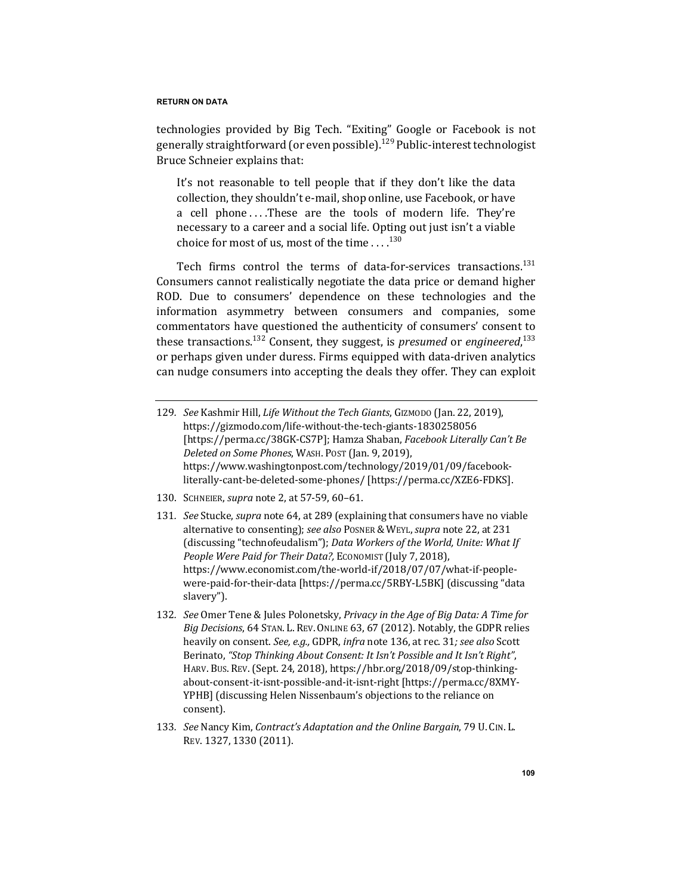technologies provided by Big Tech. "Exiting" Google or Facebook is not generally straightforward (or even possible).<sup>129</sup> Public-interest technologist Bruce Schneier explains that:

It's not reasonable to tell people that if they don't like the data collection, they shouldn't e-mail, shop online, use Facebook, or have a cell phone ....These are the tools of modern life. They're necessary to a career and a social life. Opting out just isn't a viable choice for most of us, most of the time  $\dots$ .  $^{130}$ 

Tech firms control the terms of data-for-services transactions.<sup>131</sup> Consumers cannot realistically negotiate the data price or demand higher ROD. Due to consumers' dependence on these technologies and the information asymmetry between consumers and companies, some commentators have questioned the authenticity of consumers' consent to these transactions.<sup>132</sup> Consent, they suggest, is *presumed* or *engineered*,<sup>133</sup> or perhaps given under duress. Firms equipped with data-driven analytics can nudge consumers into accepting the deals they offer. They can exploit

- 129. *See* Kashmir Hill, *Life Without the Tech Giants*, GIZMODO (Jan. 22, 2019), https://gizmodo.com/life-without-the-tech-giants-1830258056 [https://perma.cc/38GK-CS7P]; Hamza Shaban, *Facebook Literally Can't Be Deleted on Some Phones*, WASH. POST (Jan. 9, 2019), https://www.washingtonpost.com/technology/2019/01/09/facebookliterally-cant-be-deleted-some-phones/ [https://perma.cc/XZE6-FDKS].
- 130. SCHNEIER, *supra* note 2, at 57-59, 60-61.
- 131. *See* Stucke, *supra* note 64, at 289 (explaining that consumers have no viable alternative to consenting); see also Posner & WEYL, supra note 22, at 231 (discussing "technofeudalism"); *Data Workers of the World, Unite: What If People Were Paid for Their Data?,* ECONOMIST (July 7, 2018), https://www.economist.com/the-world-if/2018/07/07/what-if-peoplewere-paid-for-their-data [https://perma.cc/5RBY-L5BK] (discussing "data slavery").
- 132. *See* Omer Tene & Jules Polonetsky, Privacy in the Age of Big Data: A Time for *Big Decisions*, 64 STAN. L. REV. ONLINE 63, 67 (2012). Notably, the GDPR relies heavily on consent. *See, e.g.,* GDPR, *infra* note 136, at rec. 31; see also Scott Berinato, "Stop Thinking About Consent: It Isn't Possible and It Isn't Right", HARV. BUS. REV. (Sept. 24, 2018), https://hbr.org/2018/09/stop-thinkingabout-consent-it-isnt-possible-and-it-isnt-right [https://perma.cc/8XMY-YPHB] (discussing Helen Nissenbaum's objections to the reliance on consent).
- 133. See Nancy Kim, Contract's Adaptation and the Online Bargain, 79 U. CIN. L. REV. 1327, 1330 (2011).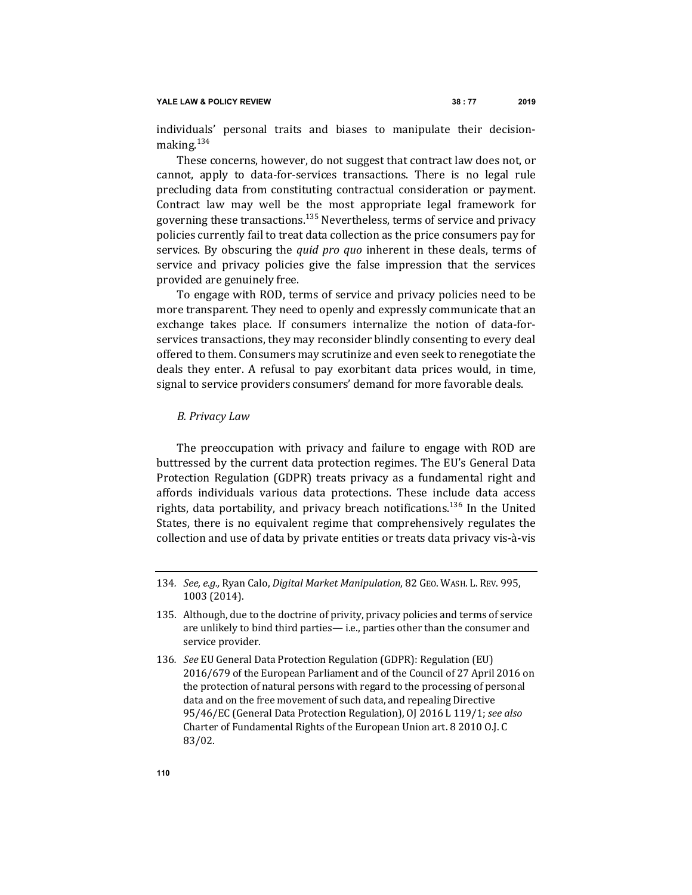individuals' personal traits and biases to manipulate their decisionmaking.<sup>134</sup>

These concerns, however, do not suggest that contract law does not, or cannot, apply to data-for-services transactions. There is no legal rule precluding data from constituting contractual consideration or payment. Contract law may well be the most appropriate legal framework for governing these transactions.<sup>135</sup> Nevertheless, terms of service and privacy policies currently fail to treat data collection as the price consumers pay for services. By obscuring the *quid pro quo* inherent in these deals, terms of service and privacy policies give the false impression that the services provided are genuinely free.

To engage with ROD, terms of service and privacy policies need to be more transparent. They need to openly and expressly communicate that an exchange takes place. If consumers internalize the notion of data-forservices transactions, they may reconsider blindly consenting to every deal offered to them. Consumers may scrutinize and even seek to renegotiate the deals they enter. A refusal to pay exorbitant data prices would, in time, signal to service providers consumers' demand for more favorable deals.

#### *B. Privacy Law*

The preoccupation with privacy and failure to engage with ROD are buttressed by the current data protection regimes. The EU's General Data Protection Regulation (GDPR) treats privacy as a fundamental right and affords individuals various data protections. These include data access rights, data portability, and privacy breach notifications.<sup>136</sup> In the United States, there is no equivalent regime that comprehensively regulates the collection and use of data by private entities or treats data privacy vis-à-vis

<sup>134.</sup> *See, e.g.,* Ryan Calo, *Digital Market Manipulation*, 82 GEO. WASH. L. REV. 995, 1003 (2014).

<sup>135.</sup> Although, due to the doctrine of privity, privacy policies and terms of service are unlikely to bind third parties— i.e., parties other than the consumer and service provider.

<sup>136</sup>*. See* EU General Data Protection Regulation (GDPR): Regulation (EU) 2016/679 of the European Parliament and of the Council of 27 April 2016 on the protection of natural persons with regard to the processing of personal data and on the free movement of such data, and repealing Directive 95/46/EC (General Data Protection Regulation), OJ 2016 L 119/1; see also Charter of Fundamental Rights of the European Union art. 8 2010 O.J. C 83/02.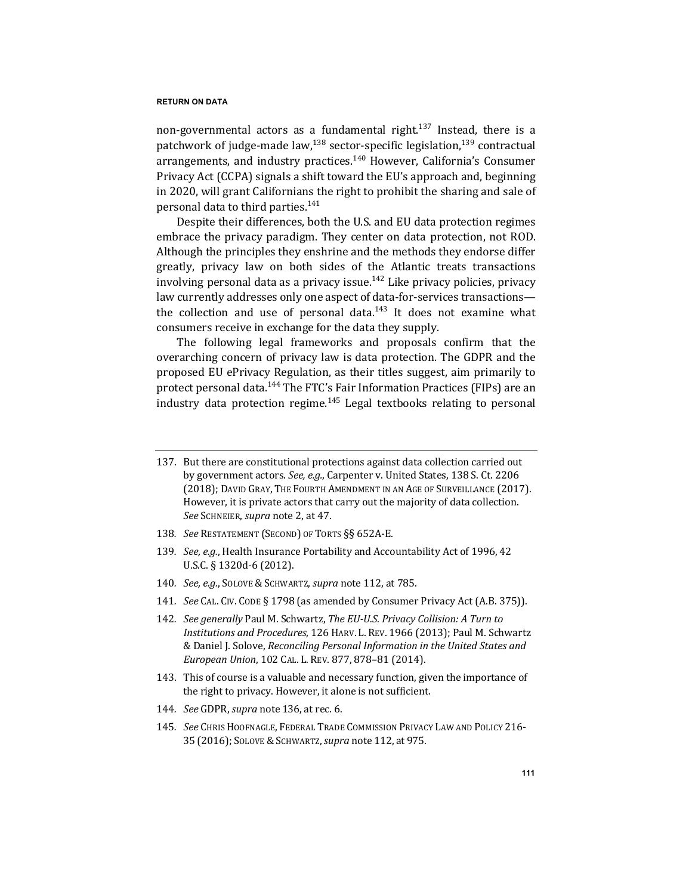non-governmental actors as a fundamental right.<sup>137</sup> Instead, there is a patchwork of judge-made law, $^{138}$  sector-specific legislation, $^{139}$  contractual arrangements, and industry practices.<sup>140</sup> However, California's Consumer Privacy Act (CCPA) signals a shift toward the EU's approach and, beginning in 2020, will grant Californians the right to prohibit the sharing and sale of personal data to third parties.<sup>141</sup>

Despite their differences, both the U.S. and EU data protection regimes embrace the privacy paradigm. They center on data protection, not ROD. Although the principles they enshrine and the methods they endorse differ greatly, privacy law on both sides of the Atlantic treats transactions involving personal data as a privacy issue.<sup>142</sup> Like privacy policies, privacy law currently addresses only one aspect of data-for-services transactions the collection and use of personal data.<sup>143</sup> It does not examine what consumers receive in exchange for the data they supply.

The following legal frameworks and proposals confirm that the overarching concern of privacy law is data protection. The GDPR and the proposed EU ePrivacy Regulation, as their titles suggest, aim primarily to protect personal data.<sup>144</sup> The FTC's Fair Information Practices (FIPs) are an industry data protection regime. $145$  Legal textbooks relating to personal

138. See RESTATEMENT (SECOND) OF TORTS §§ 652A-E.

- 140*. See, e.g.*, SOLOVE &SCHWARTZ, *supra* note 112, at 785.
- 141. *See* CAL. CIV. CODE § 1798 (as amended by Consumer Privacy Act (A.B. 375)).
- 142. *See generally* Paul M. Schwartz, *The EU-U.S. Privacy Collision: A Turn to Institutions and Procedures,* 126 HARV. L. REV. 1966 (2013); Paul M. Schwartz & Daniel J. Solove, *Reconciling Personal Information in the United States and European Union, 102 CAL. L. REV. 877, 878-81 (2014).*
- 143. This of course is a valuable and necessary function, given the importance of the right to privacy. However, it alone is not sufficient.
- 144. *See* GDPR, *supra* note 136, at rec. 6.
- 145. See CHRIS HOOFNAGLE, FEDERAL TRADE COMMISSION PRIVACY LAW AND POLICY 216-35 (2016); SOLOVE &SCHWARTZ,*supra* note 112, at 975.

<sup>137.</sup> But there are constitutional protections against data collection carried out by government actors. See, e.g., Carpenter v. United States, 138 S. Ct. 2206 (2018); DAVID GRAY, THE FOURTH AMENDMENT IN AN AGE OF SURVEILLANCE (2017). However, it is private actors that carry out the majority of data collection. *See* SCHNEIER, *supra* note 2, at 47.

<sup>139.</sup> *See, e.g.*, Health Insurance Portability and Accountability Act of 1996, 42 U.S.C. § 1320d-6 (2012).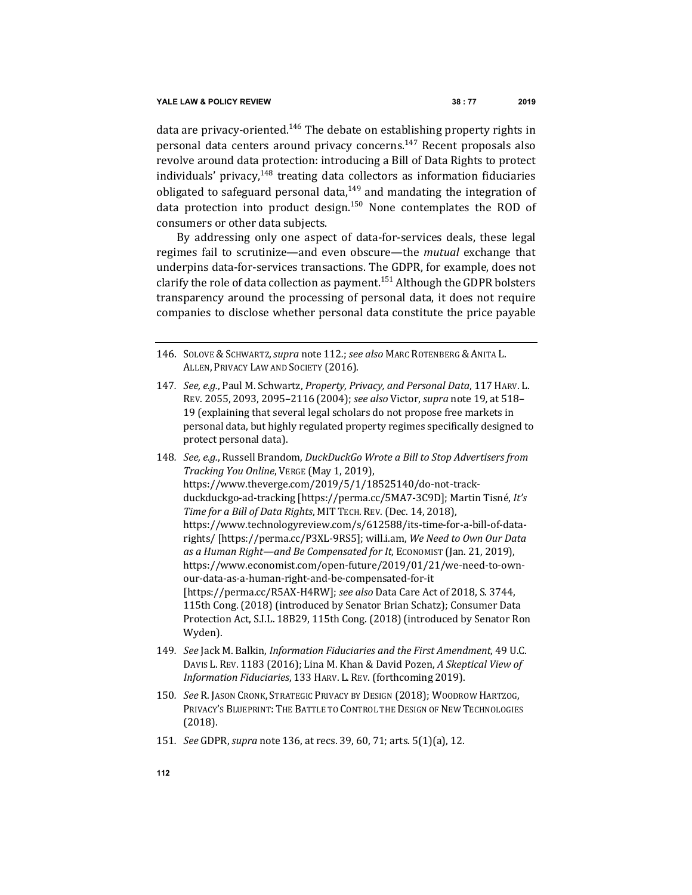data are privacy-oriented.<sup>146</sup> The debate on establishing property rights in personal data centers around privacy concerns.<sup>147</sup> Recent proposals also revolve around data protection: introducing a Bill of Data Rights to protect individuals' privacy,  $148$  treating data collectors as information fiduciaries obligated to safeguard personal data, $149$  and mandating the integration of data protection into product design.<sup>150</sup> None contemplates the ROD of consumers or other data subjects.

By addressing only one aspect of data-for-services deals, these legal regimes fail to scrutinize—and even obscure—the *mutual* exchange that underpins data-for-services transactions. The GDPR, for example, does not clarify the role of data collection as payment.<sup>151</sup> Although the GDPR bolsters transparency around the processing of personal data, it does not require companies to disclose whether personal data constitute the price payable

- 147. *See, e.g.*, Paul M. Schwartz, Property, Privacy, and Personal Data, 117 HARV. L. REV. 2055, 2093, 2095-2116 (2004); see also Victor, supra note 19, at 518-19 (explaining that several legal scholars do not propose free markets in personal data, but highly regulated property regimes specifically designed to protect personal data).
- 148. See, e.g., Russell Brandom, DuckDuckGo Wrote a Bill to Stop Advertisers from *Tracking You Online*, VERGE (May 1, 2019), https://www.theverge.com/2019/5/1/18525140/do-not-trackduckduckgo-ad-tracking [https://perma.cc/5MA7-3C9D]; Martin Tisné, It's Time for a Bill of Data Rights, MIT TECH. REV. (Dec. 14, 2018), https://www.technologyreview.com/s/612588/its-time-for-a-bill-of-datarights/ [https://perma.cc/P3XL-9RS5]; will.i.am, We Need to Own Our Data as a Human Right—and Be Compensated for It, ECONOMIST (Jan. 21, 2019), https://www.economist.com/open-future/2019/01/21/we-need-to-ownour-data-as-a-human-right-and-be-compensated-for-it [https://perma.cc/R5AX-H4RW]; see also Data Care Act of 2018, S. 3744, 115th Cong. (2018) (introduced by Senator Brian Schatz); Consumer Data Protection Act, S.I.L. 18B29, 115th Cong. (2018) (introduced by Senator Ron Wyden).
- 149*. See* Jack M. Balkin, *Information Fiduciaries and the First Amendment*, 49 U.C. DAVIS L. REV. 1183 (2016); Lina M. Khan & David Pozen, *A Skeptical View of Information Fiduciaries*, 133 HARV. L. REV. (forthcoming 2019).
- 150. *See* R. JASON CRONK, STRATEGIC PRIVACY BY DESIGN (2018); WOODROW HARTZOG, PRIVACY'S BLUEPRINT: THE BATTLE TO CONTROL THE DESIGN OF NEW TECHNOLOGIES (2018).
- 151. *See* GDPR, *supra* note 136, at recs. 39, 60, 71; arts. 5(1)(a), 12.

<sup>146.</sup> SOLOVE & SCHWARTZ, supra note 112.; see also MARC ROTENBERG & ANITA L. ALLEN, PRIVACY LAW AND SOCIETY (2016).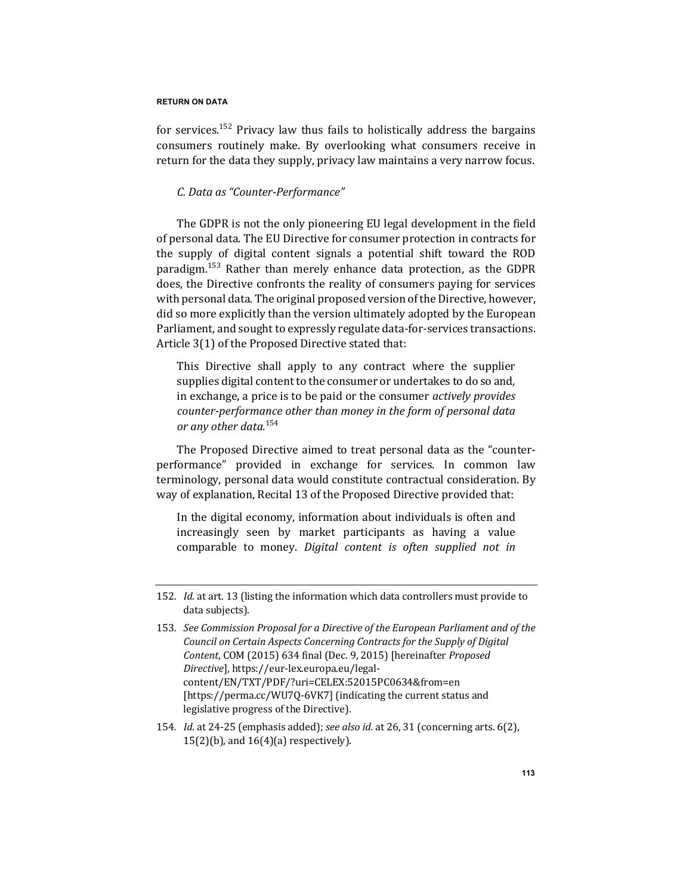for services.<sup>152</sup> Privacy law thus fails to holistically address the bargains consumers routinely make. By overlooking what consumers receive in return for the data they supply, privacy law maintains a very narrow focus.

# *C. Data as "Counter-Performance"*

The GDPR is not the only pioneering EU legal development in the field of personal data. The EU Directive for consumer protection in contracts for the supply of digital content signals a potential shift toward the ROD  $\alpha$  paradigm.<sup>153</sup> Rather than merely enhance data protection, as the GDPR does, the Directive confronts the reality of consumers paying for services with personal data. The original proposed version of the Directive, however, did so more explicitly than the version ultimately adopted by the European Parliament, and sought to expressly regulate data-for-services transactions. Article  $3(1)$  of the Proposed Directive stated that:

This Directive shall apply to any contract where the supplier supplies digital content to the consumer or undertakes to do so and, in exchange, a price is to be paid or the consumer *actively provides* counter-performance other than money in the form of personal data *or any other data.*<sup>154</sup>

The Proposed Directive aimed to treat personal data as the "counterperformance" provided in exchange for services. In common law terminology, personal data would constitute contractual consideration. By way of explanation, Recital 13 of the Proposed Directive provided that:

In the digital economy, information about individuals is often and increasingly seen by market participants as having a value comparable to money. *Digital content is often supplied not in* 

154. *Id.* at 24-25 (emphasis added); see also *id.* at 26, 31 (concerning arts. 6(2),  $15(2)(b)$ , and  $16(4)(a)$  respectively).

<sup>152.</sup> *Id.* at art. 13 (listing the information which data controllers must provide to data subjects).

<sup>153.</sup> See Commission Proposal for a Directive of the European Parliament and of the *Council on Certain Aspects Concerning Contracts for the Supply of Digital* Content, COM (2015) 634 final (Dec. 9, 2015) [hereinafter *Proposed Directive*], https://eur-lex.europa.eu/legalcontent/EN/TXT/PDF/?uri=CELEX:52015PC0634&from=en [https://perma.cc/WU7Q-6VK7] (indicating the current status and legislative progress of the Directive).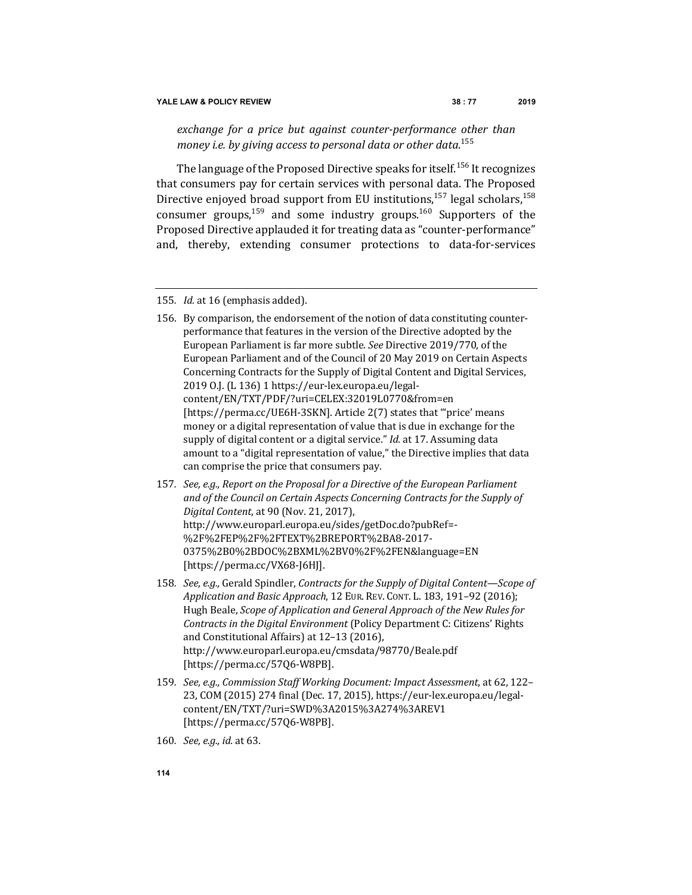exchange for a price but against counter-performance other than *money i.e. by giving access to personal data or other data*. 155

The language of the Proposed Directive speaks for itself.<sup>156</sup> It recognizes that consumers pay for certain services with personal data. The Proposed Directive enjoyed broad support from EU institutions,<sup>157</sup> legal scholars,<sup>158</sup> consumer groups,<sup>159</sup> and some industry groups.<sup>160</sup> Supporters of the Proposed Directive applauded it for treating data as "counter-performance" and, thereby, extending consumer protections to data-for-services

- 157. See, e.g., Report on the Proposal for a Directive of the European Parliament and of the Council on Certain Aspects Concerning Contracts for the Supply of *Digital Content*, at 90 (Nov. 21, 2017), http://www.europarl.europa.eu/sides/getDoc.do?pubRef=- %2F%2FEP%2F%2FTEXT%2BREPORT%2BA8-2017- 0375%2B0%2BDOC%2BXML%2BV0%2F%2FEN&language=EN [https://perma.cc/VX68-J6HJ].
- 158. *See, e.g.,* Gerald Spindler, *Contracts for the Supply of Digital Content—Scope of Application and Basic Approach*, 12 EUR. REV. CONT. L. 183, 191-92 (2016); Hugh Beale, *Scope of Application and General Approach of the New Rules for Contracts in the Digital Environment* (Policy Department C: Citizens' Rights and Constitutional Affairs) at 12-13 (2016), http://www.europarl.europa.eu/cmsdata/98770/Beale.pdf [https://perma.cc/57Q6-W8PB].
- 159. See, e.g., Commission Staff Working Document: Impact Assessment, at 62, 122-23, COM (2015) 274 final (Dec. 17, 2015), https://eur-lex.europa.eu/legalcontent/EN/TXT/?uri=SWD%3A2015%3A274%3AREV1 [https://perma.cc/57Q6-W8PB].
- 160. *See, e.g., id.* at 63.

<sup>155.</sup> *Id.* at 16 (emphasis added).

<sup>156.</sup> By comparison, the endorsement of the notion of data constituting counterperformance that features in the version of the Directive adopted by the European Parliament is far more subtle. See Directive 2019/770, of the European Parliament and of the Council of 20 May 2019 on Certain Aspects Concerning Contracts for the Supply of Digital Content and Digital Services, 2019 O.J. (L 136) 1 https://eur-lex.europa.eu/legalcontent/EN/TXT/PDF/?uri=CELEX:32019L0770&from=en [https://perma.cc/UE6H-3SKN]. Article 2(7) states that "'price' means money or a digital representation of value that is due in exchange for the supply of digital content or a digital service." *Id.* at 17. Assuming data amount to a "digital representation of value," the Directive implies that data can comprise the price that consumers pay.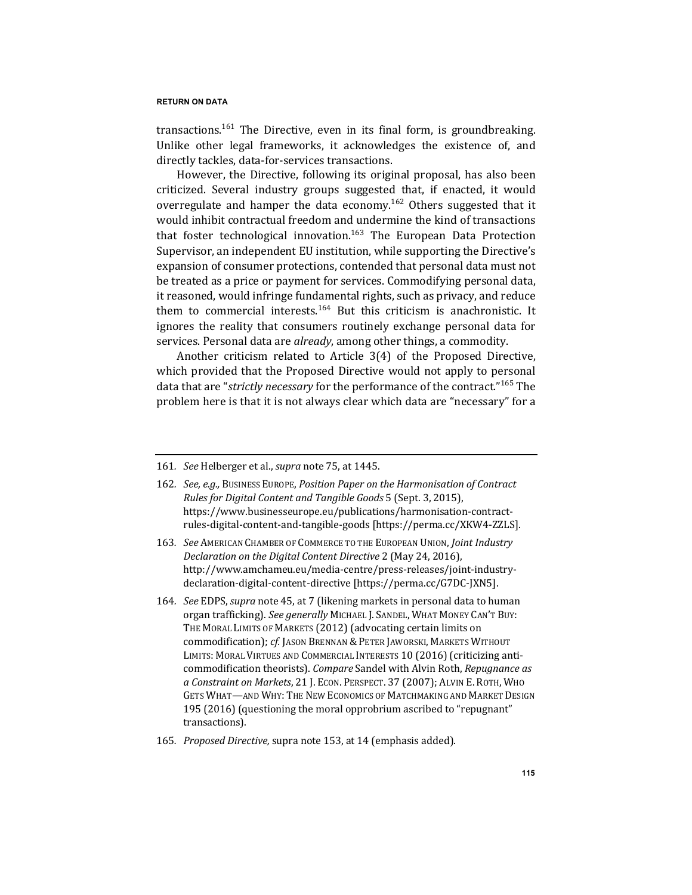transactions.<sup>161</sup> The Directive, even in its final form, is groundbreaking. Unlike other legal frameworks, it acknowledges the existence of, and directly tackles, data-for-services transactions.

However, the Directive, following its original proposal, has also been criticized. Several industry groups suggested that, if enacted, it would overregulate and hamper the data economy.<sup>162</sup> Others suggested that it would inhibit contractual freedom and undermine the kind of transactions that foster technological innovation.<sup>163</sup> The European Data Protection Supervisor, an independent EU institution, while supporting the Directive's expansion of consumer protections, contended that personal data must not be treated as a price or payment for services. Commodifying personal data, it reasoned, would infringe fundamental rights, such as privacy, and reduce them to commercial interests.<sup>164</sup> But this criticism is anachronistic. It ignores the reality that consumers routinely exchange personal data for services. Personal data are *already*, among other things, a commodity.

Another criticism related to Article  $3(4)$  of the Proposed Directive, which provided that the Proposed Directive would not apply to personal data that are "*strictly necessary* for the performance of the contract."<sup>165</sup> The problem here is that it is not always clear which data are "necessary" for a

- 162. See, e.g., Business Europe, Position Paper on the Harmonisation of Contract *Rules for Digital Content and Tangible Goods* 5 (Sept. 3, 2015), https://www.businesseurope.eu/publications/harmonisation-contractrules-digital-content-and-tangible-goods [https://perma.cc/XKW4-ZZLS].
- 163. *See* AMERICAN CHAMBER OF COMMERCE TO THE EUROPEAN UNION, *Joint Industry Declaration on the Digital Content Directive* 2 (May 24, 2016), http://www.amchameu.eu/media-centre/press-releases/joint-industrydeclaration-digital-content-directive [https://perma.cc/G7DC-JXN5].
- 164. *See* EDPS, *supra* note 45, at 7 (likening markets in personal data to human organ trafficking). See generally MICHAEL J. SANDEL, WHAT MONEY CAN'T BUY: THE MORAL LIMITS OF MARKETS (2012) (advocating certain limits on commodification); *cf.* JASON BRENNAN & PETER JAWORSKI, MARKETS WITHOUT LIMITS: MORAL VIRTUES AND COMMERCIAL INTERESTS 10 (2016) (criticizing anticommodification theorists). *Compare* Sandel with Alvin Roth, *Repugnance* as *a Constraint on Markets*, 21 J. ECON. PERSPECT. 37 (2007); ALVIN E. ROTH, WHO GETS WHAT—AND WHY: THE NEW ECONOMICS OF MATCHMAKING AND MARKET DESIGN 195 (2016) (questioning the moral opprobrium ascribed to "repugnant" transactions).
- 165. Proposed Directive, supra note 153, at 14 (emphasis added).

<sup>161.</sup> See Helberger et al., *supra* note 75, at 1445.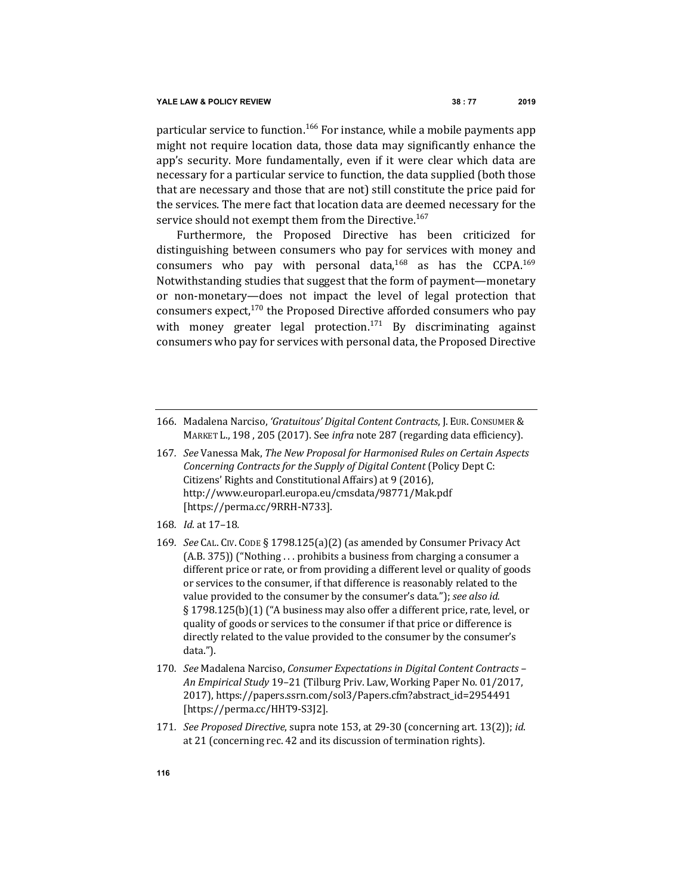particular service to function.<sup>166</sup> For instance, while a mobile payments app might not require location data, those data may significantly enhance the app's security. More fundamentally, even if it were clear which data are necessary for a particular service to function, the data supplied (both those that are necessary and those that are not) still constitute the price paid for the services. The mere fact that location data are deemed necessary for the service should not exempt them from the Directive.<sup>167</sup>

Furthermore, the Proposed Directive has been criticized for distinguishing between consumers who pay for services with money and consumers who pay with personal data,<sup>168</sup> as has the CCPA.<sup>169</sup> Notwithstanding studies that suggest that the form of payment—monetary or non-monetary-does not impact the level of legal protection that consumers expect, $170$  the Proposed Directive afforded consumers who pay with money greater legal protection.<sup>171</sup> By discriminating against consumers who pay for services with personal data, the Proposed Directive

- 168*. Id.* at 17–18*.*
- 169*. See* CAL. CIV. CODE § 1798.125(a)(2) (as amended by Consumer Privacy Act  $(A.B. 375))$  ("Nothing ... prohibits a business from charging a consumer a different price or rate, or from providing a different level or quality of goods or services to the consumer, if that difference is reasonably related to the value provided to the consumer by the consumer's data."); *see also id.* § 1798.125(b)(1) ("A business may also offer a different price, rate, level, or quality of goods or services to the consumer if that price or difference is directly related to the value provided to the consumer by the consumer's data.").
- 170*. See* Madalena Narciso, *Consumer Expectations in Digital Content Contracts – An Empirical Study* 19–21 (Tilburg Priv. Law, Working Paper No. 01/2017, 2017), https://papers.ssrn.com/sol3/Papers.cfm?abstract\_id=2954491 [https://perma.cc/HHT9-S3J2].
- 171. *See Proposed Directive*, supra note 153, at 29-30 (concerning art. 13(2)); id. at 21 (concerning rec. 42 and its discussion of termination rights).

<sup>166.</sup> Madalena Narciso, 'Gratuitous' Digital Content Contracts, J. EUR. CONSUMER & MARKET L., 198, 205 (2017). See *infra* note 287 (regarding data efficiency).

<sup>167.</sup> See Vanessa Mak, The New Proposal for Harmonised Rules on Certain Aspects *Concerning Contracts for the Supply of Digital Content* (Policy Dept C: Citizens' Rights and Constitutional Affairs) at 9 (2016), http://www.europarl.europa.eu/cmsdata/98771/Mak.pdf [https://perma.cc/9RRH-N733].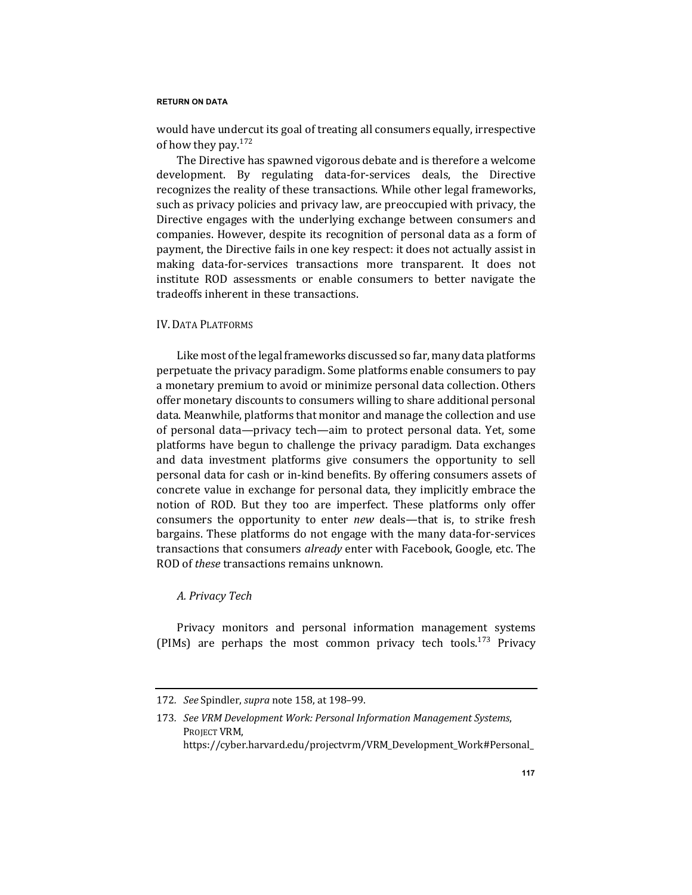would have undercut its goal of treating all consumers equally, irrespective of how they pay. $172$ 

The Directive has spawned vigorous debate and is therefore a welcome development. By regulating data-for-services deals, the Directive recognizes the reality of these transactions. While other legal frameworks, such as privacy policies and privacy law, are preoccupied with privacy, the Directive engages with the underlying exchange between consumers and companies. However, despite its recognition of personal data as a form of payment, the Directive fails in one key respect: it does not actually assist in making data-for-services transactions more transparent. It does not institute ROD assessments or enable consumers to better navigate the tradeoffs inherent in these transactions.

# IV. DATA PLATFORMS

Like most of the legal frameworks discussed so far, many data platforms perpetuate the privacy paradigm. Some platforms enable consumers to pay a monetary premium to avoid or minimize personal data collection. Others offer monetary discounts to consumers willing to share additional personal data. Meanwhile, platforms that monitor and manage the collection and use of personal data—privacy tech—aim to protect personal data. Yet, some platforms have begun to challenge the privacy paradigm. Data exchanges and data investment platforms give consumers the opportunity to sell personal data for cash or in-kind benefits. By offering consumers assets of concrete value in exchange for personal data, they implicitly embrace the notion of ROD. But they too are imperfect. These platforms only offer consumers the opportunity to enter *new* deals—that is, to strike fresh bargains. These platforms do not engage with the many data-for-services transactions that consumers *already* enter with Facebook, Google, etc. The ROD of *these* transactions remains unknown.

# *A. Privacy Tech*

Privacy monitors and personal information management systems (PIMs) are perhaps the most common privacy tech tools.<sup>173</sup> Privacy

<sup>172</sup>*. See* Spindler, *supra* note 158, at 198–99.

<sup>173.</sup> See VRM Development Work: Personal Information Management Systems, PROJECT VRM,

https://cyber.harvard.edu/projectvrm/VRM\_Development\_Work#Personal\_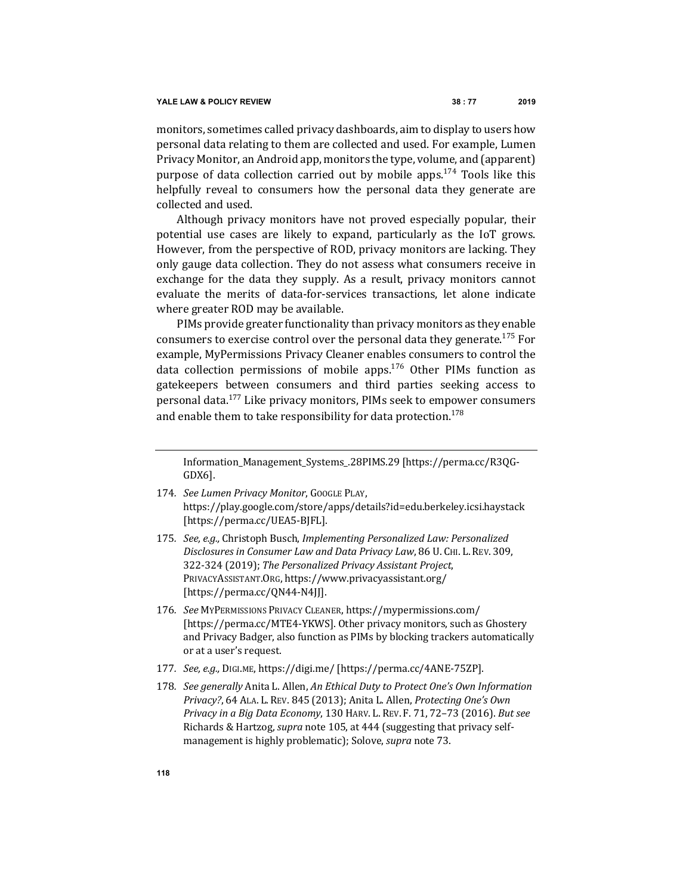monitors, sometimes called privacy dashboards, aim to display to users how personal data relating to them are collected and used. For example, Lumen Privacy Monitor, an Android app, monitors the type, volume, and (apparent) purpose of data collection carried out by mobile apps.<sup>174</sup> Tools like this helpfully reveal to consumers how the personal data they generate are collected and used.

Although privacy monitors have not proved especially popular, their potential use cases are likely to expand, particularly as the IoT grows. However, from the perspective of ROD, privacy monitors are lacking. They only gauge data collection. They do not assess what consumers receive in exchange for the data they supply. As a result, privacy monitors cannot evaluate the merits of data-for-services transactions, let alone indicate where greater ROD may be available.

PIMs provide greater functionality than privacy monitors as they enable consumers to exercise control over the personal data they generate.<sup>175</sup> For example, MyPermissions Privacy Cleaner enables consumers to control the data collection permissions of mobile apps.<sup>176</sup> Other PIMs function as gatekeepers between consumers and third parties seeking access to personal data.<sup>177</sup> Like privacy monitors, PIMs seek to empower consumers and enable them to take responsibility for data protection.<sup>178</sup>

Information\_Management\_Systems\_.28PIMS.29 [https://perma.cc/R3QG-GDX6].

- 174. *See Lumen Privacy Monitor*, GOOGLE PLAY, https://play.google.com/store/apps/details?id=edu.berkeley.icsi.haystack [https://perma.cc/UEA5-BJFL].
- 175. *See, e.g.,* Christoph Busch, *Implementing Personalized Law: Personalized Disclosures in Consumer Law and Data Privacy Law*, 86 U. CHI. L. REV. 309, 322-324 (2019); The Personalized Privacy Assistant Project, PRIVACYASSISTANT.ORG, https://www.privacyassistant.org/ [https://perma.cc/QN44-N4JJ].
- 176*. See* MYPERMISSIONS PRIVACY CLEANER, https://mypermissions.com/ [https://perma.cc/MTE4-YKWS]. Other privacy monitors, such as Ghostery and Privacy Badger, also function as PIMs by blocking trackers automatically or at a user's request.
- 177*. See, e.g.,* DIGI.ME, https://digi.me/ [https://perma.cc/4ANE-75ZP].
- 178. *See generally Anita L. Allen, An Ethical Duty to Protect One's Own Information Privacy?,* 64 ALA. L. REV. 845 (2013); Anita L. Allen, *Protecting One's Own Privacy in a Big Data Economy*, 130 HARV. L. REV. F. 71, 72-73 (2016). *But see* Richards & Hartzog, *supra* note 105, at 444 (suggesting that privacy selfmanagement is highly problematic); Solove, *supra* note 73.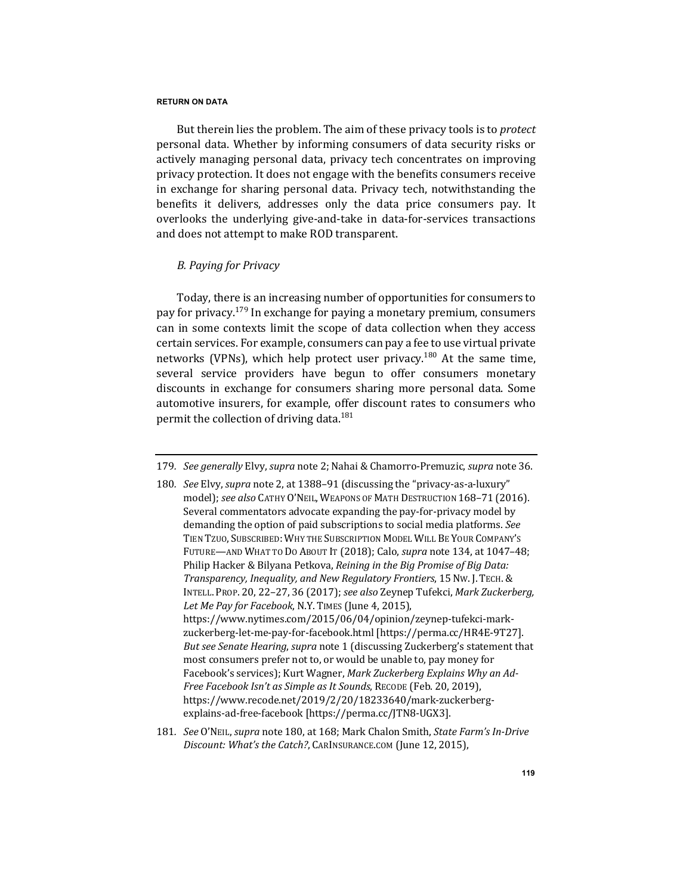But therein lies the problem. The aim of these privacy tools is to *protect* personal data. Whether by informing consumers of data security risks or actively managing personal data, privacy tech concentrates on improving privacy protection. It does not engage with the benefits consumers receive in exchange for sharing personal data. Privacy tech, notwithstanding the benefits it delivers, addresses only the data price consumers pay. It overlooks the underlying give-and-take in data-for-services transactions and does not attempt to make ROD transparent.

## *B. Paying for Privacy*

Today, there is an increasing number of opportunities for consumers to pay for privacy.<sup>179</sup> In exchange for paying a monetary premium, consumers can in some contexts limit the scope of data collection when they access certain services. For example, consumers can pay a fee to use virtual private networks (VPNs), which help protect user privacy.<sup>180</sup> At the same time, several service providers have begun to offer consumers monetary discounts in exchange for consumers sharing more personal data. Some automotive insurers, for example, offer discount rates to consumers who permit the collection of driving data.<sup>181</sup>

181. *See* O'NEIL, *supra* note 180, at 168; Mark Chalon Smith, *State Farm's In-Drive* Discount: What's the Catch?, CARINSURANCE.COM (June 12, 2015),

<sup>179.</sup> *See generally* Elvy, *supra* note 2; Nahai & Chamorro-Premuzic, *supra* note 36.

<sup>180.</sup> See Elvy, supra note 2, at 1388-91 (discussing the "privacy-as-a-luxury" model); see also CATHY O'NEIL, WEAPONS OF MATH DESTRUCTION 168-71 (2016). Several commentators advocate expanding the pay-for-privacy model by demanding the option of paid subscriptions to social media platforms. See TIEN TZUO, SUBSCRIBED: WHY THE SUBSCRIPTION MODEL WILL BE YOUR COMPANY'S FUTURE—AND WHAT TO DO ABOUT IT (2018); Calo, *supra* note 134, at 1047-48; Philip Hacker & Bilyana Petkova, *Reining in the Big Promise of Big Data: Transparency, Inequality, and New Regulatory Frontiers*, 15NW. J. TECH.& INTELL. PROP. 20, 22-27, 36 (2017); see also Zeynep Tufekci, *Mark Zuckerberg*, Let Me Pay for Facebook, N.Y. TIMES (June 4, 2015), https://www.nytimes.com/2015/06/04/opinion/zeynep-tufekci-markzuckerberg-let-me-pay-for-facebook.html [https://perma.cc/HR4E-9T27]. *But see Senate Hearing, supra* note 1 (discussing Zuckerberg's statement that most consumers prefer not to, or would be unable to, pay money for Facebook's services); Kurt Wagner, *Mark Zuckerberg Explains Why an Ad-Free Facebook Isn't as Simple as It Sounds*, RECODE (Feb. 20, 2019), https://www.recode.net/2019/2/20/18233640/mark-zuckerbergexplains-ad-free-facebook [https://perma.cc/JTN8-UGX3].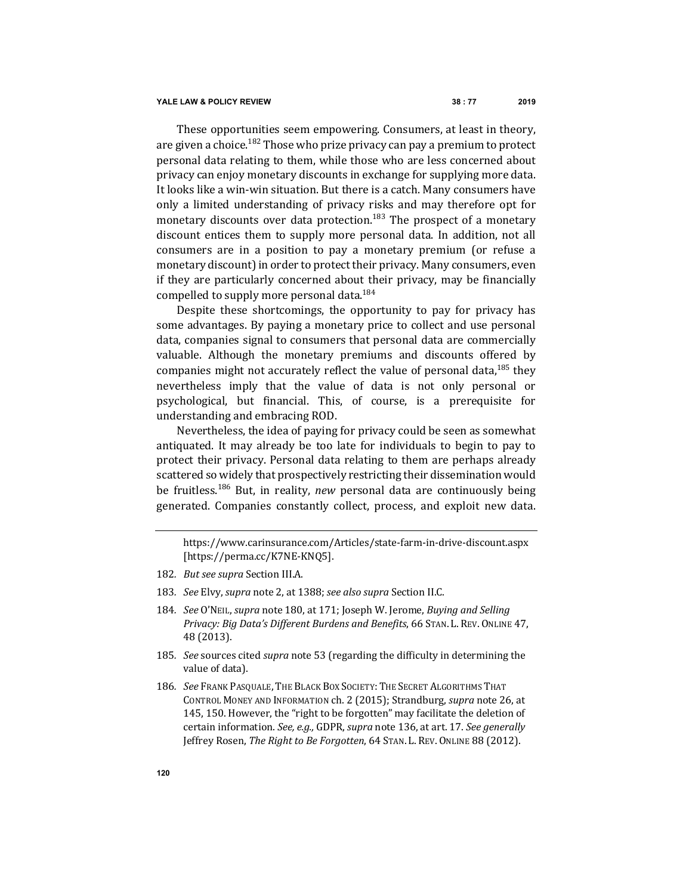These opportunities seem empowering. Consumers, at least in theory, are given a choice.<sup>182</sup> Those who prize privacy can pay a premium to protect personal data relating to them, while those who are less concerned about privacy can enjoy monetary discounts in exchange for supplying more data. It looks like a win-win situation. But there is a catch. Many consumers have only a limited understanding of privacy risks and may therefore opt for monetary discounts over data protection.<sup>183</sup> The prospect of a monetary discount entices them to supply more personal data. In addition, not all consumers are in a position to pay a monetary premium (or refuse a monetary discount) in order to protect their privacy. Many consumers, even if they are particularly concerned about their privacy, may be financially compelled to supply more personal data.<sup>184</sup>

Despite these shortcomings, the opportunity to pay for privacy has some advantages. By paying a monetary price to collect and use personal data, companies signal to consumers that personal data are commercially valuable. Although the monetary premiums and discounts offered by companies might not accurately reflect the value of personal data,  $185$  they nevertheless imply that the value of data is not only personal or psychological, but financial. This, of course, is a prerequisite for understanding and embracing ROD.

Nevertheless, the idea of paying for privacy could be seen as somewhat antiquated. It may already be too late for individuals to begin to pay to protect their privacy. Personal data relating to them are perhaps already scattered so widely that prospectively restricting their dissemination would be fruitless.<sup>186</sup> But, in reality, *new* personal data are continuously being generated. Companies constantly collect, process, and exploit new data.

- 182. *But see supra* Section III.A.
- 183. See Elvy, *supra* note 2, at 1388; see also supra Section II.C.
- 184. *See* O'NEIL, *supra* note 180, at 171; Joseph W. Jerome, *Buying and Selling* Privacy: Big Data's Different Burdens and Benefits, 66 STAN. L. REV. ONLINE 47, 48 (2013).
- 185. *See* sources cited *supra* note 53 (regarding the difficulty in determining the value of data).
- 186. *See* Frank Pasquale, The Black Box Society: The Secret Algorithms That CONTROL MONEY AND INFORMATION ch. 2 (2015); Strandburg, *supra* note 26, at 145, 150. However, the "right to be forgotten" may facilitate the deletion of certain information. See, e.g., GDPR, supra note 136, at art. 17. See generally Jeffrey Rosen, *The Right to Be Forgotten*, 64 STAN. L. REV. ONLINE 88 (2012).

https://www.carinsurance.com/Articles/state-farm-in-drive-discount.aspx [https://perma.cc/K7NE-KNQ5].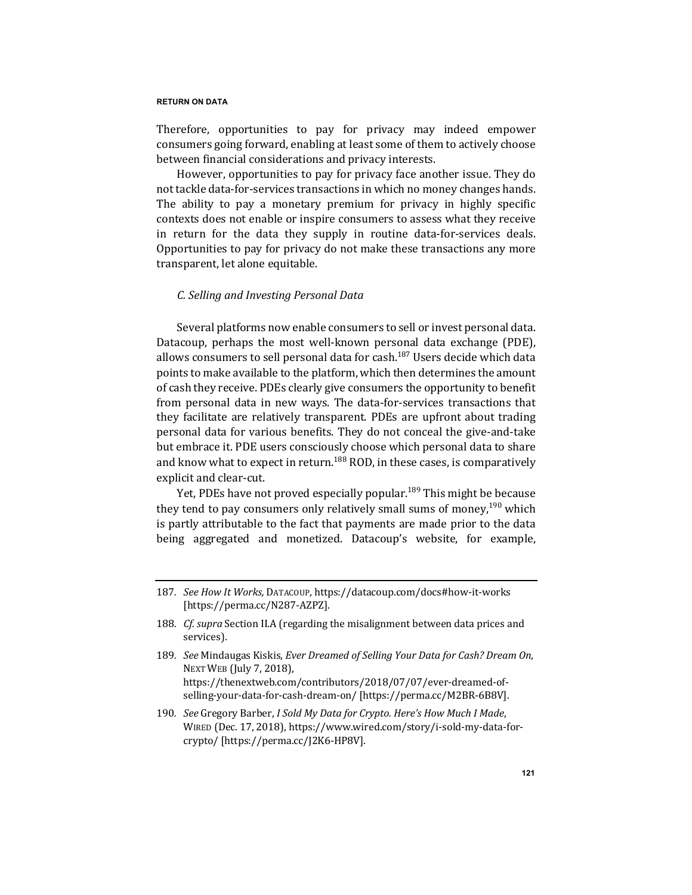Therefore, opportunities to pay for privacy may indeed empower consumers going forward, enabling at least some of them to actively choose between financial considerations and privacy interests.

However, opportunities to pay for privacy face another issue. They do not tackle data-for-services transactions in which no money changes hands. The ability to pay a monetary premium for privacy in highly specific contexts does not enable or inspire consumers to assess what they receive in return for the data they supply in routine data-for-services deals. Opportunities to pay for privacy do not make these transactions any more transparent, let alone equitable.

## *C. Selling and Investing Personal Data*

Several platforms now enable consumers to sell or invest personal data. Datacoup, perhaps the most well-known personal data exchange (PDE), allows consumers to sell personal data for cash.<sup>187</sup> Users decide which data points to make available to the platform, which then determines the amount of cash they receive. PDEs clearly give consumers the opportunity to benefit from personal data in new ways. The data-for-services transactions that they facilitate are relatively transparent. PDEs are upfront about trading personal data for various benefits. They do not conceal the give-and-take but embrace it. PDE users consciously choose which personal data to share and know what to expect in return.<sup>188</sup> ROD, in these cases, is comparatively explicit and clear-cut.

Yet, PDEs have not proved especially popular.<sup>189</sup> This might be because they tend to pay consumers only relatively small sums of money,  $190$  which is partly attributable to the fact that payments are made prior to the data being aggregated and monetized. Datacoup's website, for example,

<sup>187</sup>*. See How It Works,* DATACOUP, https://datacoup.com/docs#how-it-works [https://perma.cc/N287-AZPZ].

<sup>188.</sup> *Cf.* supra Section II.A (regarding the misalignment between data prices and services).

<sup>189</sup>*. See* Mindaugas Kiskis, *Ever Dreamed of Selling Your Data for Cash? Dream On*, NEXT WEB (July 7, 2018). https://thenextweb.com/contributors/2018/07/07/ever-dreamed-ofselling-your-data-for-cash-dream-on/ [https://perma.cc/M2BR-6B8V].

<sup>190.</sup> *See* Gregory Barber, *I Sold My Data for Crypto. Here's How Much I Made*, WIRED (Dec. 17, 2018), https://www.wired.com/story/i-sold-my-data-forcrypto/ [https://perma.cc/J2K6-HP8V].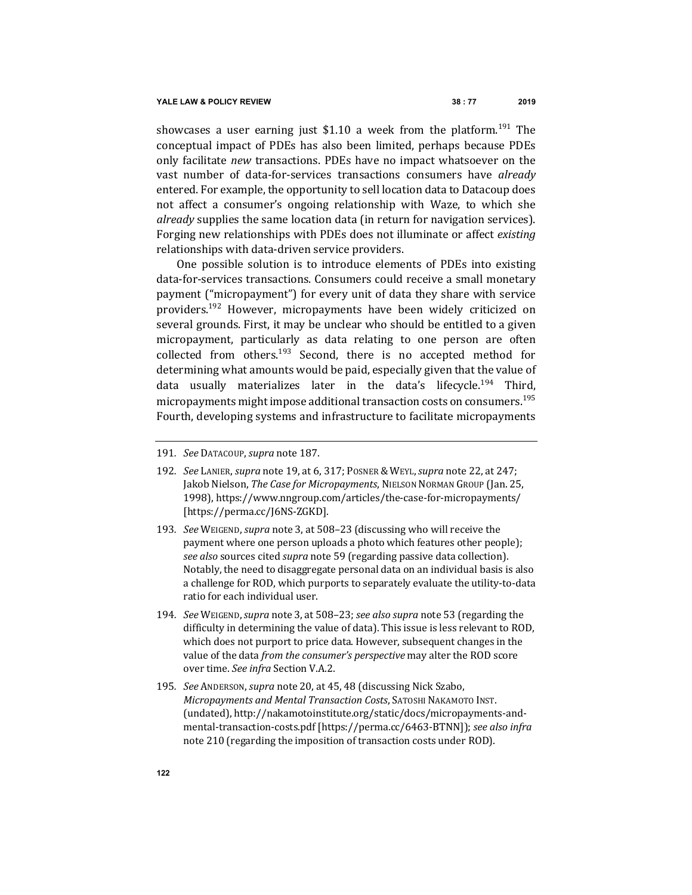showcases a user earning just \$1.10 a week from the platform.<sup>191</sup> The conceptual impact of PDEs has also been limited, perhaps because PDEs only facilitate *new* transactions. PDEs have no impact whatsoever on the vast number of data-for-services transactions consumers have *already* entered. For example, the opportunity to sell location data to Datacoup does not affect a consumer's ongoing relationship with Waze, to which she *already* supplies the same location data (in return for navigation services). Forging new relationships with PDEs does not illuminate or affect *existing* relationships with data-driven service providers.

One possible solution is to introduce elements of PDEs into existing data-for-services transactions. Consumers could receive a small monetary payment ("micropayment") for every unit of data they share with service providers.<sup>192</sup> However, micropayments have been widely criticized on several grounds. First, it may be unclear who should be entitled to a given micropayment, particularly as data relating to one person are often collected from others.<sup>193</sup> Second, there is no accepted method for determining what amounts would be paid, especially given that the value of data usually materializes later in the data's lifecycle.<sup>194</sup> Third, micropayments might impose additional transaction costs on consumers.<sup>195</sup> Fourth, developing systems and infrastructure to facilitate micropayments

- 192. *See LANIER, supra* note 19, at 6, 317; Posner & WEYL, *supra* note 22, at 247; Jakob Nielson, The Case for Micropayments, NIELSON NORMAN GROUP (Jan. 25, 1998), https://www.nngroup.com/articles/the-case-for-micropayments/ [https://perma.cc/J6NS-ZGKD].
- 193*. See* WEIGEND, *supra* note 3, at 508–23 (discussing who will receive the payment where one person uploads a photo which features other people); *see also* sources cited *supra* note 59 (regarding passive data collection). Notably, the need to disaggregate personal data on an individual basis is also a challenge for ROD, which purports to separately evaluate the utility-to-data ratio for each individual user.
- 194*. See* WEIGEND,*supra* note 3, at 508–23; *see also supra* note 53 (regarding the difficulty in determining the value of data). This issue is less relevant to ROD, which does not purport to price data. However, subsequent changes in the value of the data *from the consumer's perspective* may alter the ROD score over time. See infra Section V.A.2.
- 195. *See* ANDERSON, *supra* note 20, at 45, 48 (discussing Nick Szabo, *Micropayments and Mental Transaction Costs, SATOSHI NAKAMOTO INST.* (undated), http://nakamotoinstitute.org/static/docs/micropayments-andmental-transaction-costs.pdf [https://perma.cc/6463-BTNN]); see also infra note 210 (regarding the imposition of transaction costs under ROD).

<sup>191</sup>*. See* DATACOUP, *supra* note 187.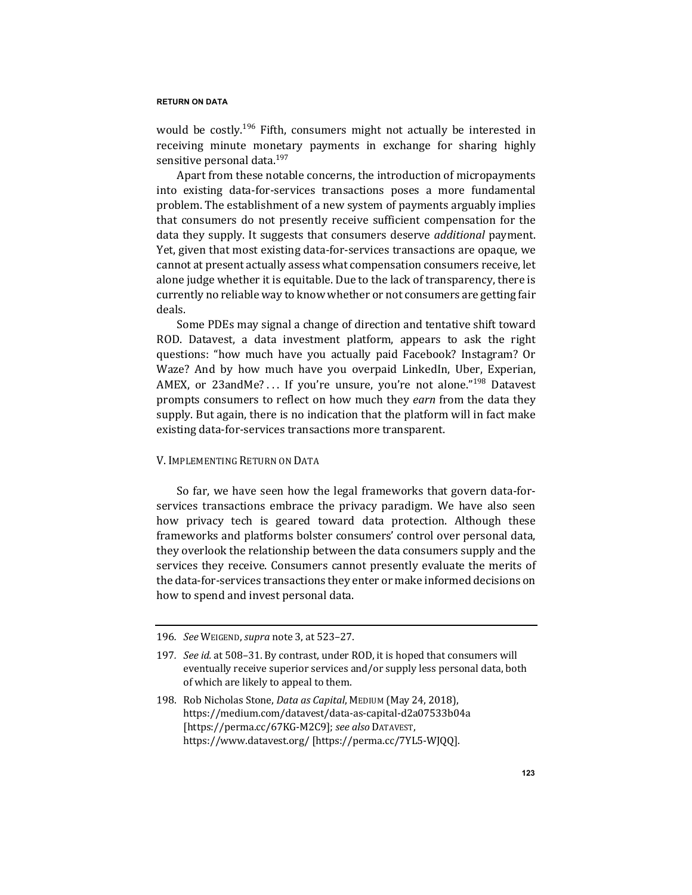would be costly.<sup>196</sup> Fifth, consumers might not actually be interested in receiving minute monetary payments in exchange for sharing highly sensitive personal data.<sup>197</sup>

Apart from these notable concerns, the introduction of micropayments into existing data-for-services transactions poses a more fundamental problem. The establishment of a new system of payments arguably implies that consumers do not presently receive sufficient compensation for the data they supply. It suggests that consumers deserve *additional* payment. Yet, given that most existing data-for-services transactions are opaque, we cannot at present actually assess what compensation consumers receive, let alone judge whether it is equitable. Due to the lack of transparency, there is currently no reliable way to know whether or not consumers are getting fair deals.

Some PDEs may signal a change of direction and tentative shift toward ROD. Datavest, a data investment platform, appears to ask the right questions: "how much have you actually paid Facebook? Instagram? Or Waze? And by how much have you overpaid LinkedIn, Uber, Experian, AMEX, or 23andMe? ... If you're unsure, you're not alone."<sup>198</sup> Datavest prompts consumers to reflect on how much they *earn* from the data they supply. But again, there is no indication that the platform will in fact make existing data-for-services transactions more transparent.

# V. IMPLEMENTING RETURN ON DATA

So far, we have seen how the legal frameworks that govern data-forservices transactions embrace the privacy paradigm. We have also seen how privacy tech is geared toward data protection. Although these frameworks and platforms bolster consumers' control over personal data, they overlook the relationship between the data consumers supply and the services they receive. Consumers cannot presently evaluate the merits of the data-for-services transactions they enter or make informed decisions on how to spend and invest personal data.

198. Rob Nicholas Stone, *Data as Capital*, MEDIUM (May 24, 2018), https://medium.com/datavest/data-as-capital-d2a07533b04a [https://perma.cc/67KG-M2C9]; *see also* DATAVEST, https://www.datavest.org/ [https://perma.cc/7YL5-WJQQ].

<sup>196</sup>*. See* WEIGEND, *supra* note 3, at 523–27.

<sup>197.</sup> *See id.* at 508–31. By contrast, under ROD, it is hoped that consumers will eventually receive superior services and/or supply less personal data, both of which are likely to appeal to them.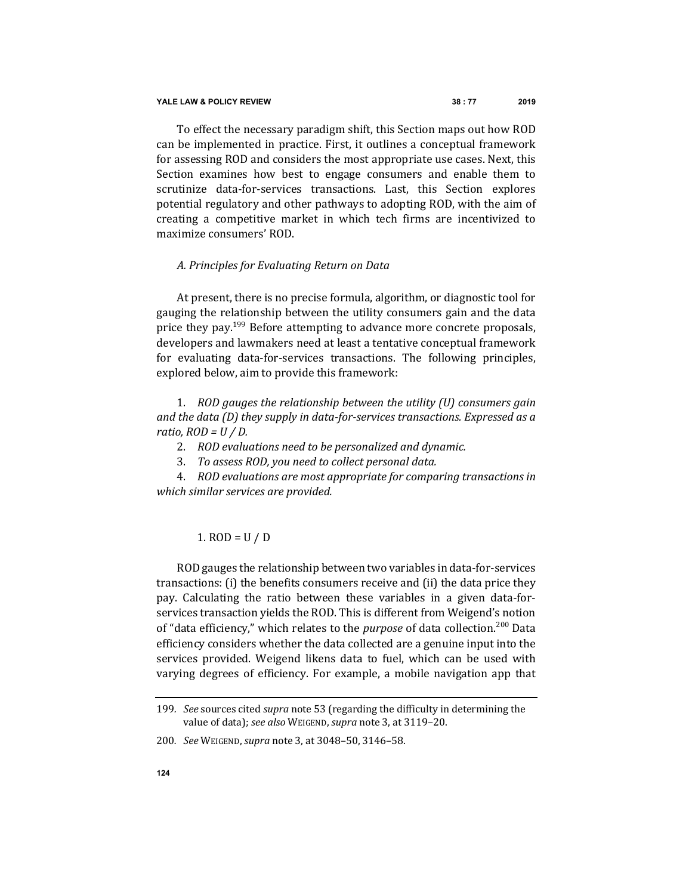To effect the necessary paradigm shift, this Section maps out how ROD can be implemented in practice. First, it outlines a conceptual framework for assessing ROD and considers the most appropriate use cases. Next, this Section examines how best to engage consumers and enable them to scrutinize data-for-services transactions. Last, this Section explores potential regulatory and other pathways to adopting ROD, with the aim of creating a competitive market in which tech firms are incentivized to maximize consumers' ROD.

# *A. Principles for Evaluating Return on Data*

At present, there is no precise formula, algorithm, or diagnostic tool for gauging the relationship between the utility consumers gain and the data price they pay.<sup>199</sup> Before attempting to advance more concrete proposals, developers and lawmakers need at least a tentative conceptual framework for evaluating data-for-services transactions. The following principles, explored below, aim to provide this framework:

1. *ROD gauges the relationship between the utility (U) consumers gain and the data* (D) they supply in data-for-services transactions. Expressed as a  $ratio, ROD = U/D$ .

- 2. *ROD* evaluations need to be personalized and dynamic.
- 3. To assess ROD, you need to collect personal data.

4. *ROD* evaluations are most appropriate for comparing transactions in *which similar services are provided.*

# 1.  $ROD = U / D$

ROD gauges the relationship between two variables in data-for-services transactions: (i) the benefits consumers receive and (ii) the data price they pay. Calculating the ratio between these variables in a given data-forservices transaction yields the ROD. This is different from Weigend's notion of "data efficiency," which relates to the *purpose* of data collection.<sup>200</sup> Data efficiency considers whether the data collected are a genuine input into the services provided. Weigend likens data to fuel, which can be used with varying degrees of efficiency. For example, a mobile navigation app that

<sup>199.</sup> *See* sources cited *supra* note 53 (regarding the difficulty in determining the value of data); see also WEIGEND, supra note 3, at 3119-20.

<sup>200</sup>*. See* WEIGEND, *supra* note 3, at 3048–50, 3146–58.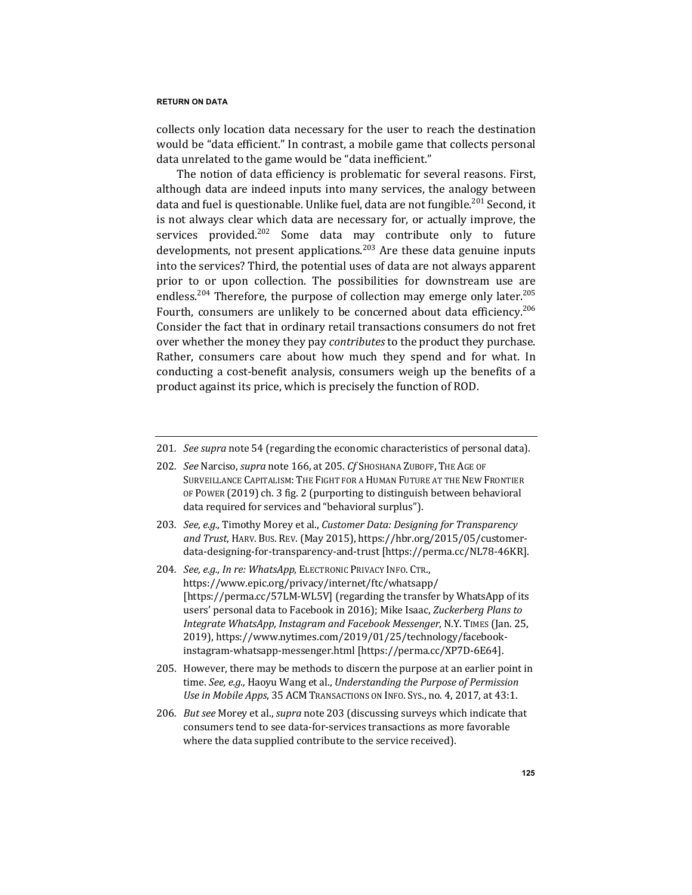collects only location data necessary for the user to reach the destination would be "data efficient." In contrast, a mobile game that collects personal data unrelated to the game would be "data inefficient."

The notion of data efficiency is problematic for several reasons. First, although data are indeed inputs into many services, the analogy between data and fuel is questionable. Unlike fuel, data are not fungible.<sup>201</sup> Second, it is not always clear which data are necessary for, or actually improve, the services provided.<sup>202</sup> Some data may contribute only to future developments, not present applications.<sup>203</sup> Are these data genuine inputs into the services? Third, the potential uses of data are not always apparent prior to or upon collection. The possibilities for downstream use are endless.<sup>204</sup> Therefore, the purpose of collection may emerge only later.<sup>205</sup> Fourth, consumers are unlikely to be concerned about data efficiency.<sup>206</sup> Consider the fact that in ordinary retail transactions consumers do not fret over whether the money they pay *contributes* to the product they purchase. Rather, consumers care about how much they spend and for what. In conducting a cost-benefit analysis, consumers weigh up the benefits of a product against its price, which is precisely the function of ROD.

- 202. *See Narciso, supra note 166, at 205. Cf SHOSHANA ZUBOFF, THE AGE OF* SURVEILLANCE CAPITALISM: THE FIGHT FOR A HUMAN FUTURE AT THE NEW FRONTIER OF POWER (2019) ch. 3 fig. 2 (purporting to distinguish between behavioral data required for services and "behavioral surplus").
- 203. *See, e.g.*, Timothy Morey et al., *Customer Data: Designing for Transparency* and Trust, HARV. Bus. REV. (May 2015), https://hbr.org/2015/05/customerdata-designing-for-transparency-and-trust [https://perma.cc/NL78-46KR].
- 204. *See, e.g., In re: WhatsApp*, ELECTRONIC PRIVACY INFO. CTR., https://www.epic.org/privacy/internet/ftc/whatsapp/ [https://perma.cc/57LM-WL5V] (regarding the transfer by WhatsApp of its users' personal data to Facebook in 2016); Mike Isaac, Zuckerberg Plans to *Integrate WhatsApp, Instagram and Facebook Messenger, N.Y. TIMES (Jan. 25,* 2019), https://www.nytimes.com/2019/01/25/technology/facebookinstagram-whatsapp-messenger.html [https://perma.cc/XP7D-6E64].
- 205. However, there may be methods to discern the purpose at an earlier point in time. See, e.g., Haoyu Wang et al., *Understanding the Purpose of Permission Use in Mobile Apps,* 35 ACM TRANSACTIONS ON INFO. SYS., no. 4, 2017, at 43:1.
- 206. *But see* Morey et al., *supra* note 203 (discussing surveys which indicate that consumers tend to see data-for-services transactions as more favorable where the data supplied contribute to the service received).

<sup>201.</sup> *See supra* note 54 (regarding the economic characteristics of personal data).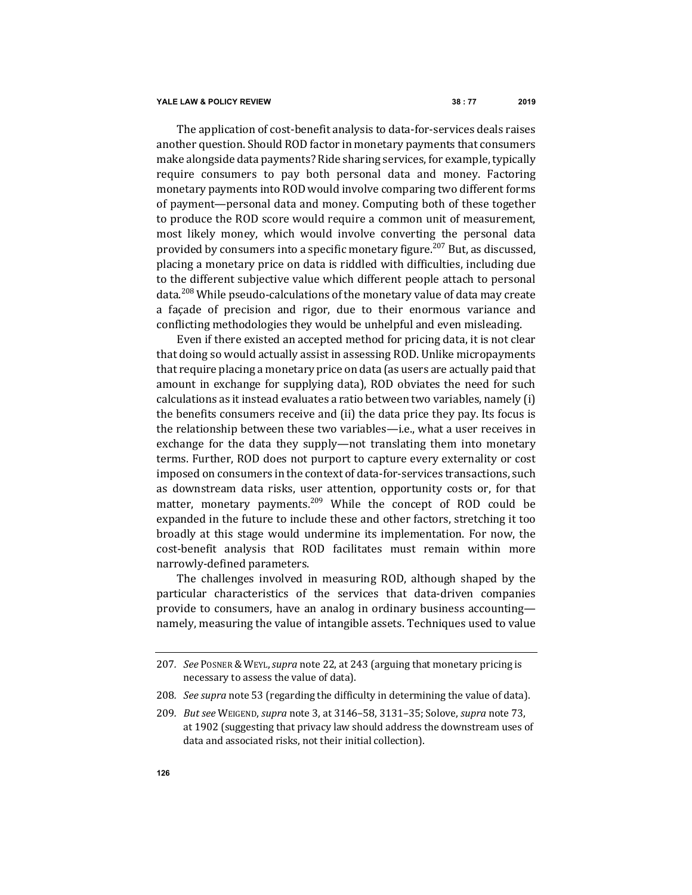#### **YALE LAW & POLICY REVIEW 38 : 77 2019**

The application of cost-benefit analysis to data-for-services deals raises another question. Should ROD factor in monetary payments that consumers make alongside data payments? Ride sharing services, for example, typically require consumers to pay both personal data and money. Factoring monetary payments into ROD would involve comparing two different forms of payment—personal data and money. Computing both of these together to produce the ROD score would require a common unit of measurement, most likely money, which would involve converting the personal data provided by consumers into a specific monetary figure.<sup>207</sup> But, as discussed, placing a monetary price on data is riddled with difficulties, including due to the different subjective value which different people attach to personal data.<sup>208</sup> While pseudo-calculations of the monetary value of data may create a façade of precision and rigor, due to their enormous variance and conflicting methodologies they would be unhelpful and even misleading.

Even if there existed an accepted method for pricing data, it is not clear that doing so would actually assist in assessing ROD. Unlike micropayments that require placing a monetary price on data (as users are actually paid that amount in exchange for supplying data), ROD obviates the need for such  $cal$  calculations as it instead evaluates a ratio between two variables, namely  $(i)$ the benefits consumers receive and (ii) the data price they pay. Its focus is the relationship between these two variables—i.e., what a user receives in exchange for the data they supply—not translating them into monetary terms. Further, ROD does not purport to capture every externality or cost imposed on consumers in the context of data-for-services transactions, such as downstream data risks, user attention, opportunity costs or, for that matter, monetary payments.<sup>209</sup> While the concept of ROD could be expanded in the future to include these and other factors, stretching it too broadly at this stage would undermine its implementation. For now, the cost-benefit analysis that ROD facilitates must remain within more narrowly-defined parameters.

The challenges involved in measuring ROD, although shaped by the particular characteristics of the services that data-driven companies provide to consumers, have an analog in ordinary business accounting namely, measuring the value of intangible assets. Techniques used to value

208. *See supra* note 53 (regarding the difficulty in determining the value of data).

<sup>207.</sup> *See* Posner & Weyl, *supra* note 22, at 243 (arguing that monetary pricing is necessary to assess the value of data).

<sup>209</sup>*. But see* WEIGEND, *supra* note 3, at 3146–58, 3131–35; Solove, *supra* note 73, at 1902 (suggesting that privacy law should address the downstream uses of data and associated risks, not their initial collection).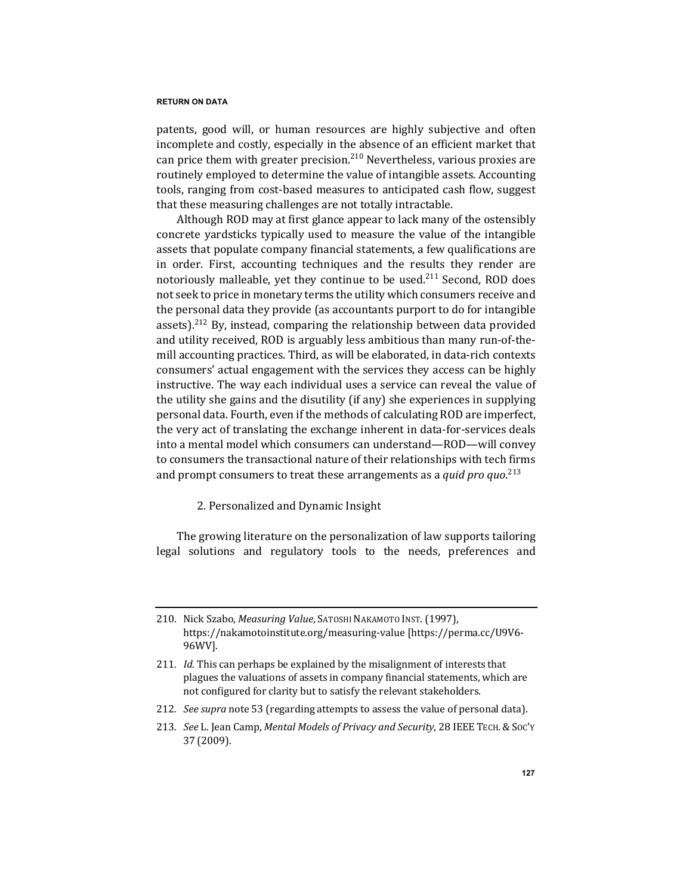patents, good will, or human resources are highly subjective and often incomplete and costly, especially in the absence of an efficient market that can price them with greater precision.<sup>210</sup> Nevertheless, various proxies are routinely employed to determine the value of intangible assets. Accounting tools, ranging from cost-based measures to anticipated cash flow, suggest that these measuring challenges are not totally intractable.

Although ROD may at first glance appear to lack many of the ostensibly concrete yardsticks typically used to measure the value of the intangible assets that populate company financial statements, a few qualifications are in order. First, accounting techniques and the results they render are notoriously malleable, yet they continue to be used. $211$  Second, ROD does not seek to price in monetary terms the utility which consumers receive and the personal data they provide (as accountants purport to do for intangible assets).<sup>212</sup> By, instead, comparing the relationship between data provided and utility received, ROD is arguably less ambitious than many run-of-themill accounting practices. Third, as will be elaborated, in data-rich contexts consumers' actual engagement with the services they access can be highly instructive. The way each individual uses a service can reveal the value of the utility she gains and the disutility (if any) she experiences in supplying personal data. Fourth, even if the methods of calculating ROD are imperfect, the very act of translating the exchange inherent in data-for-services deals into a mental model which consumers can understand—ROD—will convey to consumers the transactional nature of their relationships with tech firms and prompt consumers to treat these arrangements as a *quid pro quo.*<sup>213</sup>

2. Personalized and Dynamic Insight

The growing literature on the personalization of law supports tailoring legal solutions and regulatory tools to the needs, preferences and

212. *See supra* note 53 (regarding attempts to assess the value of personal data).

<sup>210.</sup> Nick Szabo, *Measuring Value*, SATOSHI NAKAMOTO INST. (1997), https://nakamotoinstitute.org/measuring-value [https://perma.cc/U9V6-96WV].

<sup>211.</sup> *Id.* This can perhaps be explained by the misalignment of interests that plagues the valuations of assets in company financial statements, which are not configured for clarity but to satisfy the relevant stakeholders.

<sup>213.</sup> *See L. Jean Camp, Mental Models of Privacy and Security*, 28 IEEE TECH. & Soc'y 37 (2009).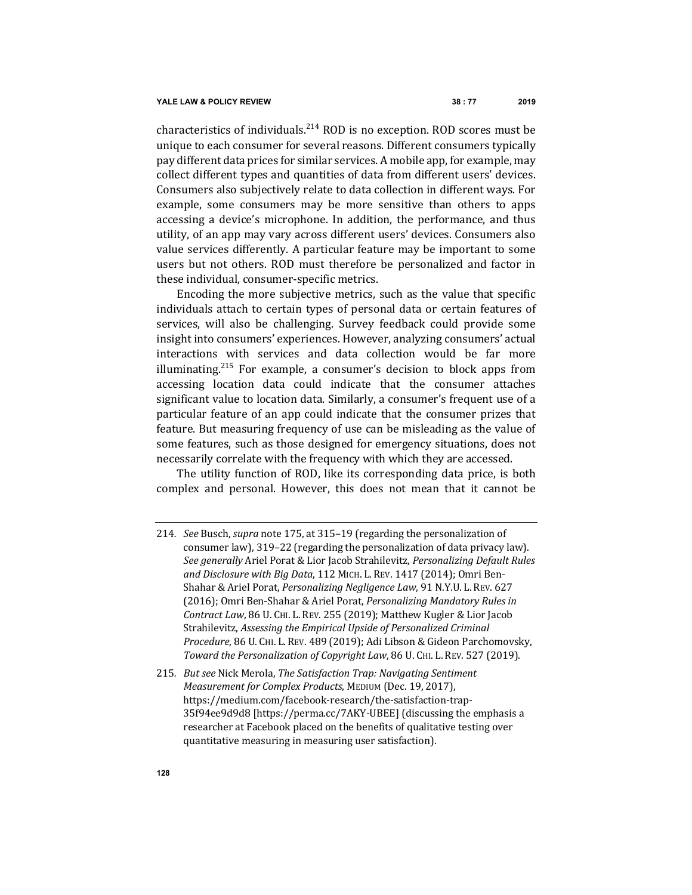characteristics of individuals. $^{214}$  ROD is no exception. ROD scores must be unique to each consumer for several reasons. Different consumers typically pay different data prices for similar services. A mobile app, for example, may collect different types and quantities of data from different users' devices. Consumers also subjectively relate to data collection in different ways. For example, some consumers may be more sensitive than others to apps accessing a device's microphone. In addition, the performance, and thus utility, of an app may vary across different users' devices. Consumers also value services differently. A particular feature may be important to some users but not others. ROD must therefore be personalized and factor in these individual, consumer-specific metrics.

Encoding the more subjective metrics, such as the value that specific individuals attach to certain types of personal data or certain features of services, will also be challenging. Survey feedback could provide some insight into consumers' experiences. However, analyzing consumers' actual interactions with services and data collection would be far more illuminating.<sup>215</sup> For example, a consumer's decision to block apps from accessing location data could indicate that the consumer attaches significant value to location data. Similarly, a consumer's frequent use of a particular feature of an app could indicate that the consumer prizes that feature. But measuring frequency of use can be misleading as the value of some features, such as those designed for emergency situations, does not necessarily correlate with the frequency with which they are accessed.

The utility function of ROD, like its corresponding data price, is both complex and personal. However, this does not mean that it cannot be 

<sup>214.</sup> *See* Busch, *supra* note 175, at 315-19 (regarding the personalization of consumer law), 319-22 (regarding the personalization of data privacy law). *See generally* Ariel Porat & Lior Jacob Strahilevitz, *Personalizing Default Rules* and Disclosure with Big Data, 112 MICH. L. REV. 1417 (2014); Omri Ben-Shahar & Ariel Porat, *Personalizing Negligence Law*, 91 N.Y.U. L. REV. 627 (2016); Omri Ben-Shahar & Ariel Porat, *Personalizing Mandatory Rules in* Contract Law, 86 U. CHI. L. REV. 255 (2019); Matthew Kugler & Lior Jacob Strahilevitz, Assessing the Empirical Upside of Personalized Criminal *Procedure*, 86 U. CHI. L. REV. 489 (2019); Adi Libson & Gideon Parchomovsky, Toward the Personalization of Copyright Law, 86 U. CHI. L. REV. 527 (2019).

<sup>215.</sup> *But see* Nick Merola, *The Satisfaction Trap: Navigating Sentiment Measurement for Complex Products*, MEDIUM (Dec. 19, 2017), https://medium.com/facebook-research/the-satisfaction-trap-35f94ee9d9d8 [https://perma.cc/7AKY-UBEE] (discussing the emphasis a researcher at Facebook placed on the benefits of qualitative testing over quantitative measuring in measuring user satisfaction).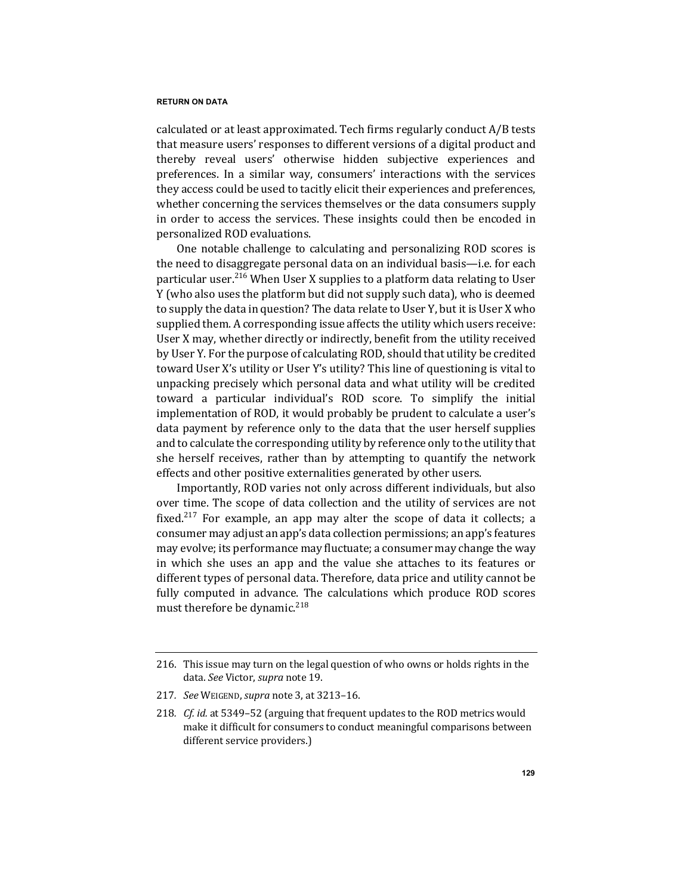calculated or at least approximated. Tech firms regularly conduct A/B tests that measure users' responses to different versions of a digital product and thereby reveal users' otherwise hidden subjective experiences and preferences. In a similar way, consumers' interactions with the services they access could be used to tacitly elicit their experiences and preferences, whether concerning the services themselves or the data consumers supply in order to access the services. These insights could then be encoded in personalized ROD evaluations.

One notable challenge to calculating and personalizing ROD scores is the need to disaggregate personal data on an individual basis-i.e. for each particular user.<sup>216</sup> When User X supplies to a platform data relating to User Y (who also uses the platform but did not supply such data), who is deemed to supply the data in question? The data relate to User Y, but it is User X who supplied them. A corresponding issue affects the utility which users receive: User X may, whether directly or indirectly, benefit from the utility received by User Y. For the purpose of calculating ROD, should that utility be credited toward User X's utility or User Y's utility? This line of questioning is vital to unpacking precisely which personal data and what utility will be credited toward a particular individual's ROD score. To simplify the initial implementation of ROD, it would probably be prudent to calculate a user's data payment by reference only to the data that the user herself supplies and to calculate the corresponding utility by reference only to the utility that she herself receives, rather than by attempting to quantify the network effects and other positive externalities generated by other users.

Importantly, ROD varies not only across different individuals, but also over time. The scope of data collection and the utility of services are not fixed.<sup>217</sup> For example, an app may alter the scope of data it collects; a consumer may adjust an app's data collection permissions; an app's features may evolve; its performance may fluctuate; a consumer may change the way in which she uses an app and the value she attaches to its features or different types of personal data. Therefore, data price and utility cannot be fully computed in advance. The calculations which produce ROD scores must therefore be dynamic.<sup>218</sup>

217*. See* WEIGEND, *supra* note 3, at 3213–16.

<sup>216.</sup> This issue may turn on the legal question of who owns or holds rights in the data. See Victor, *supra* note 19.

<sup>218.</sup> *Cf. id.* at 5349-52 (arguing that frequent updates to the ROD metrics would make it difficult for consumers to conduct meaningful comparisons between different service providers.)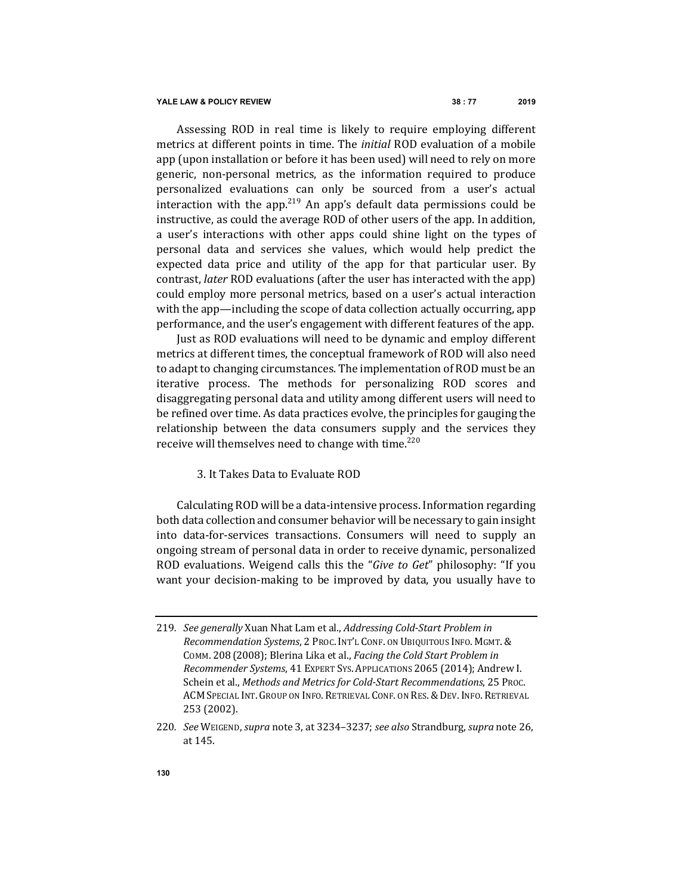Assessing ROD in real time is likely to require employing different metrics at different points in time. The *initial* ROD evaluation of a mobile app (upon installation or before it has been used) will need to rely on more generic, non-personal metrics, as the information required to produce personalized evaluations can only be sourced from a user's actual interaction with the app.<sup>219</sup> An app's default data permissions could be instructive, as could the average ROD of other users of the app. In addition, a user's interactions with other apps could shine light on the types of personal data and services she values, which would help predict the expected data price and utility of the app for that particular user. By contrast, *later* ROD evaluations (after the user has interacted with the app) could employ more personal metrics, based on a user's actual interaction with the app—including the scope of data collection actually occurring, app performance, and the user's engagement with different features of the app.

Just as ROD evaluations will need to be dynamic and employ different metrics at different times, the conceptual framework of ROD will also need to adapt to changing circumstances. The implementation of ROD must be an iterative process. The methods for personalizing ROD scores and disaggregating personal data and utility among different users will need to be refined over time. As data practices evolve, the principles for gauging the relationship between the data consumers supply and the services they receive will themselves need to change with time.<sup>220</sup>

# 3. It Takes Data to Evaluate ROD

Calculating ROD will be a data-intensive process. Information regarding both data collection and consumer behavior will be necessary to gain insight into data-for-services transactions. Consumers will need to supply an ongoing stream of personal data in order to receive dynamic, personalized ROD evaluations. Weigend calls this the "*Give to Get*" philosophy: "If you want your decision-making to be improved by data, you usually have to

<sup>219.</sup> *See generally* Xuan Nhat Lam et al., *Addressing Cold-Start Problem in Recommendation Systems, 2 PROC. INT'L CONF. ON UBIQUITOUS INFO. MGMT. &* COMM. 208 (2008); Blerina Lika et al., *Facing the Cold Start Problem in Recommender Systems*, 41 EXPERT Sys. APPLICATIONS 2065 (2014); Andrew I. Schein et al., *Methods and Metrics for Cold-Start Recommendations*, 25 Proc. ACM SPECIAL INT. GROUP ON INFO. RETRIEVAL CONF. ON RES. & DEV. INFO. RETRIEVAL 253 (2002).

<sup>220</sup>*. See* WEIGEND, *supra* note 3, at 3234–3237; *see also* Strandburg, *supra* note 26, at 145.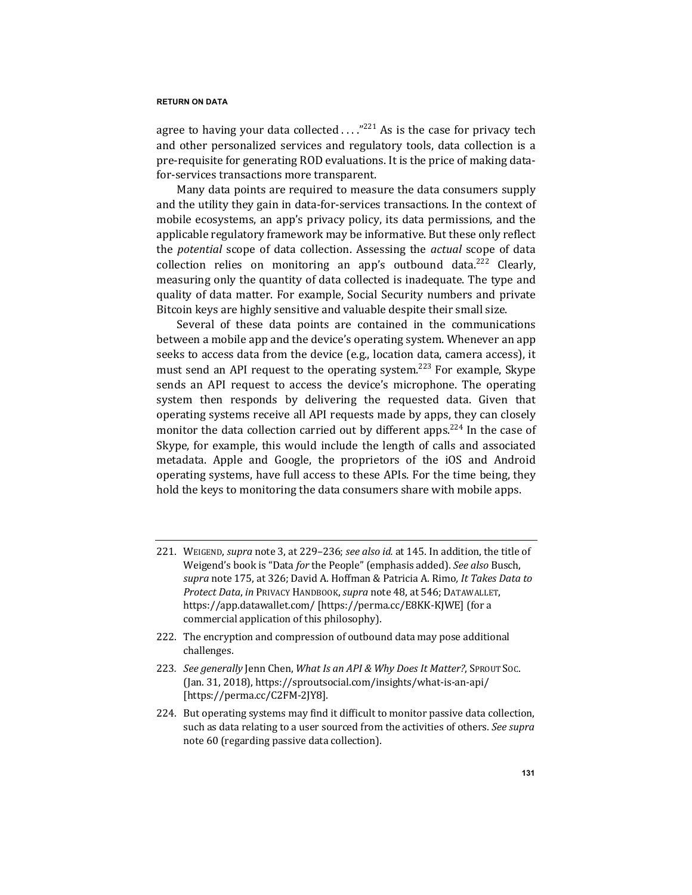agree to having your data collected  $\ldots$ ."<sup>221</sup> As is the case for privacy tech and other personalized services and regulatory tools, data collection is a pre-requisite for generating ROD evaluations. It is the price of making datafor-services transactions more transparent.

Many data points are required to measure the data consumers supply and the utility they gain in data-for-services transactions. In the context of mobile ecosystems, an app's privacy policy, its data permissions, and the applicable regulatory framework may be informative. But these only reflect the *potential* scope of data collection. Assessing the *actual* scope of data collection relies on monitoring an app's outbound data.<sup>222</sup> Clearly, measuring only the quantity of data collected is inadequate. The type and quality of data matter. For example, Social Security numbers and private Bitcoin keys are highly sensitive and valuable despite their small size.

Several of these data points are contained in the communications between a mobile app and the device's operating system. Whenever an app seeks to access data from the device (e.g., location data, camera access), it must send an API request to the operating system.<sup>223</sup> For example, Skype sends an API request to access the device's microphone. The operating system then responds by delivering the requested data. Given that operating systems receive all API requests made by apps, they can closely monitor the data collection carried out by different apps.<sup>224</sup> In the case of Skype, for example, this would include the length of calls and associated metadata. Apple and Google, the proprietors of the iOS and Android operating systems, have full access to these APIs. For the time being, they hold the keys to monitoring the data consumers share with mobile apps.

- 221. WEIGEND, *supra* note 3, at 229-236; *see also id.* at 145. In addition, the title of Weigend's book is "Data for the People" (emphasis added). See also Busch, *supra* note 175, at 326; David A. Hoffman & Patricia A. Rimo*, It Takes Data to Protect Data*, *in* PRIVACY HANDBOOK, *supra* note 48, at 546; DATAWALLET, https://app.datawallet.com/ [https://perma.cc/E8KK-KJWE] (for a commercial application of this philosophy).
- 222. The encryption and compression of outbound data may pose additional challenges.
- 223. See generally Jenn Chen, *What Is an API & Why Does It Matter?*, SPROUT Soc. (Jan. 31, 2018), https://sproutsocial.com/insights/what-is-an-api/ [https://perma.cc/C2FM-2JY8].
- 224. But operating systems may find it difficult to monitor passive data collection, such as data relating to a user sourced from the activities of others. See supra note 60 (regarding passive data collection).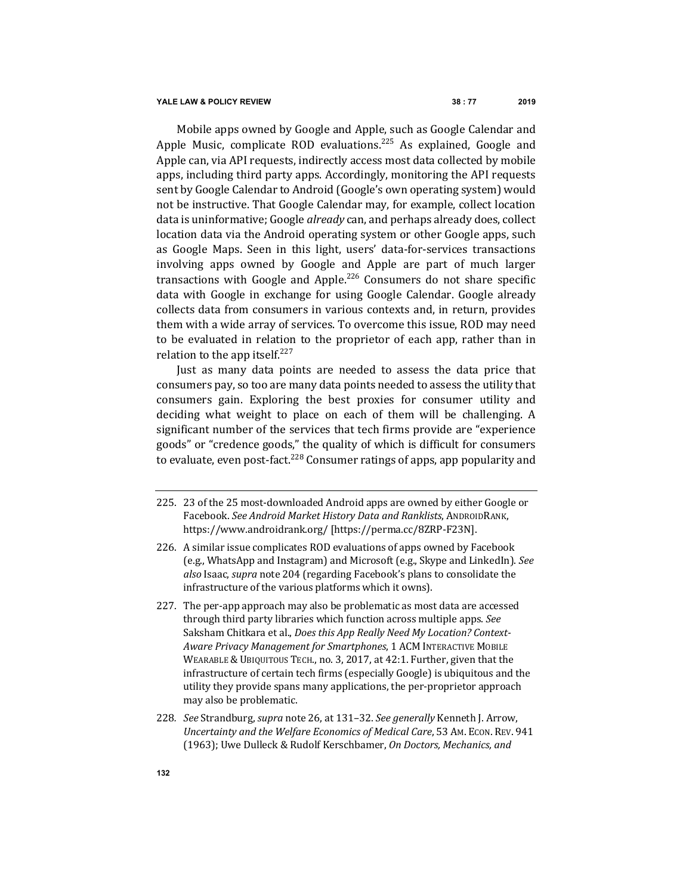Mobile apps owned by Google and Apple, such as Google Calendar and Apple Music, complicate ROD evaluations.<sup>225</sup> As explained, Google and Apple can, via API requests, indirectly access most data collected by mobile apps, including third party apps. Accordingly, monitoring the API requests sent by Google Calendar to Android (Google's own operating system) would not be instructive. That Google Calendar may, for example, collect location data is uninformative; Google *already* can, and perhaps already does, collect location data via the Android operating system or other Google apps, such as Google Maps. Seen in this light, users' data-for-services transactions involving apps owned by Google and Apple are part of much larger transactions with Google and Apple.<sup>226</sup> Consumers do not share specific data with Google in exchange for using Google Calendar. Google already collects data from consumers in various contexts and, in return, provides them with a wide array of services. To overcome this issue, ROD may need to be evaluated in relation to the proprietor of each app, rather than in relation to the app itself. $227$ 

Just as many data points are needed to assess the data price that consumers pay, so too are many data points needed to assess the utility that consumers gain. Exploring the best proxies for consumer utility and deciding what weight to place on each of them will be challenging. A significant number of the services that tech firms provide are "experience goods" or "credence goods," the quality of which is difficult for consumers to evaluate, even post-fact.<sup>228</sup> Consumer ratings of apps, app popularity and

- 225. 23 of the 25 most-downloaded Android apps are owned by either Google or Facebook. *See Android Market History Data and Ranklists*, ANDROIDRANK, https://www.androidrank.org/ [https://perma.cc/8ZRP-F23N].
- 226. A similar issue complicates ROD evaluations of apps owned by Facebook (e.g., WhatsApp and Instagram) and Microsoft (e.g., Skype and LinkedIn). See *also* Isaac, *supra* note 204 (regarding Facebook's plans to consolidate the infrastructure of the various platforms which it owns).
- 227. The per-app approach may also be problematic as most data are accessed through third party libraries which function across multiple apps. *See* Saksham Chitkara et al., *Does this App Really Need My Location? Context-*Aware Privacy Management for Smartphones, 1 ACM INTERACTIVE MOBILE WEARABLE & UBIQUITOUS TECH., no. 3, 2017, at 42:1. Further, given that the infrastructure of certain tech firms (especially Google) is ubiquitous and the utility they provide spans many applications, the per-proprietor approach may also be problematic.
- 228. *See* Strandburg, *supra* note 26, at 131-32. *See generally* Kenneth J. Arrow, *Uncertainty and the Welfare Economics of Medical Care,* 53 Am. Econ. REV. 941 (1963); Uwe Dulleck & Rudolf Kerschbamer, On Doctors, Mechanics, and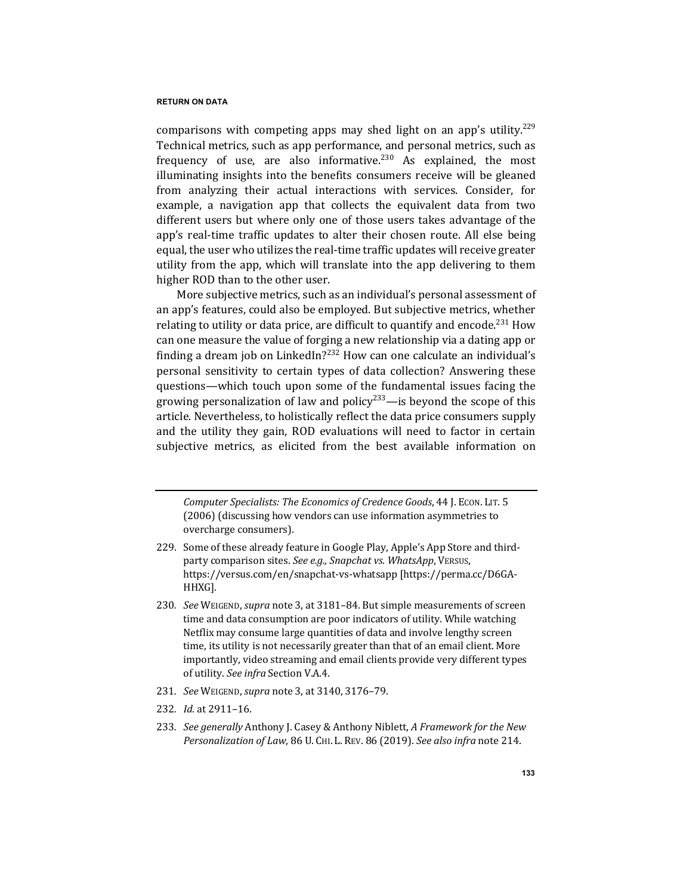comparisons with competing apps may shed light on an app's utility.<sup>229</sup> Technical metrics, such as app performance, and personal metrics, such as frequency of use, are also informative.<sup>230</sup> As explained, the most illuminating insights into the benefits consumers receive will be gleaned from analyzing their actual interactions with services. Consider, for example, a navigation app that collects the equivalent data from two different users but where only one of those users takes advantage of the app's real-time traffic updates to alter their chosen route. All else being equal, the user who utilizes the real-time traffic updates will receive greater utility from the app, which will translate into the app delivering to them higher ROD than to the other user.

More subjective metrics, such as an individual's personal assessment of an app's features, could also be employed. But subjective metrics, whether relating to utility or data price, are difficult to quantify and encode.<sup>231</sup> How can one measure the value of forging a new relationship via a dating app or finding a dream job on LinkedIn?<sup>232</sup> How can one calculate an individual's personal sensitivity to certain types of data collection? Answering these questions—which touch upon some of the fundamental issues facing the growing personalization of law and policy<sup>233</sup>—is beyond the scope of this article. Nevertheless, to holistically reflect the data price consumers supply and the utility they gain, ROD evaluations will need to factor in certain subjective metrics, as elicited from the best available information on

*Computer Specialists: The Economics of Credence Goods, 44 J. Econ. LIT. 5* (2006) (discussing how vendors can use information asymmetries to overcharge consumers).

- 229. Some of these already feature in Google Play, Apple's App Store and thirdparty comparison sites. See e.g., Snapchat vs. WhatsApp, VERSUS, https://versus.com/en/snapchat-vs-whatsapp [https://perma.cc/D6GA-HHXG].
- 230. *See* WEIGEND, *supra* note 3, at 3181–84. But simple measurements of screen time and data consumption are poor indicators of utility. While watching Netflix may consume large quantities of data and involve lengthy screen time, its utility is not necessarily greater than that of an email client. More importantly, video streaming and email clients provide very different types of utility. See infra Section V.A.4.
- 231*. See* WEIGEND, *supra* note 3, at 3140, 3176–79.
- 232*. Id.* at 2911–16.
- 233. *See generally* Anthony J. Casey & Anthony Niblett, A Framework for the New *Personalization of Law,* 86 U. CHI. L. REV. 86 (2019). *See also infra* note 214.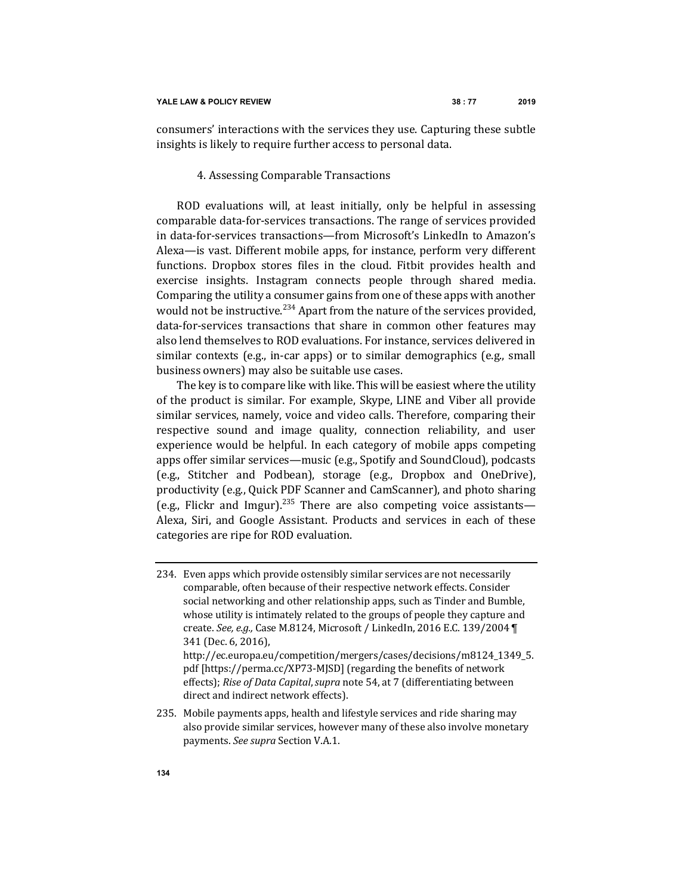consumers' interactions with the services they use. Capturing these subtle insights is likely to require further access to personal data.

# 4. Assessing Comparable Transactions

ROD evaluations will, at least initially, only be helpful in assessing comparable data-for-services transactions. The range of services provided in data-for-services transactions—from Microsoft's LinkedIn to Amazon's Alexa—is vast. Different mobile apps, for instance, perform very different functions. Dropbox stores files in the cloud. Fitbit provides health and exercise insights. Instagram connects people through shared media. Comparing the utility a consumer gains from one of these apps with another would not be instructive.<sup>234</sup> Apart from the nature of the services provided, data-for-services transactions that share in common other features mav also lend themselves to ROD evaluations. For instance, services delivered in similar contexts  $(e.g., in-car apps)$  or to similar demographics  $(e.g., small)$ business owners) may also be suitable use cases.

The key is to compare like with like. This will be easiest where the utility of the product is similar. For example, Skype, LINE and Viber all provide similar services, namely, voice and video calls. Therefore, comparing their respective sound and image quality, connection reliability, and user experience would be helpful. In each category of mobile apps competing apps offer similar services—music (e.g., Spotify and SoundCloud), podcasts (e.g., Stitcher and Podbean), storage (e.g., Dropbox and OneDrive), productivity (e.g., Quick PDF Scanner and CamScanner), and photo sharing (e.g., Flickr and Imgur).<sup>235</sup> There are also competing voice assistants— Alexa, Siri, and Google Assistant. Products and services in each of these categories are ripe for ROD evaluation.

<sup>234.</sup> Even apps which provide ostensibly similar services are not necessarily comparable, often because of their respective network effects. Consider social networking and other relationship apps, such as Tinder and Bumble, whose utility is intimately related to the groups of people they capture and create. See, e.g., Case M.8124, Microsoft / LinkedIn, 2016 E.C. 139/2004 \[ 341 (Dec. 6, 2016), http://ec.europa.eu/competition/mergers/cases/decisions/m8124\_1349\_5. pdf [https://perma.cc/XP73-MJSD] (regarding the benefits of network effects); *Rise of Data Capital*, *supra* note 54, at 7 (differentiating between direct and indirect network effects).

<sup>235.</sup> Mobile payments apps, health and lifestyle services and ride sharing may also provide similar services, however many of these also involve monetary payments. See supra Section V.A.1.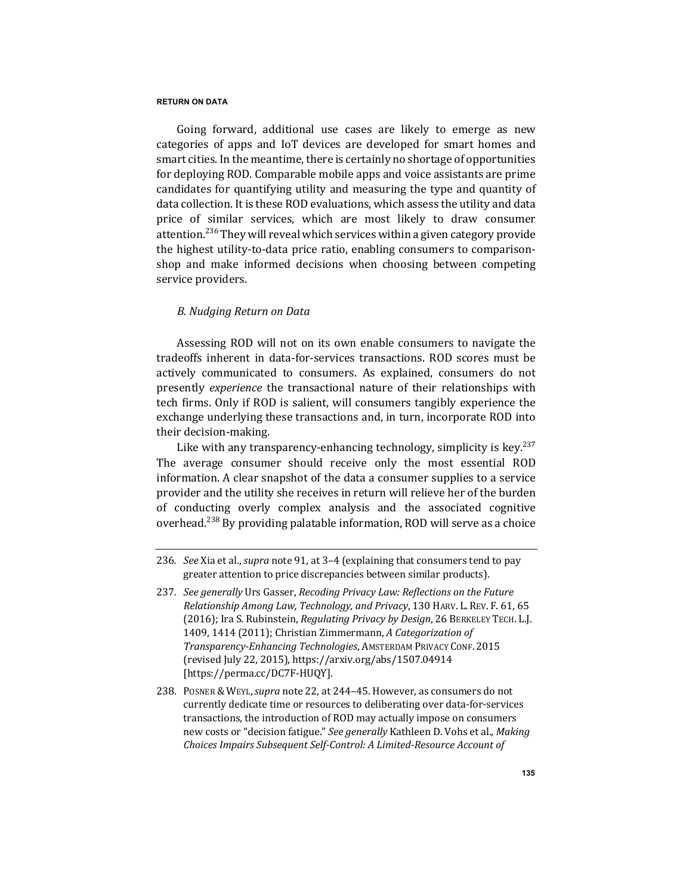Going forward, additional use cases are likely to emerge as new categories of apps and IoT devices are developed for smart homes and smart cities. In the meantime, there is certainly no shortage of opportunities for deploying ROD. Comparable mobile apps and voice assistants are prime candidates for quantifying utility and measuring the type and quantity of data collection. It is these ROD evaluations, which assess the utility and data price of similar services, which are most likely to draw consumer attention.<sup>236</sup> They will reveal which services within a given category provide the highest utility-to-data price ratio, enabling consumers to comparisonshop and make informed decisions when choosing between competing service providers.

# *B. Nudging Return on Data*

Assessing ROD will not on its own enable consumers to navigate the tradeoffs inherent in data-for-services transactions. ROD scores must be actively communicated to consumers. As explained, consumers do not presently *experience* the transactional nature of their relationships with tech firms. Only if ROD is salient, will consumers tangibly experience the exchange underlying these transactions and, in turn, incorporate ROD into their decision-making.

Like with any transparency-enhancing technology, simplicity is key.<sup>237</sup> The average consumer should receive only the most essential ROD information. A clear snapshot of the data a consumer supplies to a service provider and the utility she receives in return will relieve her of the burden of conducting overly complex analysis and the associated cognitive overhead.<sup>238</sup> By providing palatable information, ROD will serve as a choice

- 237. *See generally* Urs Gasser, *Recoding Privacy Law: Reflections on the Future Relationship Among Law, Technology, and Privacy, 130 HARV. L. REV. F. 61, 65* (2016); Ira S. Rubinstein, *Regulating Privacy by Design*, 26 BERKELEY TECH. L.J. 1409, 1414 (2011); Christian Zimmermann, *A Categorization of Transparency-Enhancing Technologies*, AMSTERDAM PRIVACY CONF. 2015 (revised July 22, 2015), https://arxiv.org/abs/1507.04914 [https://perma.cc/DC7F-HUQY].
- 238. Posner & Weyl, *supra* note 22, at 244-45. However, as consumers do not currently dedicate time or resources to deliberating over data-for-services transactions, the introduction of ROD may actually impose on consumers new costs or "decision fatigue." See generally Kathleen D. Vohs et al., Making *Choices Impairs Subsequent Self-Control: A Limited-Resource Account of*

<sup>236.</sup> *See* Xia et al., *supra* note 91, at 3–4 (explaining that consumers tend to pay greater attention to price discrepancies between similar products).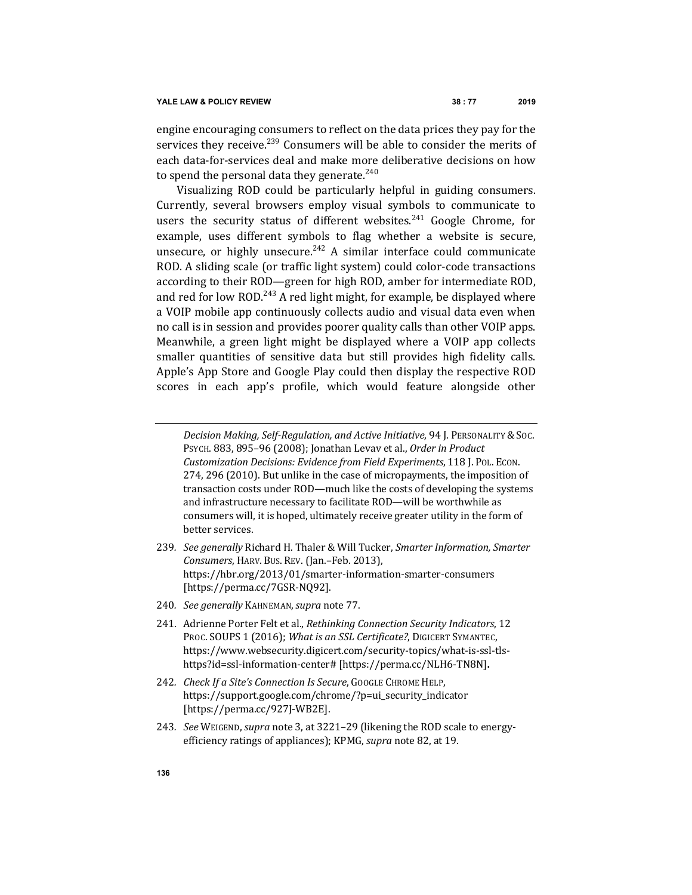engine encouraging consumers to reflect on the data prices they pay for the services they receive.<sup>239</sup> Consumers will be able to consider the merits of each data-for-services deal and make more deliberative decisions on how to spend the personal data they generate.<sup>240</sup>

Visualizing ROD could be particularly helpful in guiding consumers. Currently, several browsers employ visual symbols to communicate to users the security status of different websites.<sup>241</sup> Google Chrome, for example, uses different symbols to flag whether a website is secure, unsecure, or highly unsecure. $242$  A similar interface could communicate ROD. A sliding scale (or traffic light system) could color-code transactions according to their ROD—green for high ROD, amber for intermediate ROD, and red for low ROD.<sup>243</sup> A red light might, for example, be displayed where a VOIP mobile app continuously collects audio and visual data even when no call is in session and provides poorer quality calls than other VOIP apps. Meanwhile, a green light might be displayed where a VOIP app collects smaller quantities of sensitive data but still provides high fidelity calls. Apple's App Store and Google Play could then display the respective ROD scores in each app's profile, which would feature alongside other

*Decision Making, Self-Regulation, and Active Initiative,* 94 J. PERSONALITY & Soc. PSYCH. 883, 895-96 (2008); Jonathan Levav et al., Order in Product *Customization Decisions: Evidence from Field Experiments*, 118 J. POL. ECON. 274, 296 (2010). But unlike in the case of micropayments, the imposition of transaction costs under ROD—much like the costs of developing the systems and infrastructure necessary to facilitate ROD-will be worthwhile as consumers will, it is hoped, ultimately receive greater utility in the form of better services.

- 239. *See generally* Richard H. Thaler & Will Tucker, Smarter Information, Smarter *Consumers*, HARV. Bus. REV. (Jan.–Feb. 2013), https://hbr.org/2013/01/smarter-information-smarter-consumers [https://perma.cc/7GSR-NQ92].
- 240*. See generally* KAHNEMAN,*supra* note 77.
- 241. Adrienne Porter Felt et al., *Rethinking Connection Security Indicators*, 12 PROC. SOUPS 1 (2016); *What is an SSL Certificate?*, DIGICERT SYMANTEC, https://www.websecurity.digicert.com/security-topics/what-is-ssl-tlshttps?id=ssl-information-center# [https://perma.cc/NLH6-TN8N]**.**
- 242. *Check If a Site's Connection Is Secure*, GOOGLE CHROME HELP, https://support.google.com/chrome/?p=ui\_security\_indicator [https://perma.cc/927J-WB2E].
- 243. *See* WEIGEND, *supra* note 3, at 3221-29 (likening the ROD scale to energyefficiency ratings of appliances); KPMG, *supra* note 82, at 19.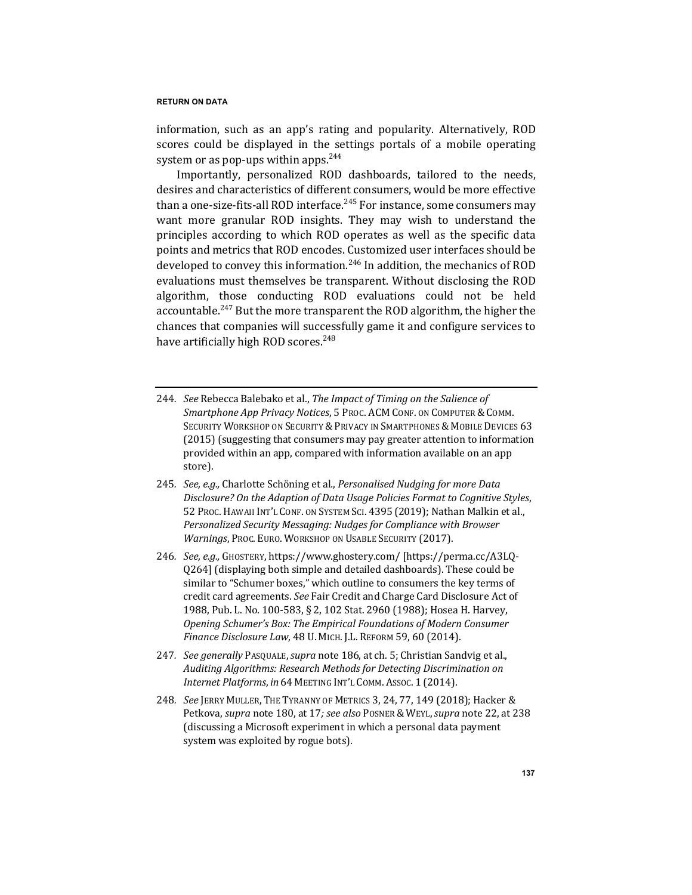information, such as an app's rating and popularity. Alternatively, ROD scores could be displayed in the settings portals of a mobile operating system or as pop-ups within apps.  $244$ 

Importantly, personalized ROD dashboards, tailored to the needs, desires and characteristics of different consumers, would be more effective than a one-size-fits-all ROD interface.<sup>245</sup> For instance, some consumers may want more granular ROD insights. They may wish to understand the principles according to which ROD operates as well as the specific data points and metrics that ROD encodes. Customized user interfaces should be developed to convey this information.<sup>246</sup> In addition, the mechanics of ROD evaluations must themselves be transparent. Without disclosing the ROD algorithm, those conducting ROD evaluations could not be held accountable.<sup>247</sup> But the more transparent the ROD algorithm, the higher the chances that companies will successfully game it and configure services to have artificially high ROD scores.<sup>248</sup>

- 244. *See* Rebecca Balebako et al., *The Impact of Timing on the Salience of* Smartphone App Privacy Notices, 5 PROC. ACM CONF. ON COMPUTER & COMM. SECURITY WORKSHOP ON SECURITY & PRIVACY IN SMARTPHONES & MOBILE DEVICES 63 (2015) (suggesting that consumers may pay greater attention to information provided within an app, compared with information available on an app store).
- 245. See, e.g., Charlotte Schöning et al., Personalised Nudging for more Data *Disclosure? On the Adaption of Data Usage Policies Format to Cognitive Styles*, 52 Proc. HAWAII INT'L CONF. ON SYSTEM SCI. 4395 (2019); Nathan Malkin et al., *Personalized Security Messaging: Nudges for Compliance with Browser Warnings*, Proc. Euro. WORKSHOP ON USABLE SECURITY (2017).
- 246. *See, e.g.,* GHOSTERY, https://www.ghostery.com/ [https://perma.cc/A3LQ-Q264] (displaying both simple and detailed dashboards). These could be similar to "Schumer boxes," which outline to consumers the key terms of credit card agreements. See Fair Credit and Charge Card Disclosure Act of 1988, Pub. L. No. 100-583, § 2, 102 Stat. 2960 (1988); Hosea H. Harvey, *Opening Schumer's Box: The Empirical Foundations of Modern Consumer Finance Disclosure Law*, 48 U. MICH. J.L. REFORM 59, 60 (2014).
- 247*. See generally* PASQUALE,*supra* note 186, at ch. 5; Christian Sandvig et al., *Auditing Algorithms: Research Methods for Detecting Discrimination on Internet Platforms, in* 64 MEETING INT'L COMM. Assoc. 1 (2014).
- 248*. See* JERRY MULLER, THE TYRANNY OF METRICS 3, 24, 77, 149 (2018); Hacker & Petkova, *supra* note 180, at 17; see also POSNER & WEYL, *supra* note 22, at 238 (discussing a Microsoft experiment in which a personal data payment system was exploited by rogue bots).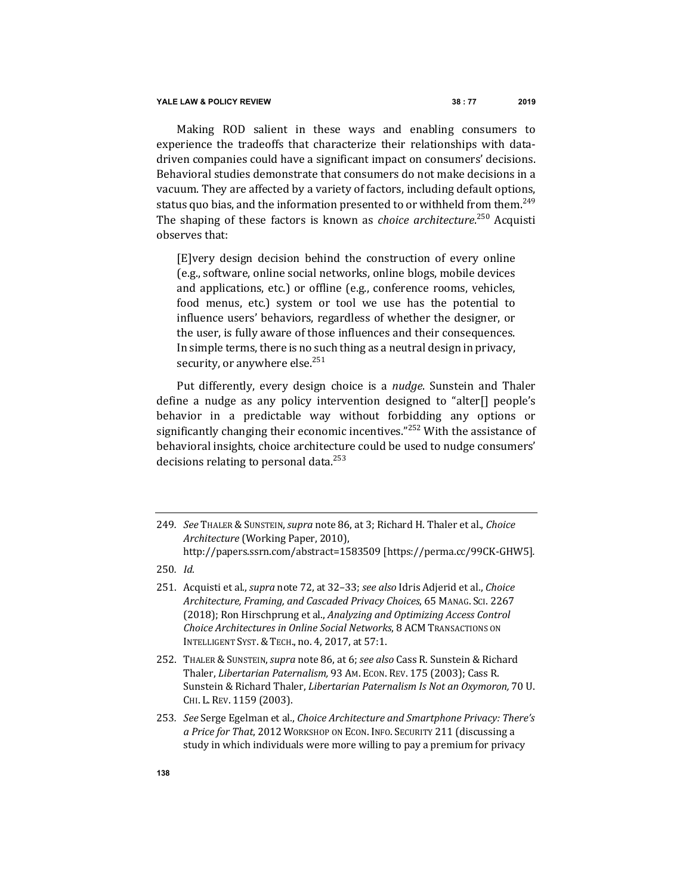Making ROD salient in these ways and enabling consumers to experience the tradeoffs that characterize their relationships with datadriven companies could have a significant impact on consumers' decisions. Behavioral studies demonstrate that consumers do not make decisions in a vacuum. They are affected by a variety of factors, including default options, status quo bias, and the information presented to or withheld from them.<sup>249</sup> The shaping of these factors is known as *choice architecture*.<sup>250</sup> Acquisti observes that:

[E]very design decision behind the construction of every online (e.g., software, online social networks, online blogs, mobile devices and applications, etc.) or offline (e.g., conference rooms, vehicles, food menus, etc.) system or tool we use has the potential to influence users' behaviors, regardless of whether the designer, or the user, is fully aware of those influences and their consequences. In simple terms, there is no such thing as a neutral design in privacy, security, or anywhere else.<sup>251</sup>

Put differently, every design choice is a *nudge*. Sunstein and Thaler define a nudge as any policy intervention designed to "alter[] people's behavior in a predictable way without forbidding any options or significantly changing their economic incentives." $252$  With the assistance of behavioral insights, choice architecture could be used to nudge consumers' decisions relating to personal data.<sup>253</sup>

<sup>249</sup>*. See* THALER &SUNSTEIN,*supra* note 86, at 3; Richard H. Thaler et al., *Choice Architecture* (Working Paper, 2010), http://papers.ssrn.com/abstract=1583509 [https://perma.cc/99CK-GHW5]*.*

<sup>250</sup>*. Id.*

<sup>251.</sup> Acquisti et al., *supra* note 72, at 32-33; see also Idris Adjerid et al., *Choice Architecture, Framing, and Cascaded Privacy Choices*, 65 MANAG. SCI. 2267 (2018); Ron Hirschprung et al., *Analyzing and Optimizing Access Control* **Choice Architectures in Online Social Networks, 8 ACM TRANSACTIONS ON** INTELLIGENT SYST. & TECH., no. 4, 2017, at 57:1.

<sup>252.</sup> THALER & SUNSTEIN, *supra* note 86, at 6; see also Cass R. Sunstein & Richard Thaler, *Libertarian Paternalism*, 93 Am. Econ. REV. 175 (2003); Cass R. Sunstein & Richard Thaler, *Libertarian Paternalism Is Not an Oxymoron*, 70 U. CHI. L. REV. 1159 (2003).

<sup>253.</sup> See Serge Egelman et al., *Choice Architecture and Smartphone Privacy: There's a Price for That,* 2012 WORKSHOP ON ECON. INFO. SECURITY 211 (discussing a study in which individuals were more willing to pay a premium for privacy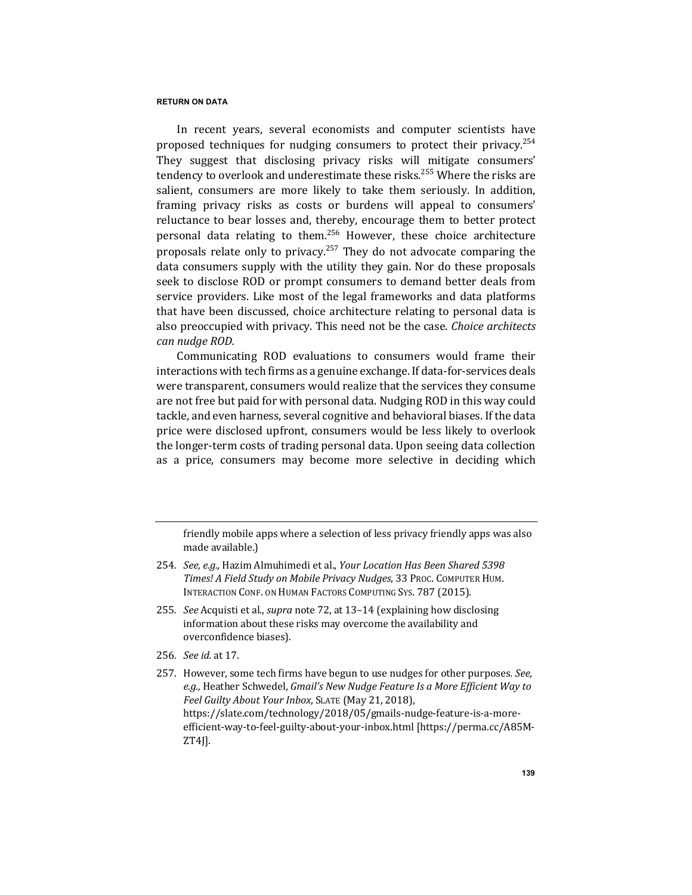In recent years, several economists and computer scientists have proposed techniques for nudging consumers to protect their privacy.<sup>254</sup> They suggest that disclosing privacy risks will mitigate consumers' tendency to overlook and underestimate these risks.<sup>255</sup> Where the risks are salient, consumers are more likely to take them seriously. In addition, framing privacy risks as costs or burdens will appeal to consumers' reluctance to bear losses and, thereby, encourage them to better protect personal data relating to them.<sup>256</sup> However, these choice architecture proposals relate only to privacy.<sup>257</sup> They do not advocate comparing the data consumers supply with the utility they gain. Nor do these proposals seek to disclose ROD or prompt consumers to demand better deals from service providers. Like most of the legal frameworks and data platforms that have been discussed, choice architecture relating to personal data is also preoccupied with privacy. This need not be the case. *Choice architects can nudge ROD.*

Communicating ROD evaluations to consumers would frame their interactions with tech firms as a genuine exchange. If data-for-services deals were transparent, consumers would realize that the services they consume are not free but paid for with personal data. Nudging ROD in this way could tackle, and even harness, several cognitive and behavioral biases. If the data price were disclosed upfront, consumers would be less likely to overlook the longer-term costs of trading personal data. Upon seeing data collection as a price, consumers may become more selective in deciding which

friendly mobile apps where a selection of less privacy friendly apps was also made available.)

- 254. *See, e.g.,* Hazim Almuhimedi et al., Your Location Has Been Shared 5398 *Times! A Field Study on Mobile Privacy Nudges*, 33 PROC. COMPUTER HUM. INTERACTION CONF. ON HUMAN FACTORS COMPUTING SYS. 787 (2015).
- 255. *See* Acquisti et al., *supra* note 72, at 13-14 (explaining how disclosing information about these risks may overcome the availability and overconfidence biases).
- 256*. See id.* at 17.
- 257. However, some tech firms have begun to use nudges for other purposes. See, e.g., Heather Schwedel, *Gmail's New Nudge Feature Is a More Efficient Way to* Feel Guilty About Your Inbox, SLATE (May 21, 2018), https://slate.com/technology/2018/05/gmails-nudge-feature-is-a-moreefficient-way-to-feel-guilty-about-your-inbox.html [https://perma.cc/A85M-ZT4J].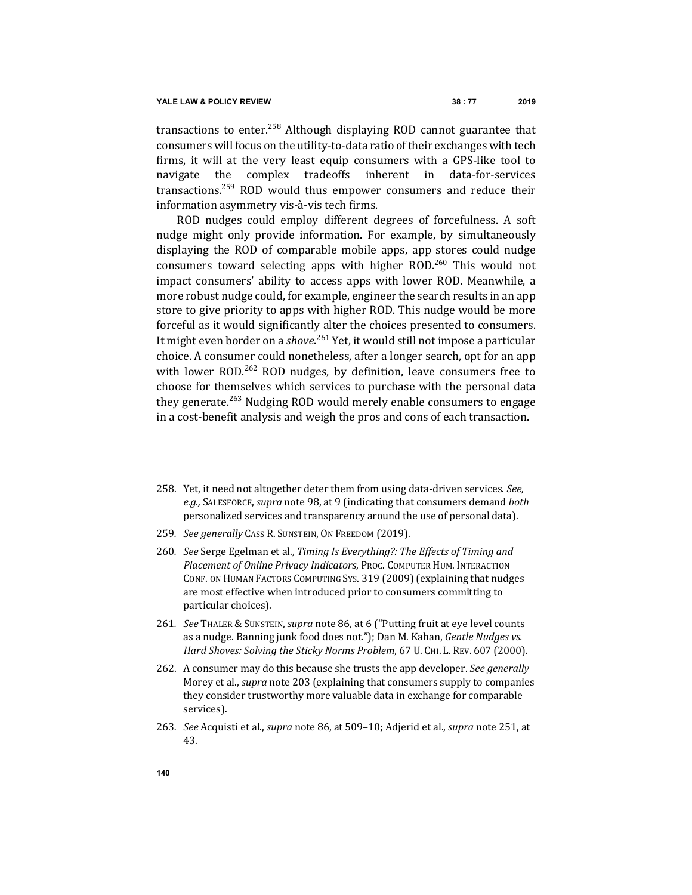transactions to enter.<sup>258</sup> Although displaying ROD cannot guarantee that consumers will focus on the utility-to-data ratio of their exchanges with tech firms, it will at the very least equip consumers with a GPS-like tool to navigate the complex tradeoffs inherent in data-for-services transactions.<sup>259</sup> ROD would thus empower consumers and reduce their information asymmetry vis-à-vis tech firms.

ROD nudges could employ different degrees of forcefulness. A soft nudge might only provide information. For example, by simultaneously displaying the ROD of comparable mobile apps, app stores could nudge consumers toward selecting apps with higher  $ROD<sup>260</sup>$  This would not impact consumers' ability to access apps with lower ROD. Meanwhile, a more robust nudge could, for example, engineer the search results in an app store to give priority to apps with higher ROD. This nudge would be more forceful as it would significantly alter the choices presented to consumers. It might even border on a *shove*.<sup>261</sup> Yet, it would still not impose a particular choice. A consumer could nonetheless, after a longer search, opt for an app with lower ROD.<sup>262</sup> ROD nudges, by definition, leave consumers free to choose for themselves which services to purchase with the personal data they generate.<sup>263</sup> Nudging ROD would merely enable consumers to engage in a cost-benefit analysis and weigh the pros and cons of each transaction.

- 258. Yet, it need not altogether deter them from using data-driven services. See, e.g., SALESFORCE, *supra* note 98, at 9 (indicating that consumers demand *both* personalized services and transparency around the use of personal data).
- 259*. See generally* CASS R. SUNSTEIN, ON FREEDOM (2019).
- 260. *See* Serge Egelman et al., *Timing Is Everything?: The Effects of Timing and Placement of Online Privacy Indicators*, PROC. COMPUTER HUM. INTERACTION CONF. ON HUMAN FACTORS COMPUTING SYS. 319 (2009) (explaining that nudges are most effective when introduced prior to consumers committing to particular choices).
- 261. *See* THALER & SUNSTEIN, *supra* note 86, at 6 ("Putting fruit at eye level counts as a nudge. Banning junk food does not."); Dan M. Kahan, *Gentle Nudges vs.* Hard Shoves: Solving the Sticky Norms Problem, 67 U. CHI. L. REV. 607 (2000).
- 262. A consumer may do this because she trusts the app developer. *See generally* Morey et al., *supra* note 203 (explaining that consumers supply to companies they consider trustworthy more valuable data in exchange for comparable services).
- 263. *See* Acquisti et al., *supra* note 86, at 509-10; Adjerid et al., *supra* note 251, at 43.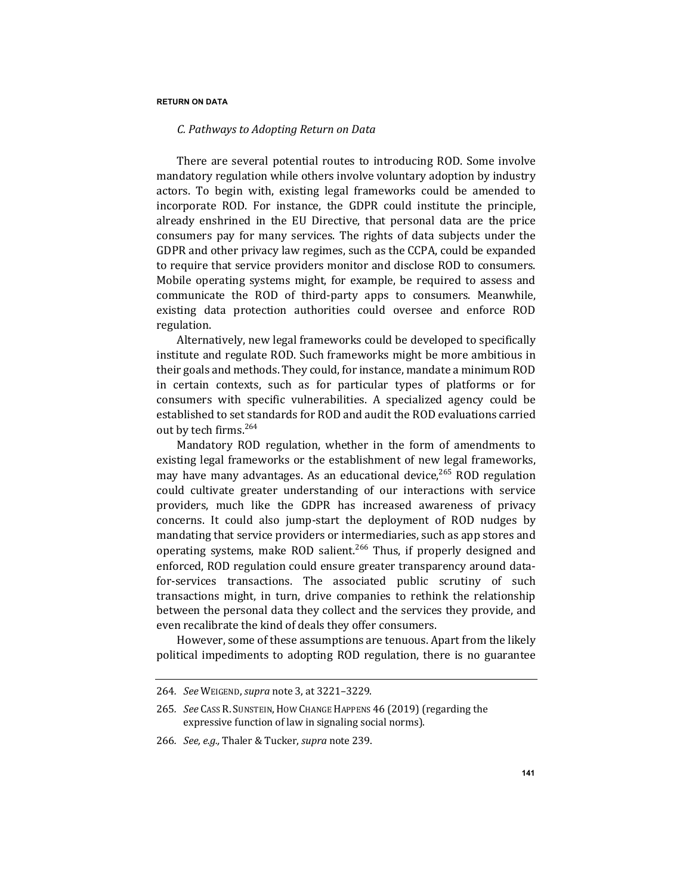# *C. Pathways to Adopting Return on Data*

There are several potential routes to introducing ROD. Some involve mandatory regulation while others involve voluntary adoption by industry actors. To begin with, existing legal frameworks could be amended to incorporate ROD. For instance, the GDPR could institute the principle, already enshrined in the EU Directive, that personal data are the price consumers pay for many services. The rights of data subjects under the GDPR and other privacy law regimes, such as the CCPA, could be expanded to require that service providers monitor and disclose ROD to consumers. Mobile operating systems might, for example, be required to assess and communicate the ROD of third-party apps to consumers. Meanwhile, existing data protection authorities could oversee and enforce ROD regulation.

Alternatively, new legal frameworks could be developed to specifically institute and regulate ROD. Such frameworks might be more ambitious in their goals and methods. They could, for instance, mandate a minimum ROD in certain contexts, such as for particular types of platforms or for consumers with specific vulnerabilities. A specialized agency could be established to set standards for ROD and audit the ROD evaluations carried out by tech firms.<sup>264</sup>

Mandatory ROD regulation, whether in the form of amendments to existing legal frameworks or the establishment of new legal frameworks, may have many advantages. As an educational device,<sup>265</sup> ROD regulation could cultivate greater understanding of our interactions with service providers, much like the GDPR has increased awareness of privacy concerns. It could also jump-start the deployment of ROD nudges by mandating that service providers or intermediaries, such as app stores and operating systems, make ROD salient.<sup>266</sup> Thus, if properly designed and enforced, ROD regulation could ensure greater transparency around datafor-services transactions. The associated public scrutiny of such transactions might, in turn, drive companies to rethink the relationship between the personal data they collect and the services they provide, and even recalibrate the kind of deals they offer consumers.

However, some of these assumptions are tenuous. Apart from the likely political impediments to adopting ROD regulation, there is no guarantee

<sup>264</sup>*. See* WEIGEND, *supra* note 3, at 3221–3229.

<sup>265.</sup> *See* Cass R. SUNSTEIN, HOW CHANGE HAPPENS 46 (2019) (regarding the expressive function of law in signaling social norms).

<sup>266.</sup> *See, e.g.,* Thaler & Tucker, *supra* note 239.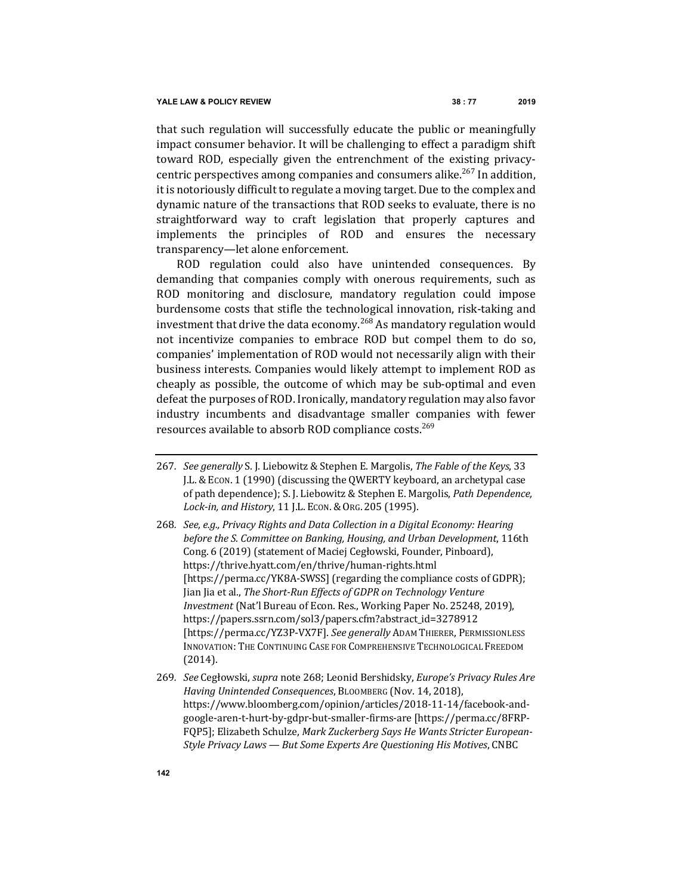that such regulation will successfully educate the public or meaningfully impact consumer behavior. It will be challenging to effect a paradigm shift toward ROD, especially given the entrenchment of the existing privacycentric perspectives among companies and consumers alike.<sup>267</sup> In addition, it is notoriously difficult to regulate a moving target. Due to the complex and dynamic nature of the transactions that ROD seeks to evaluate, there is no straightforward way to craft legislation that properly captures and implements the principles of ROD and ensures the necessary transparency-let alone enforcement.

ROD regulation could also have unintended consequences. By demanding that companies comply with onerous requirements, such as ROD monitoring and disclosure, mandatory regulation could impose burdensome costs that stifle the technological innovation, risk-taking and investment that drive the data economy.<sup>268</sup> As mandatory regulation would not incentivize companies to embrace ROD but compel them to do so, companies' implementation of ROD would not necessarily align with their business interests. Companies would likely attempt to implement ROD as cheaply as possible, the outcome of which may be sub-optimal and even defeat the purposes of ROD. Ironically, mandatory regulation may also favor industry incumbents and disadvantage smaller companies with fewer resources available to absorb ROD compliance costs.<sup>269</sup>

- 267. *See generally* S. J. Liebowitz & Stephen E. Margolis, *The Fable of the Keys*, 33 J.L. & ECON. 1 (1990) (discussing the QWERTY keyboard, an archetypal case of path dependence); S. J. Liebowitz & Stephen E. Margolis, *Path Dependence*, *Lock-in, and History*, 11 J.L. ECON.&ORG. 205 (1995).
- 268. *See, e.g., Privacy Rights and Data Collection in a Digital Economy: Hearing before the S. Committee on Banking, Housing, and Urban Development,* 116th Cong. 6 (2019) (statement of Maciej Cegłowski, Founder, Pinboard), https://thrive.hyatt.com/en/thrive/human-rights.html [https://perma.cc/YK8A-SWSS] (regarding the compliance costs of GDPR); Jian Jia et al., *The Short-Run Effects of GDPR on Technology Venture Investment* (Nat'l Bureau of Econ. Res., Working Paper No. 25248, 2019), https://papers.ssrn.com/sol3/papers.cfm?abstract\_id=3278912 [https://perma.cc/YZ3P-VX7F]. See generally ADAM THIERER, PERMISSIONLESS INNOVATION: THE CONTINUING CASE FOR COMPREHENSIVE TECHNOLOGICAL FREEDOM (2014).
- 269. See Cegłowski, supra note 268; Leonid Bershidsky, *Europe's Privacy Rules Are Having Unintended Consequences*, BLOOMBERG (Nov. 14, 2018), https://www.bloomberg.com/opinion/articles/2018-11-14/facebook-andgoogle-aren-t-hurt-by-gdpr-but-smaller-firms-are [https://perma.cc/8FRP-FQP5]; Elizabeth Schulze, *Mark Zuckerberg Says He Wants Stricter European-Style Privacy Laws - But Some Experts Are Questioning His Motives, CNBC*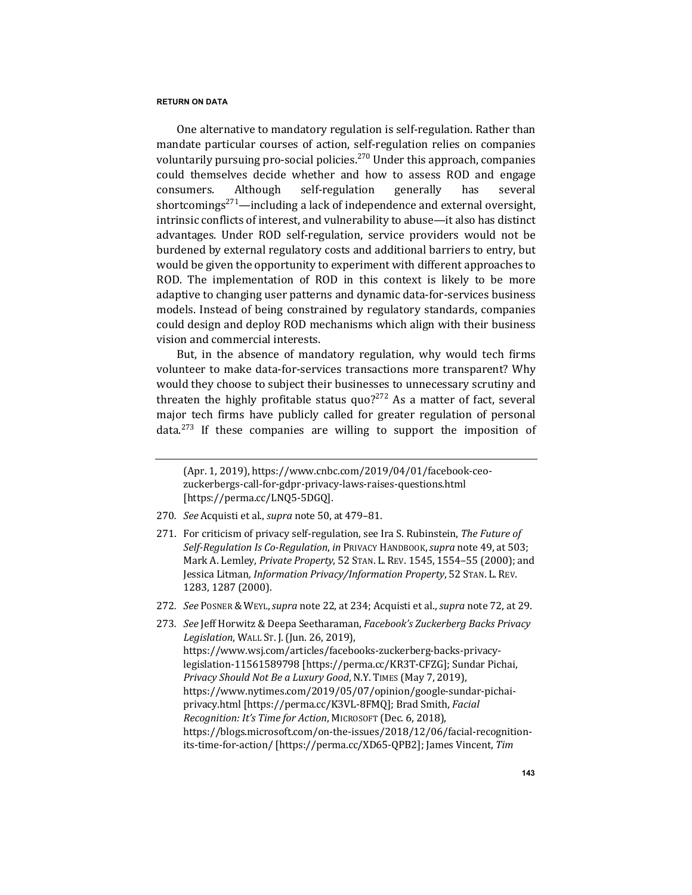One alternative to mandatory regulation is self-regulation. Rather than mandate particular courses of action, self-regulation relies on companies voluntarily pursuing pro-social policies.<sup>270</sup> Under this approach, companies could themselves decide whether and how to assess ROD and engage consumers. Although self-regulation generally has several shortcomings<sup>271</sup>—including a lack of independence and external oversight, intrinsic conflicts of interest, and vulnerability to abuse—it also has distinct advantages. Under ROD self-regulation, service providers would not be burdened by external regulatory costs and additional barriers to entry, but would be given the opportunity to experiment with different approaches to ROD. The implementation of ROD in this context is likely to be more adaptive to changing user patterns and dynamic data-for-services business models. Instead of being constrained by regulatory standards, companies could design and deploy ROD mechanisms which align with their business vision and commercial interests.

But, in the absence of mandatory regulation, why would tech firms volunteer to make data-for-services transactions more transparent? Why would they choose to subject their businesses to unnecessary scrutiny and threaten the highly profitable status  $quo?^{272}$  As a matter of fact, several major tech firms have publicly called for greater regulation of personal data.<sup>273</sup> If these companies are willing to support the imposition of

- 270. *See* Acquisti et al., *supra* note 50, at 479-81.
- 271. For criticism of privacy self-regulation, see Ira S. Rubinstein, *The Future of* Self-Regulation Is Co-Regulation, in PRIVACY HANDBOOK, supra note 49, at 503; Mark A. Lemley, *Private Property*, 52 STAN. L. REV. 1545, 1554–55 (2000); and Jessica Litman, *Information Privacy/Information Property*, 52 STAN. L. REV. 1283, 1287 (2000).
- 272. *See* Posner & Weyl, *supra* note 22, at 234; Acquisti et al., *supra* note 72, at 29.

<sup>(</sup>Apr. 1, 2019), https://www.cnbc.com/2019/04/01/facebook-ceozuckerbergs-call-for-gdpr-privacy-laws-raises-questions.html [https://perma.cc/LNQ5-5DGQ].

<sup>273.</sup> See Jeff Horwitz & Deepa Seetharaman, *Facebook's Zuckerberg Backs Privacy Legislation*, WALL ST. J. (Jun. 26, 2019), https://www.wsj.com/articles/facebooks-zuckerberg-backs-privacylegislation-11561589798 [https://perma.cc/KR3T-CFZG]; Sundar Pichai, *Privacy Should Not Be a Luxury Good*, N.Y. TIMES (May 7, 2019), https://www.nytimes.com/2019/05/07/opinion/google-sundar-pichaiprivacy.html [https://perma.cc/K3VL-8FMQ]; Brad Smith, *Facial Recognition: It's Time for Action, MICROSOFT (Dec. 6, 2018),* https://blogs.microsoft.com/on-the-issues/2018/12/06/facial-recognitionits-time-for-action/ [https://perma.cc/XD65-QPB2]; James Vincent, Tim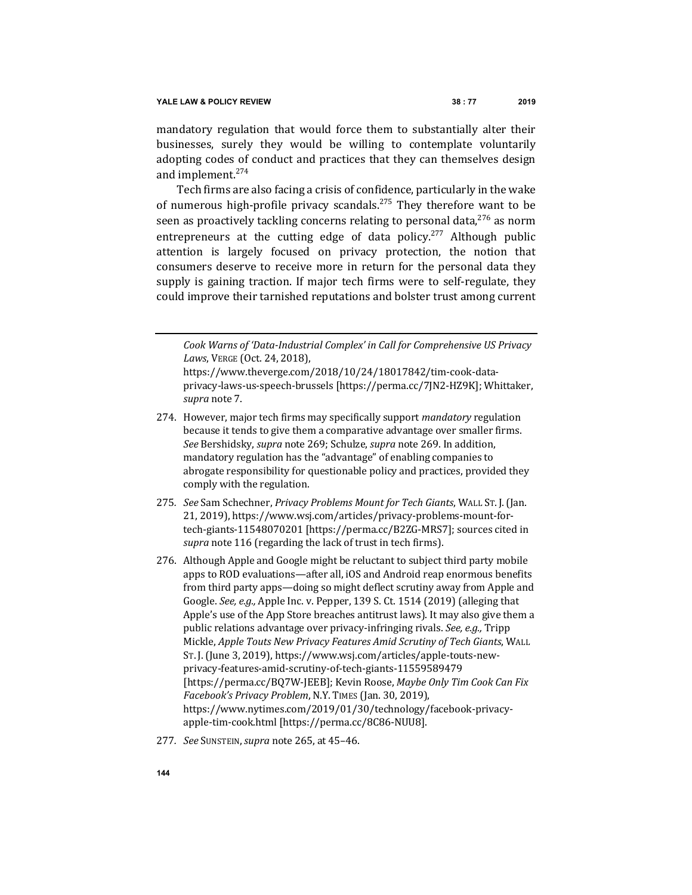mandatory regulation that would force them to substantially alter their businesses, surely they would be willing to contemplate voluntarily adopting codes of conduct and practices that they can themselves design and implement.<sup>274</sup>

Tech firms are also facing a crisis of confidence, particularly in the wake of numerous high-profile privacy scandals.<sup>275</sup> They therefore want to be seen as proactively tackling concerns relating to personal data,  $276$  as norm entrepreneurs at the cutting edge of data policy.<sup>277</sup> Although public attention is largely focused on privacy protection, the notion that consumers deserve to receive more in return for the personal data they supply is gaining traction. If major tech firms were to self-regulate, they could improve their tarnished reputations and bolster trust among current

Cook Warns of 'Data-Industrial Complex' in Call for Comprehensive US Privacy *Laws*, VERGE (Oct. 24, 2018), 

https://www.theverge.com/2018/10/24/18017842/tim-cook-dataprivacy-laws-us-speech-brussels [https://perma.cc/7JN2-HZ9K]; Whittaker, *supra* note 7.

- 274. However, major tech firms may specifically support *mandatory* regulation because it tends to give them a comparative advantage over smaller firms. *See* Bershidsky, *supra* note 269; Schulze, *supra* note 269. In addition, mandatory regulation has the "advantage" of enabling companies to abrogate responsibility for questionable policy and practices, provided they comply with the regulation.
- 275. *See* Sam Schechner, *Privacy Problems Mount for Tech Giants*, WALL St. J. (Jan. 21, 2019), https://www.wsj.com/articles/privacy-problems-mount-fortech-giants-11548070201 [https://perma.cc/B2ZG-MRS7]; sources cited in *supra* note 116 (regarding the lack of trust in tech firms).
- 276. Although Apple and Google might be reluctant to subject third party mobile apps to ROD evaluations—after all, iOS and Android reap enormous benefits from third party apps—doing so might deflect scrutiny away from Apple and Google. See, e.g., Apple Inc. v. Pepper, 139 S. Ct. 1514 (2019) (alleging that Apple's use of the App Store breaches antitrust laws). It may also give them a public relations advantage over privacy-infringing rivals. See, e.g., Tripp Mickle, *Apple Touts New Privacy Features Amid Scrutiny of Tech Giants*, WALL ST. J. (June 3, 2019), https://www.wsj.com/articles/apple-touts-newprivacy-features-amid-scrutiny-of-tech-giants-11559589479 [https://perma.cc/BQ7W-JEEB]; Kevin Roose, *Maybe Only Tim Cook Can Fix Facebook's Privacy Problem, N.Y. TIMES (Jan. 30, 2019),* https://www.nytimes.com/2019/01/30/technology/facebook-privacyapple-tim-cook.html [https://perma.cc/8C86-NUU8].
- 277*. See* SUNSTEIN,*supra* note 265, at 45–46.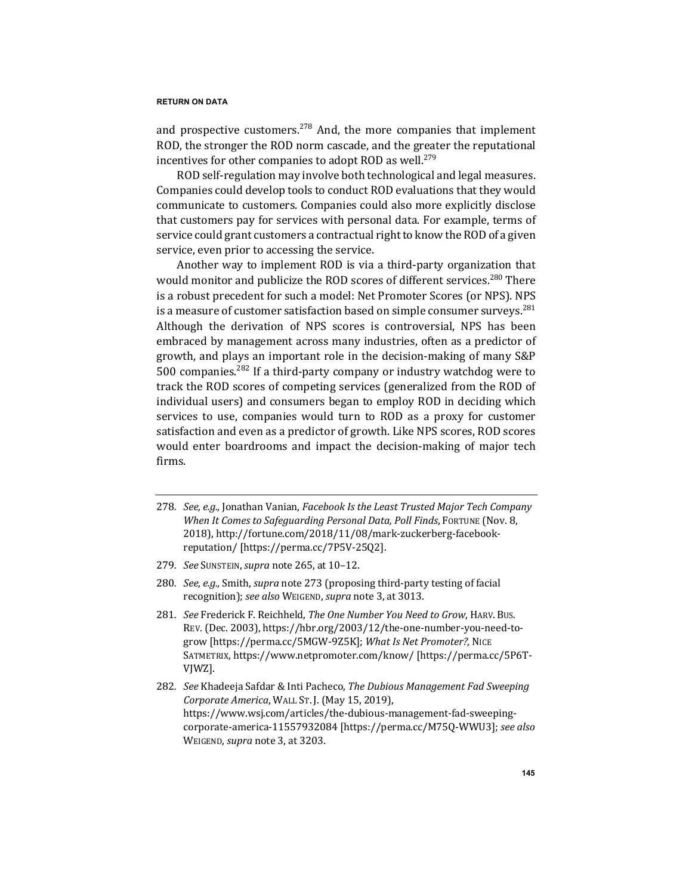and prospective customers.<sup>278</sup> And, the more companies that implement ROD, the stronger the ROD norm cascade, and the greater the reputational incentives for other companies to adopt ROD as well.<sup>279</sup>

ROD self-regulation may involve both technological and legal measures. Companies could develop tools to conduct ROD evaluations that they would communicate to customers. Companies could also more explicitly disclose that customers pay for services with personal data. For example, terms of service could grant customers a contractual right to know the ROD of a given service, even prior to accessing the service.

Another way to implement ROD is via a third-party organization that would monitor and publicize the ROD scores of different services.<sup>280</sup> There is a robust precedent for such a model: Net Promoter Scores (or NPS). NPS is a measure of customer satisfaction based on simple consumer surveys.<sup>281</sup> Although the derivation of NPS scores is controversial, NPS has been embraced by management across many industries, often as a predictor of growth, and plays an important role in the decision-making of many S&P 500 companies.<sup>282</sup> If a third-party company or industry watchdog were to track the ROD scores of competing services (generalized from the ROD of individual users) and consumers began to employ ROD in deciding which services to use, companies would turn to ROD as a proxy for customer satisfaction and even as a predictor of growth. Like NPS scores, ROD scores would enter boardrooms and impact the decision-making of major tech firms.

- 278. *See, e.g.*, Jonathan Vanian, *Facebook Is the Least Trusted Major Tech Company When It Comes to Safeguarding Personal Data, Poll Finds, FORTUNE (Nov. 8,* 2018), http://fortune.com/2018/11/08/mark-zuckerberg-facebookreputation/ [https://perma.cc/7P5V-25Q2].
- 279*. See* SUNSTEIN,*supra* note 265, at 10–12.
- 280. *See, e.g.,* Smith, *supra* note 273 (proposing third-party testing of facial recognition); see also WEIGEND, supra note 3, at 3013.
- 281. *See* Frederick F. Reichheld, *The One Number You Need to Grow*, HARV. Bus. REV. (Dec. 2003), https://hbr.org/2003/12/the-one-number-you-need-togrow [https://perma.cc/5MGW-9Z5K]; What Is Net Promoter?, NICE SATMETRIX, https://www.netpromoter.com/know/ [https://perma.cc/5P6T-VJWZ].
- 282. *See* Khadeeja Safdar & Inti Pacheco, *The Dubious Management Fad Sweeping Corporate America*, WALL ST. J. (May 15, 2019), https://www.wsj.com/articles/the-dubious-management-fad-sweepingcorporate-america-11557932084 [https://perma.cc/M75Q-WWU3]; see also WEIGEND, *supra* note 3, at 3203.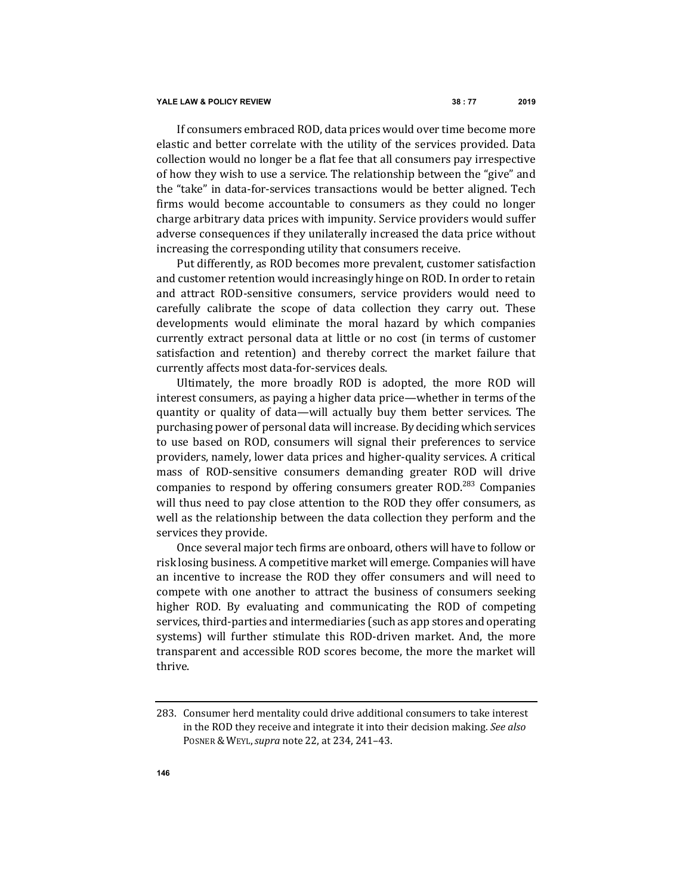If consumers embraced ROD, data prices would over time become more elastic and better correlate with the utility of the services provided. Data collection would no longer be a flat fee that all consumers pay irrespective of how they wish to use a service. The relationship between the "give" and the "take" in data-for-services transactions would be better aligned. Tech firms would become accountable to consumers as they could no longer charge arbitrary data prices with impunity. Service providers would suffer adverse consequences if they unilaterally increased the data price without increasing the corresponding utility that consumers receive.

Put differently, as ROD becomes more prevalent, customer satisfaction and customer retention would increasingly hinge on ROD. In order to retain and attract ROD-sensitive consumers, service providers would need to carefully calibrate the scope of data collection they carry out. These developments would eliminate the moral hazard by which companies currently extract personal data at little or no cost (in terms of customer satisfaction and retention) and thereby correct the market failure that currently affects most data-for-services deals.

Ultimately, the more broadly ROD is adopted, the more ROD will interest consumers, as paying a higher data price—whether in terms of the quantity or quality of data—will actually buy them better services. The purchasing power of personal data will increase. By deciding which services to use based on ROD, consumers will signal their preferences to service providers, namely, lower data prices and higher-quality services. A critical mass of ROD-sensitive consumers demanding greater ROD will drive companies to respond by offering consumers greater  $ROD<sup>283</sup>$  Companies will thus need to pay close attention to the ROD they offer consumers, as well as the relationship between the data collection they perform and the services they provide.

Once several major tech firms are onboard, others will have to follow or risk losing business. A competitive market will emerge. Companies will have an incentive to increase the ROD they offer consumers and will need to compete with one another to attract the business of consumers seeking higher ROD. By evaluating and communicating the ROD of competing services, third-parties and intermediaries (such as app stores and operating systems) will further stimulate this ROD-driven market. And, the more transparent and accessible ROD scores become, the more the market will thrive.

<sup>283.</sup> Consumer herd mentality could drive additional consumers to take interest in the ROD they receive and integrate it into their decision making. See also POSNER & WEYL, *supra* note 22, at 234, 241-43.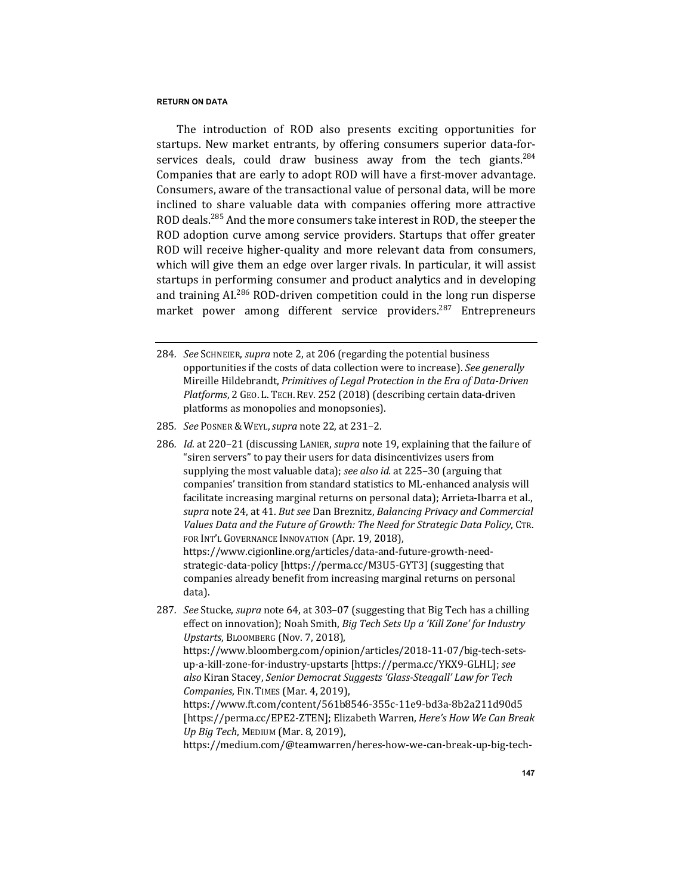The introduction of ROD also presents exciting opportunities for startups. New market entrants, by offering consumers superior data-forservices deals, could draw business away from the tech giants.<sup>284</sup> Companies that are early to adopt ROD will have a first-mover advantage. Consumers, aware of the transactional value of personal data, will be more inclined to share valuable data with companies offering more attractive ROD deals.<sup>285</sup> And the more consumers take interest in ROD, the steeper the ROD adoption curve among service providers. Startups that offer greater ROD will receive higher-quality and more relevant data from consumers, which will give them an edge over larger rivals. In particular, it will assist startups in performing consumer and product analytics and in developing and training AI.<sup>286</sup> ROD-driven competition could in the long run disperse market power among different service providers.<sup>287</sup> Entrepreneurs

- 285*. See* POSNER & WEYL,*supra* note 22, at 231–2.
- 286. *Id.* at 220-21 (discussing LANIER, *supra* note 19, explaining that the failure of "siren servers" to pay their users for data disincentivizes users from supplying the most valuable data); *see also id.* at 225–30 (arguing that companies' transition from standard statistics to ML-enhanced analysis will facilitate increasing marginal returns on personal data); Arrieta-Ibarra et al., *supra* note 24, at 41. *But see* Dan Breznitz, *Balancing Privacy and Commercial* Values Data and the Future of Growth: The Need for Strategic Data Policy, CTR. FOR INT'L GOVERNANCE INNOVATION (Apr. 19, 2018), https://www.cigionline.org/articles/data-and-future-growth-needstrategic-data-policy [https://perma.cc/M3U5-GYT3] (suggesting that companies already benefit from increasing marginal returns on personal data).
- 287. *See* Stucke, *supra* note 64, at 303-07 (suggesting that Big Tech has a chilling effect on innovation); Noah Smith, *Big Tech Sets Up a 'Kill Zone' for Industry Upstarts*, BLOOMBERG (Nov. 7, 2018), https://www.bloomberg.com/opinion/articles/2018-11-07/big-tech-setsup-a-kill-zone-for-industry-upstarts [https://perma.cc/YKX9-GLHL]; see *also* Kiran Stacey, *Senior Democrat Suggests 'Glass-Steagall' Law for Tech Companies*, FIN. TIMES (Mar. 4, 2019), https://www.ft.com/content/561b8546-355c-11e9-bd3a-8b2a211d90d5 [https://perma.cc/EPE2-ZTEN]; Elizabeth Warren, *Here's How We Can Break Up Big Tech*, MEDIUM (Mar. 8, 2019), https://medium.com/@teamwarren/heres-how-we-can-break-up-big-tech-

<sup>284</sup>*. See* SCHNEIER, *supra* note 2, at 206 (regarding the potential business opportunities if the costs of data collection were to increase). See generally Mireille Hildebrandt, *Primitives of Legal Protection in the Era of Data-Driven Platforms*, 2 GEO. L. TECH. REV. 252 (2018) (describing certain data-driven platforms as monopolies and monopsonies).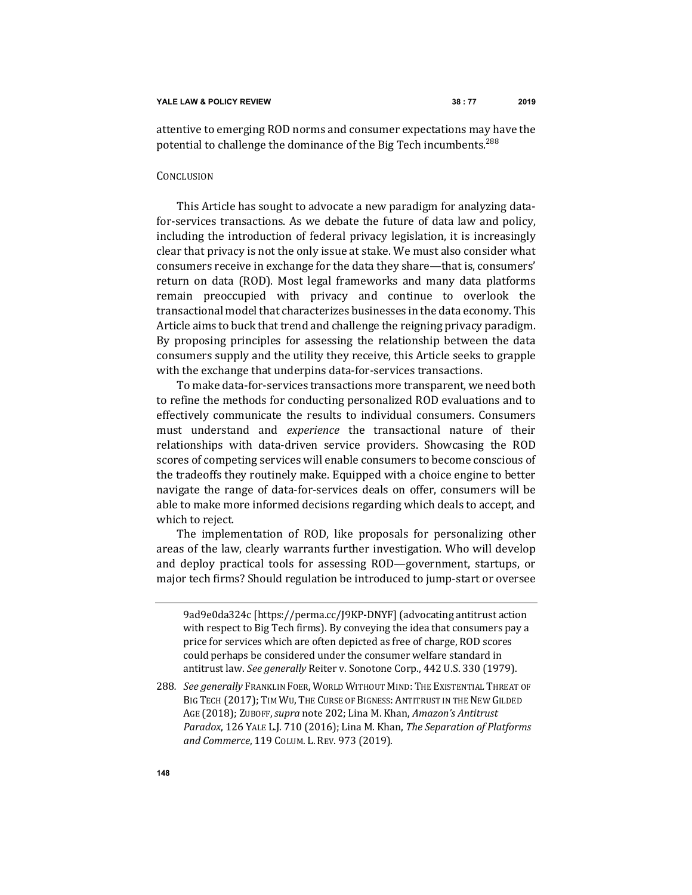attentive to emerging ROD norms and consumer expectations may have the potential to challenge the dominance of the Big Tech incumbents.<sup>288</sup>

### **CONCLUSION**

This Article has sought to advocate a new paradigm for analyzing datafor-services transactions. As we debate the future of data law and policy, including the introduction of federal privacy legislation, it is increasingly clear that privacy is not the only issue at stake. We must also consider what consumers receive in exchange for the data they share-that is, consumers' return on data (ROD). Most legal frameworks and many data platforms remain preoccupied with privacy and continue to overlook the transactional model that characterizes businesses in the data economy. This Article aims to buck that trend and challenge the reigning privacy paradigm. By proposing principles for assessing the relationship between the data consumers supply and the utility they receive, this Article seeks to grapple with the exchange that underpins data-for-services transactions.

To make data-for-services transactions more transparent, we need both to refine the methods for conducting personalized ROD evaluations and to effectively communicate the results to individual consumers. Consumers must understand and *experience* the transactional nature of their relationships with data-driven service providers. Showcasing the ROD scores of competing services will enable consumers to become conscious of the tradeoffs they routinely make. Equipped with a choice engine to better navigate the range of data-for-services deals on offer, consumers will be able to make more informed decisions regarding which deals to accept, and which to reject.

The implementation of ROD, like proposals for personalizing other areas of the law, clearly warrants further investigation. Who will develop and deploy practical tools for assessing ROD-government, startups, or major tech firms? Should regulation be introduced to jump-start or oversee

<sup>9</sup>ad9e0da324c [https://perma.cc/J9KP-DNYF] (advocating antitrust action with respect to Big Tech firms). By conveying the idea that consumers pay a price for services which are often depicted as free of charge, ROD scores could perhaps be considered under the consumer welfare standard in antitrust law. See generally Reiter v. Sonotone Corp., 442 U.S. 330 (1979).

<sup>288.</sup> *See generally* Franklin Foer, World Without Mind: The Existential Threat of BIG TECH (2017); TIM WU, THE CURSE OF BIGNESS: ANTITRUST IN THE NEW GILDED AGE (2018); ZUBOFF, supra note 202; Lina M. Khan, Amazon's Antitrust *Paradox*, 126 YALE L.J. 710 (2016); Lina M. Khan, *The Separation of Platforms and Commerce*, 119 COLUM. L. REV. 973 (2019).